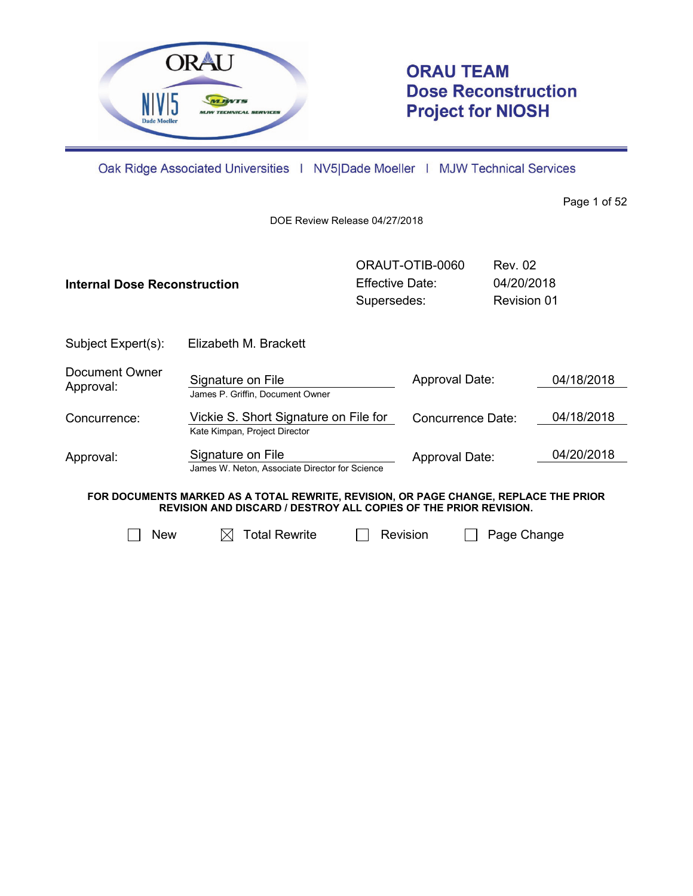

# **ORAU TEAM Dose Reconstruction Project for NIOSH**

Oak Ridge Associated Universities | NV5|Dade Moeller | MJW Technical Services

Page 1 of 52

DOE Review Release 04/27/2018

| Internal Dose Reconstruction                                                                                                                                    |                                                                        | Effective Date:<br>Supersedes: | ORAUT-OTIB-0060   | <b>Rev. 02</b><br>04/20/2018<br><b>Revision 01</b> |            |
|-----------------------------------------------------------------------------------------------------------------------------------------------------------------|------------------------------------------------------------------------|--------------------------------|-------------------|----------------------------------------------------|------------|
| Subject Expert(s):                                                                                                                                              | Elizabeth M. Brackett                                                  |                                |                   |                                                    |            |
| Document Owner<br>Approval:                                                                                                                                     | Signature on File<br>James P. Griffin, Document Owner                  |                                | Approval Date:    |                                                    | 04/18/2018 |
| Concurrence:                                                                                                                                                    | Vickie S. Short Signature on File for<br>Kate Kimpan, Project Director |                                | Concurrence Date: |                                                    | 04/18/2018 |
| Approval:                                                                                                                                                       | Signature on File<br>James W. Neton, Associate Director for Science    |                                | Approval Date:    |                                                    | 04/20/2018 |
| FOR DOCUMENTS MARKED AS A TOTAL REWRITE, REVISION, OR PAGE CHANGE, REPLACE THE PRIOR<br><b>REVISION AND DISCARD / DESTROY ALL COPIES OF THE PRIOR REVISION.</b> |                                                                        |                                |                   |                                                    |            |
| Total Rewrite<br><b>New</b><br>Revision<br>Page Change                                                                                                          |                                                                        |                                |                   |                                                    |            |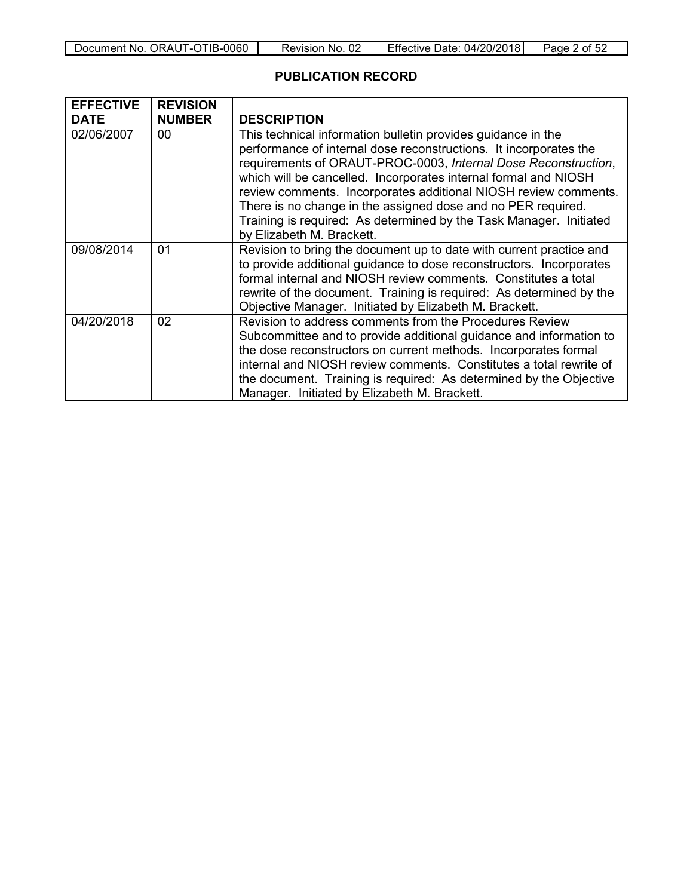| Document No. ORAUT-OTIB-0060 | Revision No. 02 | Effective Date: 04/20/2018 | Page 2 of 52 |
|------------------------------|-----------------|----------------------------|--------------|
|------------------------------|-----------------|----------------------------|--------------|

## **PUBLICATION RECORD**

| <b>EFFECTIVE</b> | <b>REVISION</b> |                                                                     |  |  |  |  |  |
|------------------|-----------------|---------------------------------------------------------------------|--|--|--|--|--|
| <b>DATE</b>      | <b>NUMBER</b>   | <b>DESCRIPTION</b>                                                  |  |  |  |  |  |
| 02/06/2007       | 00              | This technical information bulletin provides guidance in the        |  |  |  |  |  |
|                  |                 | performance of internal dose reconstructions. It incorporates the   |  |  |  |  |  |
|                  |                 | requirements of ORAUT-PROC-0003, Internal Dose Reconstruction,      |  |  |  |  |  |
|                  |                 | which will be cancelled. Incorporates internal formal and NIOSH     |  |  |  |  |  |
|                  |                 | review comments. Incorporates additional NIOSH review comments.     |  |  |  |  |  |
|                  |                 | There is no change in the assigned dose and no PER required.        |  |  |  |  |  |
|                  |                 | Training is required: As determined by the Task Manager. Initiated  |  |  |  |  |  |
|                  |                 | by Elizabeth M. Brackett.                                           |  |  |  |  |  |
| 09/08/2014       | 01              | Revision to bring the document up to date with current practice and |  |  |  |  |  |
|                  |                 | to provide additional guidance to dose reconstructors. Incorporates |  |  |  |  |  |
|                  |                 | formal internal and NIOSH review comments. Constitutes a total      |  |  |  |  |  |
|                  |                 | rewrite of the document. Training is required: As determined by the |  |  |  |  |  |
|                  |                 | Objective Manager. Initiated by Elizabeth M. Brackett.              |  |  |  |  |  |
| 04/20/2018       | 02              | Revision to address comments from the Procedures Review             |  |  |  |  |  |
|                  |                 | Subcommittee and to provide additional guidance and information to  |  |  |  |  |  |
|                  |                 | the dose reconstructors on current methods. Incorporates formal     |  |  |  |  |  |
|                  |                 | internal and NIOSH review comments. Constitutes a total rewrite of  |  |  |  |  |  |
|                  |                 | the document. Training is required: As determined by the Objective  |  |  |  |  |  |
|                  |                 | Manager. Initiated by Elizabeth M. Brackett.                        |  |  |  |  |  |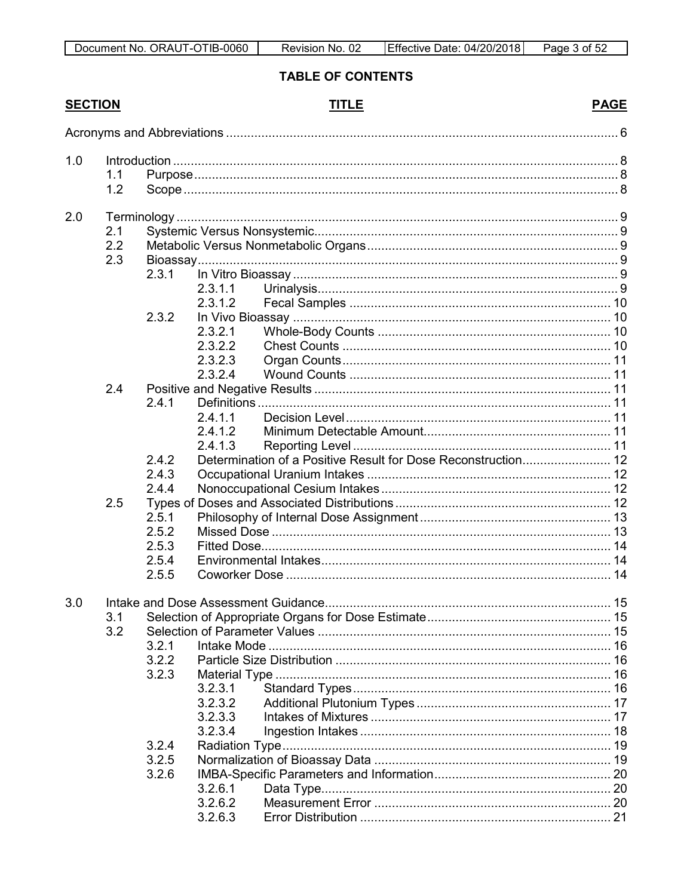## TABLE OF CONTENTS

## **SECTION**

## **TITLE**

| 1.0 | 1.1 |       |                    |                                                               |  |
|-----|-----|-------|--------------------|---------------------------------------------------------------|--|
|     | 1.2 |       |                    |                                                               |  |
|     |     |       |                    |                                                               |  |
| 2.0 |     |       |                    |                                                               |  |
|     | 2.1 |       |                    |                                                               |  |
|     | 2.2 |       |                    |                                                               |  |
|     | 2.3 |       |                    |                                                               |  |
|     |     | 2.3.1 |                    |                                                               |  |
|     |     |       | 2.3.1.1            |                                                               |  |
|     |     |       | 2.3.1.2            |                                                               |  |
|     |     | 2.3.2 |                    |                                                               |  |
|     |     |       | 2.3.2.1            |                                                               |  |
|     |     |       | 2.3.2.2<br>2.3.2.3 |                                                               |  |
|     |     |       | 2.3.2.4            |                                                               |  |
|     | 2.4 |       |                    |                                                               |  |
|     |     | 2.4.1 |                    |                                                               |  |
|     |     |       | 2.4.1.1            |                                                               |  |
|     |     |       | 2.4.1.2            |                                                               |  |
|     |     |       | 2.4.1.3            |                                                               |  |
|     |     | 2.4.2 |                    | Determination of a Positive Result for Dose Reconstruction 12 |  |
|     |     | 2.4.3 |                    |                                                               |  |
|     |     | 2.4.4 |                    |                                                               |  |
|     | 2.5 |       |                    |                                                               |  |
|     |     | 2.5.1 |                    |                                                               |  |
|     |     | 2.5.2 |                    |                                                               |  |
|     |     | 2.5.3 |                    |                                                               |  |
|     |     | 2.5.4 |                    |                                                               |  |
|     |     | 2.5.5 |                    |                                                               |  |
| 3.0 |     |       |                    |                                                               |  |
|     | 3.1 |       |                    |                                                               |  |
|     | 3.2 |       |                    |                                                               |  |
|     |     | 3.2.1 |                    |                                                               |  |
|     |     | 3.2.2 |                    |                                                               |  |
|     |     | 3.2.3 |                    |                                                               |  |
|     |     |       | 3.2.3.1            |                                                               |  |
|     |     |       | 3.2.3.2            |                                                               |  |
|     |     |       | 3.2.3.3            |                                                               |  |
|     |     |       | 3.2.3.4            |                                                               |  |
|     |     | 3.2.4 |                    |                                                               |  |
|     |     | 3.2.5 |                    |                                                               |  |
|     |     | 3.2.6 |                    |                                                               |  |
|     |     |       | 3.2.6.1            |                                                               |  |
|     |     |       | 3.2.6.2            |                                                               |  |
|     |     |       | 3.2.6.3            |                                                               |  |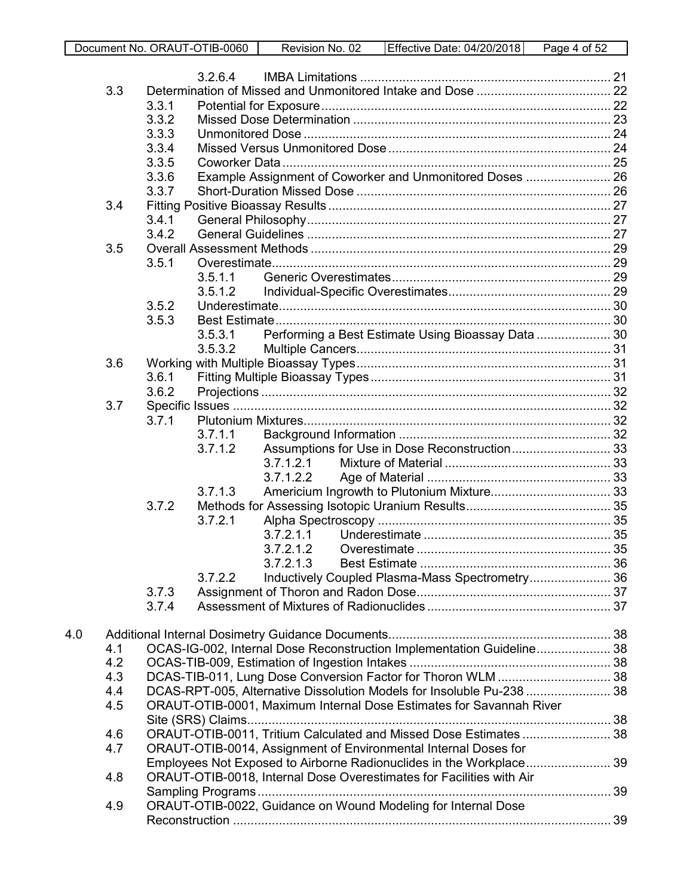|     |     |                | 3.2.6.4 |           |                                                                      |                                                                       |  |
|-----|-----|----------------|---------|-----------|----------------------------------------------------------------------|-----------------------------------------------------------------------|--|
|     | 3.3 |                |         |           |                                                                      |                                                                       |  |
|     |     | 3.3.1          |         |           |                                                                      |                                                                       |  |
|     |     | 3.3.2          |         |           |                                                                      |                                                                       |  |
|     |     | 3.3.3          |         |           |                                                                      |                                                                       |  |
|     |     | 3.3.4          |         |           |                                                                      |                                                                       |  |
|     |     | 3.3.5          |         |           |                                                                      |                                                                       |  |
|     |     | 3.3.6          |         |           |                                                                      | Example Assignment of Coworker and Unmonitored Doses  26              |  |
|     |     | 3.3.7          |         |           |                                                                      |                                                                       |  |
|     | 3.4 |                |         |           |                                                                      |                                                                       |  |
|     |     | 3.4.1          |         |           |                                                                      |                                                                       |  |
|     |     | 3.4.2          |         |           |                                                                      |                                                                       |  |
|     | 3.5 |                |         |           |                                                                      |                                                                       |  |
|     |     | 3.5.1          |         |           |                                                                      |                                                                       |  |
|     |     |                | 3.5.1.1 |           |                                                                      |                                                                       |  |
|     |     | 3.5.2          | 3.5.1.2 |           |                                                                      |                                                                       |  |
|     |     | 3.5.3          |         |           |                                                                      |                                                                       |  |
|     |     |                | 3.5.3.1 |           |                                                                      | Performing a Best Estimate Using Bioassay Data  30                    |  |
|     |     |                | 3.5.3.2 |           |                                                                      |                                                                       |  |
|     | 3.6 |                |         |           |                                                                      |                                                                       |  |
|     |     | 3.6.1          |         |           |                                                                      |                                                                       |  |
|     |     | 3.6.2          |         |           |                                                                      |                                                                       |  |
|     | 3.7 |                |         |           |                                                                      |                                                                       |  |
|     |     | 3.7.1          |         |           |                                                                      |                                                                       |  |
|     |     |                | 3.7.1.1 |           |                                                                      |                                                                       |  |
|     |     |                | 3.7.1.2 |           |                                                                      | Assumptions for Use in Dose Reconstruction 33                         |  |
|     |     |                |         | 3.7.1.2.1 |                                                                      |                                                                       |  |
|     |     |                |         | 3.7.1.2.2 |                                                                      |                                                                       |  |
|     |     |                | 3.7.1.3 |           |                                                                      |                                                                       |  |
|     |     | 3.7.2          |         |           |                                                                      |                                                                       |  |
|     |     |                | 3.7.2.1 |           |                                                                      |                                                                       |  |
|     |     |                |         | 3.7.2.1.1 |                                                                      |                                                                       |  |
|     |     |                |         | 3.7.2.1.2 |                                                                      |                                                                       |  |
|     |     |                |         | 3.7.2.1.3 |                                                                      |                                                                       |  |
|     |     |                | 3.7.2.2 |           |                                                                      | Inductively Coupled Plasma-Mass Spectrometry 36                       |  |
|     |     | 3.7.3<br>3.7.4 |         |           |                                                                      |                                                                       |  |
|     |     |                |         |           |                                                                      |                                                                       |  |
| 4.0 |     |                |         |           |                                                                      |                                                                       |  |
|     | 4.1 |                |         |           |                                                                      | OCAS-IG-002, Internal Dose Reconstruction Implementation Guideline 38 |  |
|     | 4.2 |                |         |           |                                                                      |                                                                       |  |
|     | 4.3 |                |         |           |                                                                      | DCAS-TIB-011, Lung Dose Conversion Factor for Thoron WLM  38          |  |
|     | 4.4 |                |         |           |                                                                      | DCAS-RPT-005, Alternative Dissolution Models for Insoluble Pu-238  38 |  |
|     | 4.5 |                |         |           | ORAUT-OTIB-0001, Maximum Internal Dose Estimates for Savannah River  |                                                                       |  |
|     |     |                |         |           |                                                                      |                                                                       |  |
|     | 4.6 |                |         |           |                                                                      | ORAUT-OTIB-0011, Tritium Calculated and Missed Dose Estimates  38     |  |
|     | 4.7 |                |         |           | ORAUT-OTIB-0014, Assignment of Environmental Internal Doses for      |                                                                       |  |
|     |     |                |         |           |                                                                      | Employees Not Exposed to Airborne Radionuclides in the Workplace 39   |  |
|     | 4.8 |                |         |           | ORAUT-OTIB-0018, Internal Dose Overestimates for Facilities with Air |                                                                       |  |
|     |     |                |         |           |                                                                      |                                                                       |  |
|     | 4.9 |                |         |           | ORAUT-OTIB-0022, Guidance on Wound Modeling for Internal Dose        |                                                                       |  |
|     |     |                |         |           |                                                                      |                                                                       |  |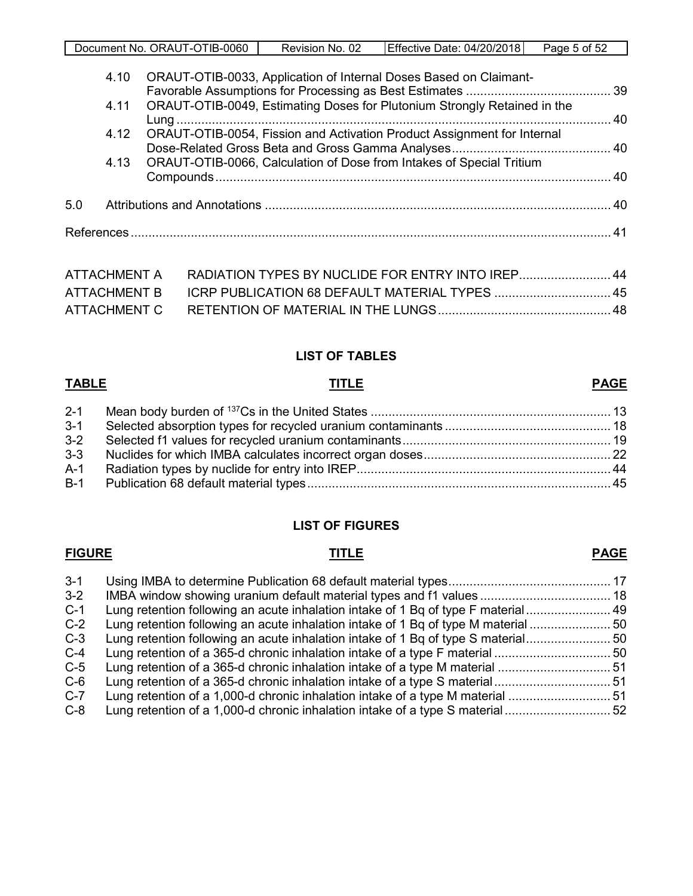|  | Document No. ORAUT-OTIB-0060 | Revision No. 02 | Effective Date: 04/20/2018 | Page 5 of 52 |
|--|------------------------------|-----------------|----------------------------|--------------|
|--|------------------------------|-----------------|----------------------------|--------------|

|     | 4.10 | ORAUT-OTIB-0033, Application of Internal Doses Based on Claimant-         |  |
|-----|------|---------------------------------------------------------------------------|--|
|     | 4.11 | ORAUT-OTIB-0049, Estimating Doses for Plutonium Strongly Retained in the  |  |
|     | 4.12 | ORAUT-OTIB-0054, Fission and Activation Product Assignment for Internal   |  |
|     |      | 4.13 ORAUT-OTIB-0066, Calculation of Dose from Intakes of Special Tritium |  |
|     |      |                                                                           |  |
| 5.0 |      |                                                                           |  |
|     |      |                                                                           |  |
|     |      |                                                                           |  |

| ATTACHMENT A RADIATION TYPES BY NUCLIDE FOR ENTRY INTO IREP 44 |  |
|----------------------------------------------------------------|--|
|                                                                |  |
|                                                                |  |

#### **LIST OF TABLES**

#### **TABLE TITLE PAGE**

| $2 - 1$ |  |
|---------|--|
| $3 - 1$ |  |
| $3 - 2$ |  |
| $3-3$   |  |
| $A-1$   |  |
| $B-1$   |  |
|         |  |

#### **LIST OF FIGURES**

## **FIGURE TITLE PAGE**

## 3-1 [Using IMBA to determine Publication 68 default material types..............................................](#page-16-2) 17 3-2 [IMBA window showing uranium default material types and f1 values](#page-17-2) ..................................... 18 C-1 [Lung retention following an acute inhalation intake of 1 Bq of type F material........................](#page-48-0) 49 C-2 [Lung retention following an acute inhalation intake of 1 Bq of type M material](#page-49-0) ...........................<br>C-3 Lung retention following an acute inhalation intake of 1 Bq of type S material............................ C-3 [Lung retention following an acute inhalation intake of 1 Bq of type S material........................](#page-49-1)....<br>C-4 Lung retention of a 365-d chronic inhalation intake of a type F material.................................. C-4 [Lung retention of a 365-d chronic inhalation intake of a type F material](#page-49-2) ................................. 50 C-5 [Lung retention of a 365-d chronic inhalation intake of a type M material](#page-50-0) ................................ 51 C-6 [Lung retention of a 365-d chronic inhalation intake of a type S material................................. 51](#page-50-1) C-7 [Lung retention of a 1,000-d chronic inhalation intake of a type M material](#page-50-2) ............................. 51

C-8 [Lung retention of a 1,000-d chronic inhalation intake of a type S material..............................](#page-51-0) 52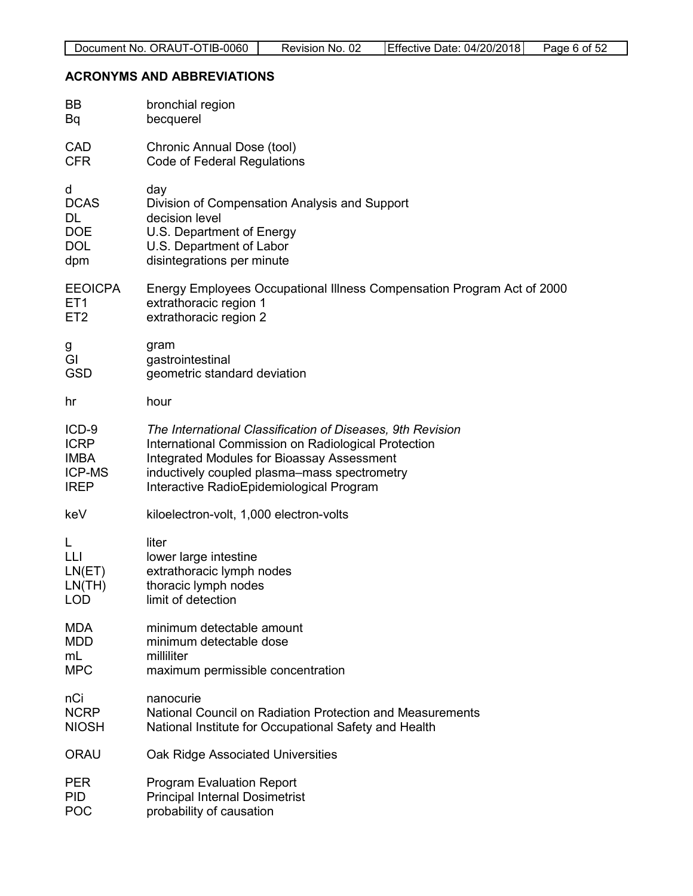#### <span id="page-5-0"></span>**ACRONYMS AND ABBREVIATIONS**

| BB              | bronchial region                                                       |
|-----------------|------------------------------------------------------------------------|
| Bq              | becquerel                                                              |
| <b>CAD</b>      | Chronic Annual Dose (tool)                                             |
| <b>CFR</b>      | Code of Federal Regulations                                            |
| d               | day                                                                    |
| <b>DCAS</b>     | Division of Compensation Analysis and Support                          |
| DL              | decision level                                                         |
| <b>DOE</b>      | U.S. Department of Energy                                              |
| <b>DOL</b>      | U.S. Department of Labor                                               |
| dpm             | disintegrations per minute                                             |
| <b>EEOICPA</b>  | Energy Employees Occupational Illness Compensation Program Act of 2000 |
| ET <sub>1</sub> | extrathoracic region 1                                                 |
| ET <sub>2</sub> | extrathoracic region 2                                                 |
| g               | gram                                                                   |
| GI              | gastrointestinal                                                       |
| <b>GSD</b>      | geometric standard deviation                                           |
| hr              | hour                                                                   |
| ICD-9           | The International Classification of Diseases, 9th Revision             |
| <b>ICRP</b>     | International Commission on Radiological Protection                    |
| <b>IMBA</b>     | <b>Integrated Modules for Bioassay Assessment</b>                      |
| <b>ICP-MS</b>   | inductively coupled plasma–mass spectrometry                           |
| <b>IREP</b>     | Interactive RadioEpidemiological Program                               |
| keV             | kiloelectron-volt, 1,000 electron-volts                                |
| L               | liter                                                                  |
| LЦ              | lower large intestine                                                  |
| LN(ET)          | extrathoracic lymph nodes                                              |
| LN(TH)          | thoracic lymph nodes                                                   |
| LOD             | limit of detection                                                     |
| MDA             | minimum detectable amount                                              |
| <b>MDD</b>      | minimum detectable dose                                                |
| mL              | milliliter                                                             |
| <b>MPC</b>      | maximum permissible concentration                                      |
| nCi             | nanocurie                                                              |
| <b>NCRP</b>     | National Council on Radiation Protection and Measurements              |
| <b>NIOSH</b>    | National Institute for Occupational Safety and Health                  |
| ORAU            | Oak Ridge Associated Universities                                      |
| <b>PER</b>      | <b>Program Evaluation Report</b>                                       |
| <b>PID</b>      | <b>Principal Internal Dosimetrist</b>                                  |
| <b>POC</b>      | probability of causation                                               |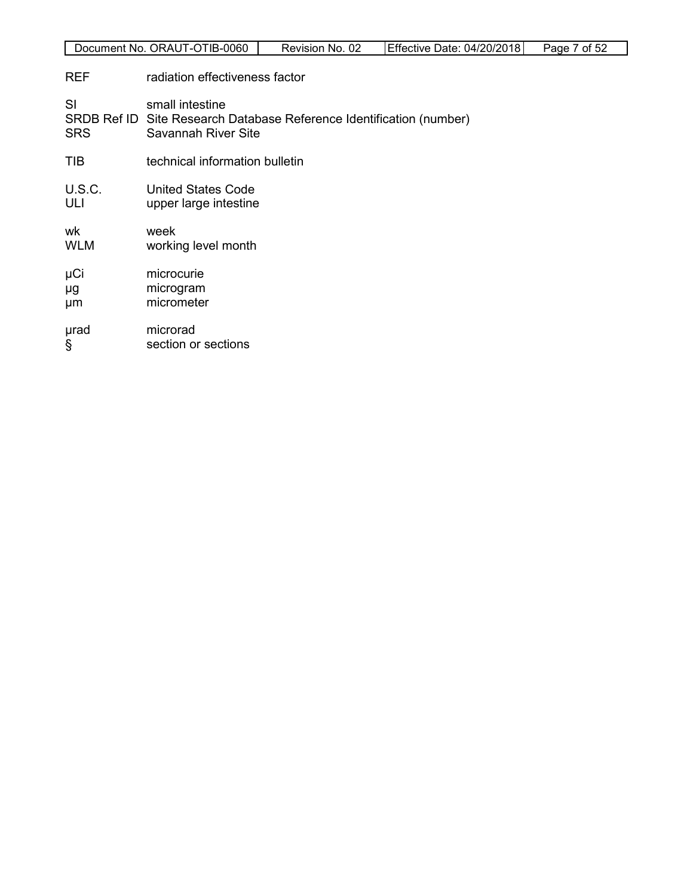| Document No. ORAUT-OTIB-0060<br>Effective Date: 04/20/2018<br>Page 7 of 52<br>Revision No. 02 |
|-----------------------------------------------------------------------------------------------|
|-----------------------------------------------------------------------------------------------|

**REF** radiation effectiveness factor

SI small intestine SRDB Ref ID Site Research Database Reference Identification (number)<br>SRS Savannah River Site Savannah River Site TIB technical information bulletin U.S.C. United States Code ULI upper large intestine wk week<br>WLM workir working level month μCi microcurie μg microgram μm micrometer erad microrad<br>
figures of the section of the section of the section of the section of the section of the section of the section of the section of the section of the section of the section of the section of the section of section or sections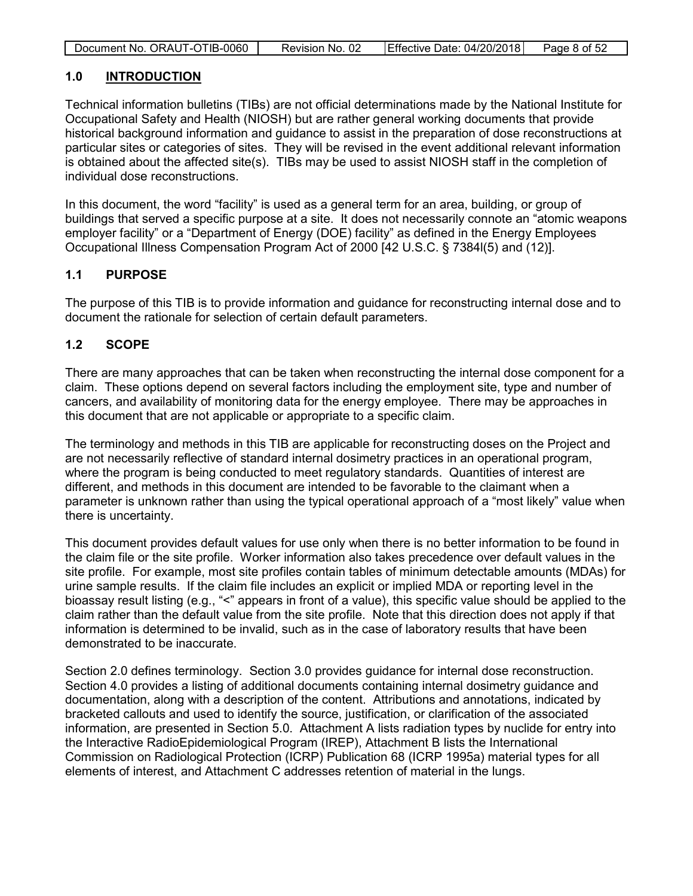| Document No. ORAUT-OTIB-0060 | Revision No. 02 | Effective Date: 04/20/2018 | Page 8 of 52 |
|------------------------------|-----------------|----------------------------|--------------|

#### <span id="page-7-0"></span>**1.0 INTRODUCTION**

Technical information bulletins (TIBs) are not official determinations made by the National Institute for Occupational Safety and Health (NIOSH) but are rather general working documents that provide historical background information and guidance to assist in the preparation of dose reconstructions at particular sites or categories of sites. They will be revised in the event additional relevant information is obtained about the affected site(s). TIBs may be used to assist NIOSH staff in the completion of individual dose reconstructions.

In this document, the word "facility" is used as a general term for an area, building, or group of buildings that served a specific purpose at a site. It does not necessarily connote an "atomic weapons employer facility" or a "Department of Energy (DOE) facility" as defined in the Energy Employees Occupational Illness Compensation Program Act of 2000 [42 U.S.C. § 7384l(5) and (12)].

## <span id="page-7-1"></span>**1.1 PURPOSE**

The purpose of this TIB is to provide information and guidance for reconstructing internal dose and to document the rationale for selection of certain default parameters.

## <span id="page-7-2"></span>**1.2 SCOPE**

There are many approaches that can be taken when reconstructing the internal dose component for a claim. These options depend on several factors including the employment site, type and number of cancers, and availability of monitoring data for the energy employee. There may be approaches in this document that are not applicable or appropriate to a specific claim.

The terminology and methods in this TIB are applicable for reconstructing doses on the Project and are not necessarily reflective of standard internal dosimetry practices in an operational program, where the program is being conducted to meet regulatory standards. Quantities of interest are different, and methods in this document are intended to be favorable to the claimant when a parameter is unknown rather than using the typical operational approach of a "most likely" value when there is uncertainty.

This document provides default values for use only when there is no better information to be found in the claim file or the site profile. Worker information also takes precedence over default values in the site profile. For example, most site profiles contain tables of minimum detectable amounts (MDAs) for urine sample results. If the claim file includes an explicit or implied MDA or reporting level in the bioassay result listing (e.g., "<" appears in front of a value), this specific value should be applied to the claim rather than the default value from the site profile. Note that this direction does not apply if that information is determined to be invalid, such as in the case of laboratory results that have been demonstrated to be inaccurate.

Section 2.0 defines terminology. Section 3.0 provides guidance for internal dose reconstruction. Section 4.0 provides a listing of additional documents containing internal dosimetry guidance and documentation, along with a description of the content. Attributions and annotations, indicated by bracketed callouts and used to identify the source, justification, or clarification of the associated information, are presented in Section 5.0. Attachment A lists radiation types by nuclide for entry into the Interactive RadioEpidemiological Program (IREP), Attachment B lists the International Commission on Radiological Protection (ICRP) Publication 68 (ICRP 1995a) material types for all elements of interest, and Attachment C addresses retention of material in the lungs.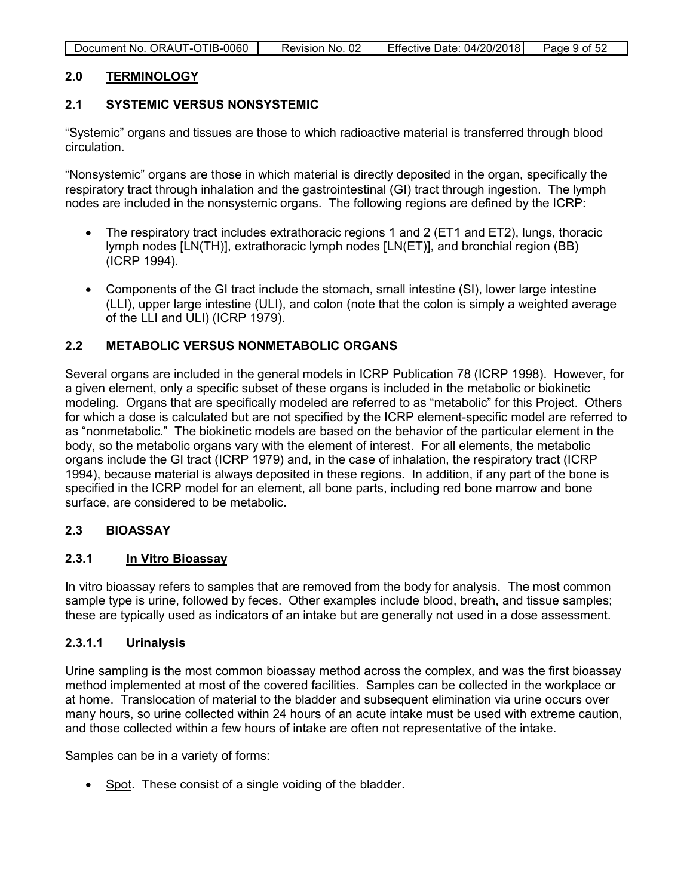| Document No. ORAUT-OTIB-0060 | Revision No. 02 | Effective Date: 04/20/2018 | Page 9 of 52 |
|------------------------------|-----------------|----------------------------|--------------|

## <span id="page-8-0"></span>**2.0 TERMINOLOGY**

#### <span id="page-8-1"></span>**2.1 SYSTEMIC VERSUS NONSYSTEMIC**

"Systemic" organs and tissues are those to which radioactive material is transferred through blood circulation.

"Nonsystemic" organs are those in which material is directly deposited in the organ, specifically the respiratory tract through inhalation and the gastrointestinal (GI) tract through ingestion. The lymph nodes are included in the nonsystemic organs. The following regions are defined by the ICRP:

- The respiratory tract includes extrathoracic regions 1 and 2 (ET1 and ET2), lungs, thoracic lymph nodes [LN(TH)], extrathoracic lymph nodes [LN(ET)], and bronchial region (BB) (ICRP 1994).
- Components of the GI tract include the stomach, small intestine (SI), lower large intestine (LLI), upper large intestine (ULI), and colon (note that the colon is simply a weighted average of the LLI and ULI) (ICRP 1979).

## <span id="page-8-2"></span>**2.2 METABOLIC VERSUS NONMETABOLIC ORGANS**

Several organs are included in the general models in ICRP Publication 78 (ICRP 1998). However, for a given element, only a specific subset of these organs is included in the metabolic or biokinetic modeling. Organs that are specifically modeled are referred to as "metabolic" for this Project. Others for which a dose is calculated but are not specified by the ICRP element-specific model are referred to as "nonmetabolic." The biokinetic models are based on the behavior of the particular element in the body, so the metabolic organs vary with the element of interest. For all elements, the metabolic organs include the GI tract (ICRP 1979) and, in the case of inhalation, the respiratory tract (ICRP 1994), because material is always deposited in these regions. In addition, if any part of the bone is specified in the ICRP model for an element, all bone parts, including red bone marrow and bone surface, are considered to be metabolic.

#### <span id="page-8-3"></span>**2.3 BIOASSAY**

#### <span id="page-8-4"></span>**2.3.1 In Vitro Bioassay**

In vitro bioassay refers to samples that are removed from the body for analysis. The most common sample type is urine, followed by feces. Other examples include blood, breath, and tissue samples; these are typically used as indicators of an intake but are generally not used in a dose assessment.

#### <span id="page-8-5"></span>**2.3.1.1 Urinalysis**

Urine sampling is the most common bioassay method across the complex, and was the first bioassay method implemented at most of the covered facilities. Samples can be collected in the workplace or at home. Translocation of material to the bladder and subsequent elimination via urine occurs over many hours, so urine collected within 24 hours of an acute intake must be used with extreme caution, and those collected within a few hours of intake are often not representative of the intake.

Samples can be in a variety of forms:

• Spot. These consist of a single voiding of the bladder.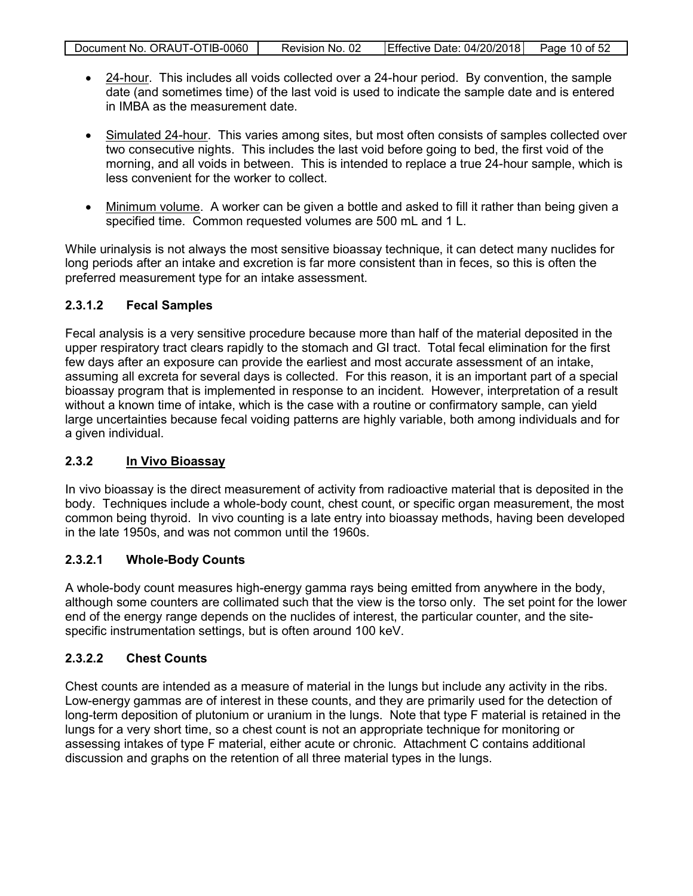| Document No. ORAUT-OTIB-0060 | Revision No. 02 | Effective Date: 04/20/2018 Page 10 of 52 |  |
|------------------------------|-----------------|------------------------------------------|--|

- 24-hour. This includes all voids collected over a 24-hour period. By convention, the sample date (and sometimes time) of the last void is used to indicate the sample date and is entered in IMBA as the measurement date.
- Simulated 24-hour. This varies among sites, but most often consists of samples collected over two consecutive nights. This includes the last void before going to bed, the first void of the morning, and all voids in between. This is intended to replace a true 24-hour sample, which is less convenient for the worker to collect.
- Minimum volume. A worker can be given a bottle and asked to fill it rather than being given a specified time. Common requested volumes are 500 mL and 1 L.

While urinalysis is not always the most sensitive bioassay technique, it can detect many nuclides for long periods after an intake and excretion is far more consistent than in feces, so this is often the preferred measurement type for an intake assessment.

## <span id="page-9-0"></span>**2.3.1.2 Fecal Samples**

Fecal analysis is a very sensitive procedure because more than half of the material deposited in the upper respiratory tract clears rapidly to the stomach and GI tract. Total fecal elimination for the first few days after an exposure can provide the earliest and most accurate assessment of an intake, assuming all excreta for several days is collected. For this reason, it is an important part of a special bioassay program that is implemented in response to an incident. However, interpretation of a result without a known time of intake, which is the case with a routine or confirmatory sample, can yield large uncertainties because fecal voiding patterns are highly variable, both among individuals and for a given individual.

## <span id="page-9-1"></span>**2.3.2 In Vivo Bioassay**

In vivo bioassay is the direct measurement of activity from radioactive material that is deposited in the body. Techniques include a whole-body count, chest count, or specific organ measurement, the most common being thyroid. In vivo counting is a late entry into bioassay methods, having been developed in the late 1950s, and was not common until the 1960s.

## <span id="page-9-2"></span>**2.3.2.1 Whole-Body Counts**

A whole-body count measures high-energy gamma rays being emitted from anywhere in the body, although some counters are collimated such that the view is the torso only. The set point for the lower end of the energy range depends on the nuclides of interest, the particular counter, and the sitespecific instrumentation settings, but is often around 100 keV.

## <span id="page-9-3"></span>**2.3.2.2 Chest Counts**

Chest counts are intended as a measure of material in the lungs but include any activity in the ribs. Low-energy gammas are of interest in these counts, and they are primarily used for the detection of long-term deposition of plutonium or uranium in the lungs. Note that type F material is retained in the lungs for a very short time, so a chest count is not an appropriate technique for monitoring or assessing intakes of type F material, either acute or chronic. Attachment C contains additional discussion and graphs on the retention of all three material types in the lungs.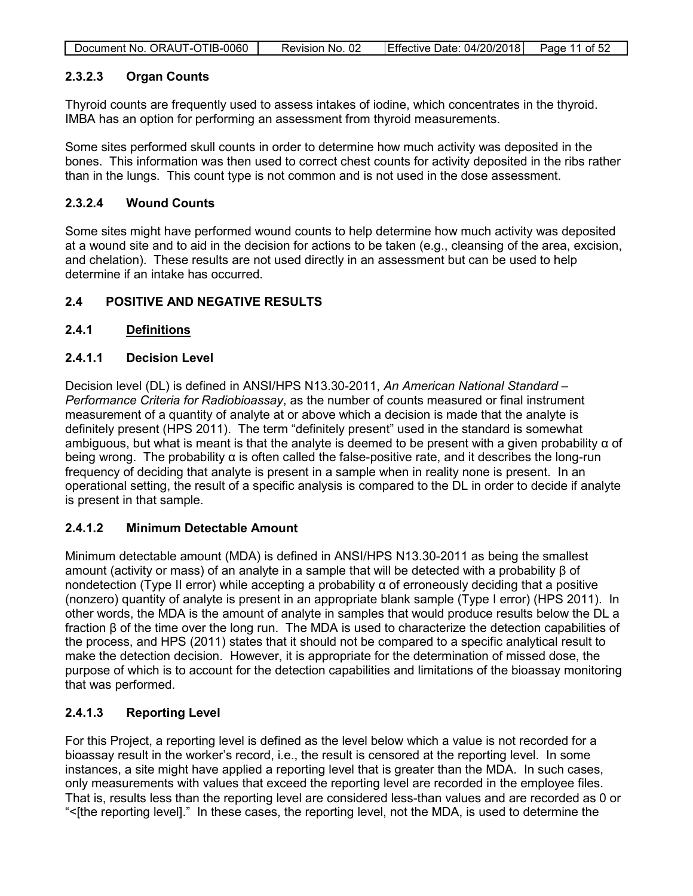| Document No. ORAUT-OTIB-0060 | Revision No. 02 | Effective Date: 04/20/2018 Page 11 of 52 |  |
|------------------------------|-----------------|------------------------------------------|--|
|                              |                 |                                          |  |

#### <span id="page-10-0"></span>**2.3.2.3 Organ Counts**

Thyroid counts are frequently used to assess intakes of iodine, which concentrates in the thyroid. IMBA has an option for performing an assessment from thyroid measurements.

Some sites performed skull counts in order to determine how much activity was deposited in the bones. This information was then used to correct chest counts for activity deposited in the ribs rather than in the lungs. This count type is not common and is not used in the dose assessment.

#### <span id="page-10-1"></span>**2.3.2.4 Wound Counts**

Some sites might have performed wound counts to help determine how much activity was deposited at a wound site and to aid in the decision for actions to be taken (e.g., cleansing of the area, excision, and chelation). These results are not used directly in an assessment but can be used to help determine if an intake has occurred.

## <span id="page-10-2"></span>**2.4 POSITIVE AND NEGATIVE RESULTS**

## <span id="page-10-3"></span>**2.4.1 Definitions**

#### <span id="page-10-4"></span>**2.4.1.1 Decision Level**

Decision level (DL) is defined in ANSI/HPS N13.30-2011, *An American National Standard – Performance Criteria for Radiobioassay*, as the number of counts measured or final instrument measurement of a quantity of analyte at or above which a decision is made that the analyte is definitely present (HPS 2011). The term "definitely present" used in the standard is somewhat ambiguous, but what is meant is that the analyte is deemed to be present with a given probability α of being wrong. The probability  $\alpha$  is often called the false-positive rate, and it describes the long-run frequency of deciding that analyte is present in a sample when in reality none is present. In an operational setting, the result of a specific analysis is compared to the DL in order to decide if analyte is present in that sample.

## <span id="page-10-5"></span>**2.4.1.2 Minimum Detectable Amount**

Minimum detectable amount (MDA) is defined in ANSI/HPS N13.30-2011 as being the smallest amount (activity or mass) of an analyte in a sample that will be detected with a probability β of nondetection (Type II error) while accepting a probability  $\alpha$  of erroneously deciding that a positive (nonzero) quantity of analyte is present in an appropriate blank sample (Type I error) (HPS 2011). In other words, the MDA is the amount of analyte in samples that would produce results below the DL a fraction β of the time over the long run. The MDA is used to characterize the detection capabilities of the process, and HPS (2011) states that it should not be compared to a specific analytical result to make the detection decision. However, it is appropriate for the determination of missed dose, the purpose of which is to account for the detection capabilities and limitations of the bioassay monitoring that was performed.

## <span id="page-10-6"></span>**2.4.1.3 Reporting Level**

For this Project, a reporting level is defined as the level below which a value is not recorded for a bioassay result in the worker's record, i.e., the result is censored at the reporting level. In some instances, a site might have applied a reporting level that is greater than the MDA. In such cases, only measurements with values that exceed the reporting level are recorded in the employee files. That is, results less than the reporting level are considered less-than values and are recorded as 0 or "<[the reporting level]." In these cases, the reporting level, not the MDA, is used to determine the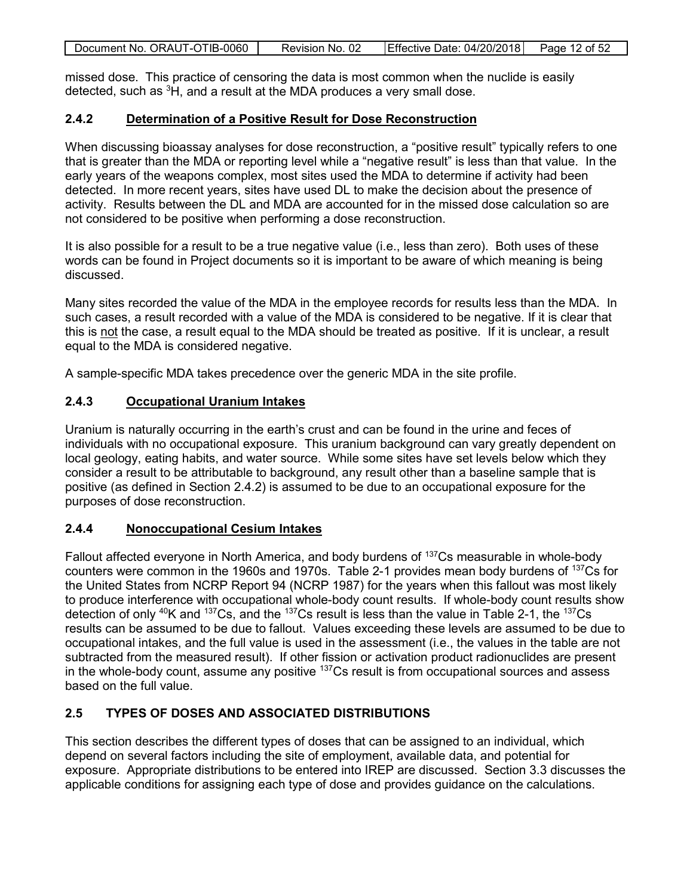| Document No. ORAUT-OTIB-0060 | Revision No. 02 | Effective Date: 04/20/2018 | Page 12 of 52 |
|------------------------------|-----------------|----------------------------|---------------|
|                              |                 |                            |               |

missed dose. This practice of censoring the data is most common when the nuclide is easily detected, such as <sup>3</sup>H, and a result at the MDA produces a very small dose.

## <span id="page-11-0"></span>**2.4.2 Determination of a Positive Result for Dose Reconstruction**

When discussing bioassay analyses for dose reconstruction, a "positive result" typically refers to one that is greater than the MDA or reporting level while a "negative result" is less than that value. In the early years of the weapons complex, most sites used the MDA to determine if activity had been detected. In more recent years, sites have used DL to make the decision about the presence of activity. Results between the DL and MDA are accounted for in the missed dose calculation so are not considered to be positive when performing a dose reconstruction.

It is also possible for a result to be a true negative value (i.e., less than zero). Both uses of these words can be found in Project documents so it is important to be aware of which meaning is being discussed.

Many sites recorded the value of the MDA in the employee records for results less than the MDA. In such cases, a result recorded with a value of the MDA is considered to be negative. If it is clear that this is not the case, a result equal to the MDA should be treated as positive. If it is unclear, a result equal to the MDA is considered negative.

A sample-specific MDA takes precedence over the generic MDA in the site profile.

#### <span id="page-11-1"></span>**2.4.3 Occupational Uranium Intakes**

Uranium is naturally occurring in the earth's crust and can be found in the urine and feces of individuals with no occupational exposure. This uranium background can vary greatly dependent on local geology, eating habits, and water source. While some sites have set levels below which they consider a result to be attributable to background, any result other than a baseline sample that is positive (as defined in Section 2.4.2) is assumed to be due to an occupational exposure for the purposes of dose reconstruction.

#### <span id="page-11-2"></span>**2.4.4 Nonoccupational Cesium Intakes**

Fallout affected everyone in North America, and body burdens of <sup>137</sup>Cs measurable in whole-body counters were common in the 1960s and 1970s. Table 2-1 provides mean body burdens of 137Cs for the United States from NCRP Report 94 (NCRP 1987) for the years when this fallout was most likely to produce interference with occupational whole-body count results. If whole-body count results show detection of only  $40K$  and  $137Cs$ , and the  $137Cs$  result is less than the value in Table 2-1, the  $137Cs$ results can be assumed to be due to fallout. Values exceeding these levels are assumed to be due to occupational intakes, and the full value is used in the assessment (i.e., the values in the table are not subtracted from the measured result). If other fission or activation product radionuclides are present in the whole-body count, assume any positive  $137Cs$  result is from occupational sources and assess based on the full value.

## <span id="page-11-3"></span>**2.5 TYPES OF DOSES AND ASSOCIATED DISTRIBUTIONS**

This section describes the different types of doses that can be assigned to an individual, which depend on several factors including the site of employment, available data, and potential for exposure. Appropriate distributions to be entered into IREP are discussed. Section 3.3 discusses the applicable conditions for assigning each type of dose and provides guidance on the calculations.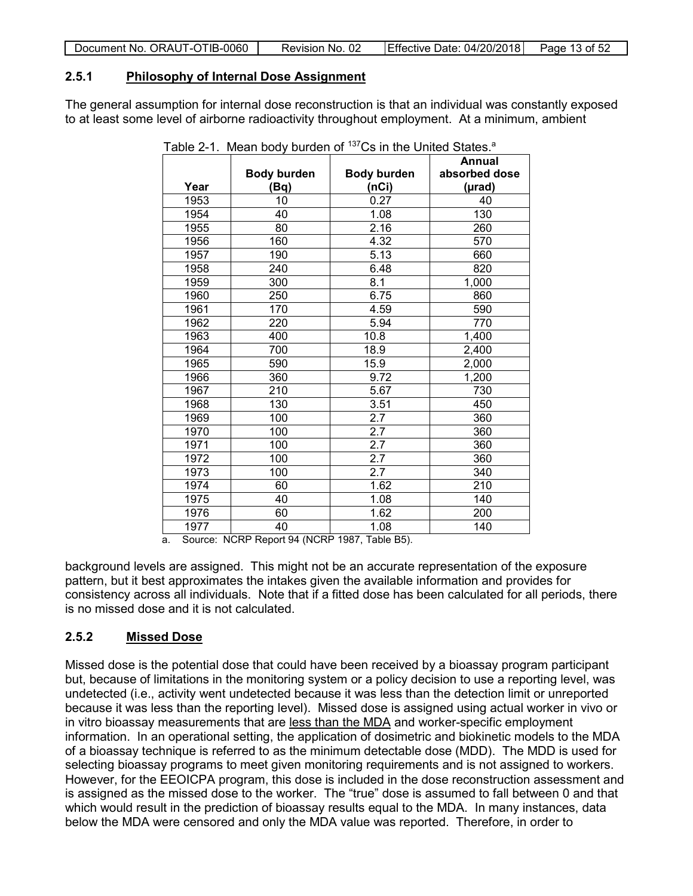| Document No. ORAUT-OTIB-0060 | Revision No. 02 | Effective Date: 04/20/2018 Page 13 of 52 |  |
|------------------------------|-----------------|------------------------------------------|--|

## <span id="page-12-0"></span>**2.5.1 Philosophy of Internal Dose Assignment**

The general assumption for internal dose reconstruction is that an individual was constantly exposed to at least some level of airborne radioactivity throughout employment. At a minimum, ambient

<span id="page-12-2"></span>

|      | .                  |                    |               |
|------|--------------------|--------------------|---------------|
|      |                    |                    | Annual        |
|      | <b>Body burden</b> | <b>Body burden</b> | absorbed dose |
| Year | (Bq)               | (nCi)              | (µrad)        |
| 1953 | 10                 | 0.27               | 40            |
| 1954 | 40                 | 1.08               | 130           |
| 1955 | 80                 | 2.16               | 260           |
| 1956 | 160                | 4.32               | 570           |
| 1957 | 190                | 5.13               | 660           |
| 1958 | 240                | 6.48               | 820           |
| 1959 | 300                | 8.1                | 1,000         |
| 1960 | 250                | 6.75               | 860           |
| 1961 | 170                | 4.59               | 590           |
| 1962 | 220                | 5.94               | 770           |
| 1963 | 400                | 10.8               | 1,400         |
| 1964 | 700                | 18.9               | 2,400         |
| 1965 | 590                | 15.9               | 2,000         |
| 1966 | 360                | 9.72               | 1,200         |
| 1967 | 210                | 5.67               | 730           |
| 1968 | 130                | 3.51               | 450           |
| 1969 | 100                | 2.7                | 360           |
| 1970 | 100                | 2.7                | 360           |
| 1971 | 100                | 2.7                | 360           |
| 1972 | 100                | 2.7                | 360           |
| 1973 | 100                | 2.7                | 340           |
| 1974 | 60                 | 1.62               | 210           |
| 1975 | 40                 | 1.08               | 140           |
| 1976 | 60                 | 1.62               | 200           |
| 1977 | 40                 | 1.08               | 140           |

Table 2-1. Mean body burden of  $137Cs$  in the United States.<sup>a</sup>

a. Source: NCRP Report 94 (NCRP 1987, Table B5).

background levels are assigned. This might not be an accurate representation of the exposure pattern, but it best approximates the intakes given the available information and provides for consistency across all individuals. Note that if a fitted dose has been calculated for all periods, there is no missed dose and it is not calculated.

## <span id="page-12-1"></span>**2.5.2 Missed Dose**

Missed dose is the potential dose that could have been received by a bioassay program participant but, because of limitations in the monitoring system or a policy decision to use a reporting level, was undetected (i.e., activity went undetected because it was less than the detection limit or unreported because it was less than the reporting level). Missed dose is assigned using actual worker in vivo or in vitro bioassay measurements that are less than the MDA and worker-specific employment information. In an operational setting, the application of dosimetric and biokinetic models to the MDA of a bioassay technique is referred to as the minimum detectable dose (MDD). The MDD is used for selecting bioassay programs to meet given monitoring requirements and is not assigned to workers. However, for the EEOICPA program, this dose is included in the dose reconstruction assessment and is assigned as the missed dose to the worker. The "true" dose is assumed to fall between 0 and that which would result in the prediction of bioassay results equal to the MDA. In many instances, data below the MDA were censored and only the MDA value was reported. Therefore, in order to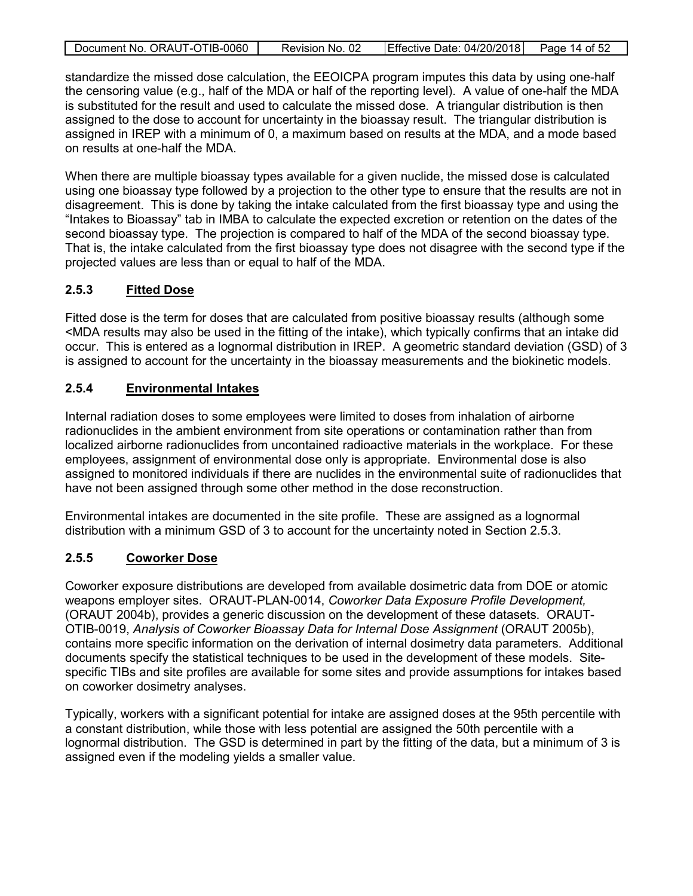| Document No. ORAUT-OTIB-0060 | Revision No. 02 | Effective Date: $04/20/2018$ Page 14 of 52 |  |
|------------------------------|-----------------|--------------------------------------------|--|
|                              |                 |                                            |  |

standardize the missed dose calculation, the EEOICPA program imputes this data by using one-half the censoring value (e.g., half of the MDA or half of the reporting level). A value of one-half the MDA is substituted for the result and used to calculate the missed dose. A triangular distribution is then assigned to the dose to account for uncertainty in the bioassay result. The triangular distribution is assigned in IREP with a minimum of 0, a maximum based on results at the MDA, and a mode based on results at one-half the MDA.

When there are multiple bioassay types available for a given nuclide, the missed dose is calculated using one bioassay type followed by a projection to the other type to ensure that the results are not in disagreement. This is done by taking the intake calculated from the first bioassay type and using the "Intakes to Bioassay" tab in IMBA to calculate the expected excretion or retention on the dates of the second bioassay type. The projection is compared to half of the MDA of the second bioassay type. That is, the intake calculated from the first bioassay type does not disagree with the second type if the projected values are less than or equal to half of the MDA.

## <span id="page-13-0"></span>**2.5.3 Fitted Dose**

Fitted dose is the term for doses that are calculated from positive bioassay results (although some <MDA results may also be used in the fitting of the intake), which typically confirms that an intake did occur. This is entered as a lognormal distribution in IREP. A geometric standard deviation (GSD) of 3 is assigned to account for the uncertainty in the bioassay measurements and the biokinetic models.

## <span id="page-13-1"></span>**2.5.4 Environmental Intakes**

Internal radiation doses to some employees were limited to doses from inhalation of airborne radionuclides in the ambient environment from site operations or contamination rather than from localized airborne radionuclides from uncontained radioactive materials in the workplace. For these employees, assignment of environmental dose only is appropriate. Environmental dose is also assigned to monitored individuals if there are nuclides in the environmental suite of radionuclides that have not been assigned through some other method in the dose reconstruction.

Environmental intakes are documented in the site profile. These are assigned as a lognormal distribution with a minimum GSD of 3 to account for the uncertainty noted in Section 2.5.3.

## <span id="page-13-2"></span>**2.5.5 Coworker Dose**

Coworker exposure distributions are developed from available dosimetric data from DOE or atomic weapons employer sites. ORAUT-PLAN-0014, *Coworker Data Exposure Profile Development,* (ORAUT 2004b), provides a generic discussion on the development of these datasets. ORAUT-OTIB-0019, *Analysis of Coworker Bioassay Data for Internal Dose Assignment* (ORAUT 2005b), contains more specific information on the derivation of internal dosimetry data parameters. Additional documents specify the statistical techniques to be used in the development of these models. Sitespecific TIBs and site profiles are available for some sites and provide assumptions for intakes based on coworker dosimetry analyses.

Typically, workers with a significant potential for intake are assigned doses at the 95th percentile with a constant distribution, while those with less potential are assigned the 50th percentile with a lognormal distribution. The GSD is determined in part by the fitting of the data, but a minimum of 3 is assigned even if the modeling yields a smaller value.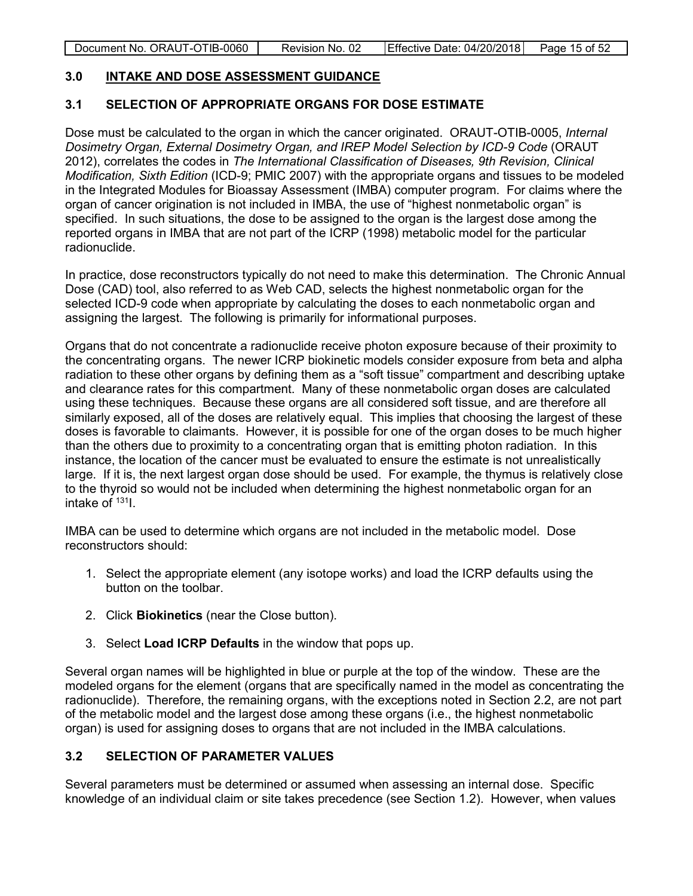Document No. ORAUT-OTIB-0060 Revision No. 02 Effective Date: 04/20/2018 Page 15 of 52

#### <span id="page-14-0"></span>**3.0 INTAKE AND DOSE ASSESSMENT GUIDANCE**

#### <span id="page-14-1"></span>**3.1 SELECTION OF APPROPRIATE ORGANS FOR DOSE ESTIMATE**

Dose must be calculated to the organ in which the cancer originated. ORAUT-OTIB-0005, *Internal Dosimetry Organ, External Dosimetry Organ, and IREP Model Selection by ICD-9 Code* (ORAUT 2012), correlates the codes in *The International Classification of Diseases, 9th Revision, Clinical Modification, Sixth Edition* (ICD-9; PMIC 2007) with the appropriate organs and tissues to be modeled in the Integrated Modules for Bioassay Assessment (IMBA) computer program. For claims where the organ of cancer origination is not included in IMBA, the use of "highest nonmetabolic organ" is specified. In such situations, the dose to be assigned to the organ is the largest dose among the reported organs in IMBA that are not part of the ICRP (1998) metabolic model for the particular radionuclide.

In practice, dose reconstructors typically do not need to make this determination. The Chronic Annual Dose (CAD) tool, also referred to as Web CAD, selects the highest nonmetabolic organ for the selected ICD-9 code when appropriate by calculating the doses to each nonmetabolic organ and assigning the largest. The following is primarily for informational purposes.

Organs that do not concentrate a radionuclide receive photon exposure because of their proximity to the concentrating organs. The newer ICRP biokinetic models consider exposure from beta and alpha radiation to these other organs by defining them as a "soft tissue" compartment and describing uptake and clearance rates for this compartment. Many of these nonmetabolic organ doses are calculated using these techniques. Because these organs are all considered soft tissue, and are therefore all similarly exposed, all of the doses are relatively equal. This implies that choosing the largest of these doses is favorable to claimants. However, it is possible for one of the organ doses to be much higher than the others due to proximity to a concentrating organ that is emitting photon radiation. In this instance, the location of the cancer must be evaluated to ensure the estimate is not unrealistically large. If it is, the next largest organ dose should be used. For example, the thymus is relatively close to the thyroid so would not be included when determining the highest nonmetabolic organ for an intake of  $131$ .

IMBA can be used to determine which organs are not included in the metabolic model. Dose reconstructors should:

- 1. Select the appropriate element (any isotope works) and load the ICRP defaults using the button on the toolbar.
- 2. Click **Biokinetics** (near the Close button).
- 3. Select **Load ICRP Defaults** in the window that pops up.

Several organ names will be highlighted in blue or purple at the top of the window. These are the modeled organs for the element (organs that are specifically named in the model as concentrating the radionuclide). Therefore, the remaining organs, with the exceptions noted in Section 2.2, are not part of the metabolic model and the largest dose among these organs (i.e., the highest nonmetabolic organ) is used for assigning doses to organs that are not included in the IMBA calculations.

## <span id="page-14-2"></span>**3.2 SELECTION OF PARAMETER VALUES**

Several parameters must be determined or assumed when assessing an internal dose. Specific knowledge of an individual claim or site takes precedence (see Section 1.2). However, when values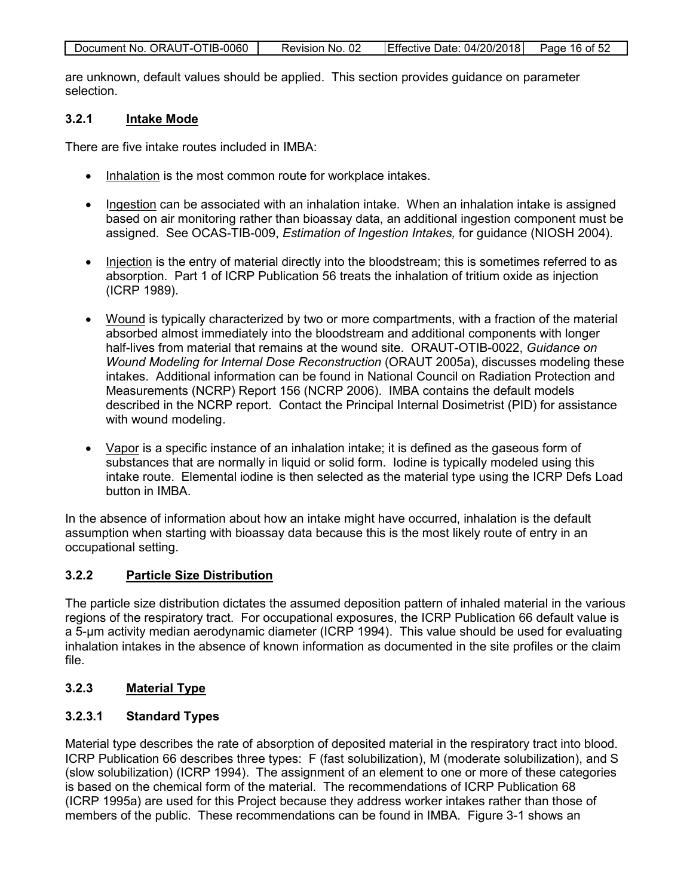| Document No. ORAUT-OTIB-0060 | Revision No. 02 | Effective Date: 04/20/2018 | Page 16 of 52 |
|------------------------------|-----------------|----------------------------|---------------|
|                              |                 |                            |               |

are unknown, default values should be applied. This section provides guidance on parameter selection.

## <span id="page-15-0"></span>**3.2.1 Intake Mode**

There are five intake routes included in IMBA:

- Inhalation is the most common route for workplace intakes.
- Ingestion can be associated with an inhalation intake. When an inhalation intake is assigned based on air monitoring rather than bioassay data, an additional ingestion component must be assigned. See OCAS-TIB-009, *Estimation of Ingestion Intakes,* for guidance (NIOSH 2004).
- Injection is the entry of material directly into the bloodstream; this is sometimes referred to as absorption. Part 1 of ICRP Publication 56 treats the inhalation of tritium oxide as injection (ICRP 1989).
- Wound is typically characterized by two or more compartments, with a fraction of the material absorbed almost immediately into the bloodstream and additional components with longer half-lives from material that remains at the wound site. ORAUT-OTIB-0022, *Guidance on Wound Modeling for Internal Dose Reconstruction* (ORAUT 2005a), discusses modeling these intakes. Additional information can be found in National Council on Radiation Protection and Measurements (NCRP) Report 156 (NCRP 2006). IMBA contains the default models described in the NCRP report. Contact the Principal Internal Dosimetrist (PID) for assistance with wound modeling.
- Vapor is a specific instance of an inhalation intake; it is defined as the gaseous form of substances that are normally in liquid or solid form. Iodine is typically modeled using this intake route. Elemental iodine is then selected as the material type using the ICRP Defs Load button in IMBA.

In the absence of information about how an intake might have occurred, inhalation is the default assumption when starting with bioassay data because this is the most likely route of entry in an occupational setting.

## <span id="page-15-1"></span>**3.2.2 Particle Size Distribution**

The particle size distribution dictates the assumed deposition pattern of inhaled material in the various regions of the respiratory tract. For occupational exposures, the ICRP Publication 66 default value is a 5-µm activity median aerodynamic diameter (ICRP 1994). This value should be used for evaluating inhalation intakes in the absence of known information as documented in the site profiles or the claim file.

## <span id="page-15-2"></span>**3.2.3 Material Type**

## <span id="page-15-3"></span>**3.2.3.1 Standard Types**

Material type describes the rate of absorption of deposited material in the respiratory tract into blood. ICRP Publication 66 describes three types: F (fast solubilization), M (moderate solubilization), and S (slow solubilization) (ICRP 1994). The assignment of an element to one or more of these categories is based on the chemical form of the material. The recommendations of ICRP Publication 68 (ICRP 1995a) are used for this Project because they address worker intakes rather than those of members of the public. These recommendations can be found in IMBA. Figure 3-1 shows an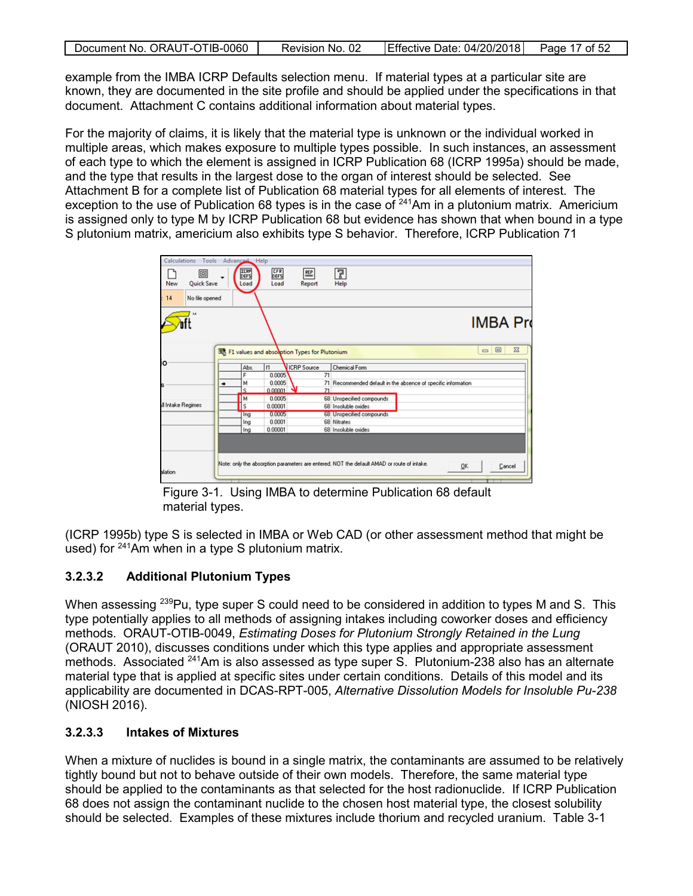| Document No. ORAUT-OTIB-0060 | Revision No. 02 | Effective Date: 04/20/2018 Page 17 of 52 |  |
|------------------------------|-----------------|------------------------------------------|--|

example from the IMBA ICRP Defaults selection menu. If material types at a particular site are known, they are documented in the site profile and should be applied under the specifications in that document. Attachment C contains additional information about material types.

For the majority of claims, it is likely that the material type is unknown or the individual worked in multiple areas, which makes exposure to multiple types possible. In such instances, an assessment of each type to which the element is assigned in ICRP Publication 68 (ICRP 1995a) should be made, and the type that results in the largest dose to the organ of interest should be selected. See Attachment B for a complete list of Publication 68 material types for all elements of interest. The exception to the use of Publication 68 types is in the case of <sup>241</sup>Am in a plutonium matrix. Americium is assigned only to type M by ICRP Publication 68 but evidence has shown that when bound in a type S plutonium matrix, americium also exhibits type S behavior. Therefore, ICRP Publication 71



<span id="page-16-2"></span>Figure 3-1. Using IMBA to determine Publication 68 default material types.

(ICRP 1995b) type S is selected in IMBA or Web CAD (or other assessment method that might be used) for <sup>241</sup>Am when in a type S plutonium matrix.

## <span id="page-16-0"></span>**3.2.3.2 Additional Plutonium Types**

When assessing <sup>239</sup>Pu, type super S could need to be considered in addition to types M and S. This type potentially applies to all methods of assigning intakes including coworker doses and efficiency methods. ORAUT-OTIB-0049, *Estimating Doses for Plutonium Strongly Retained in the Lung* (ORAUT 2010), discusses conditions under which this type applies and appropriate assessment methods. Associated <sup>241</sup>Am is also assessed as type super S. Plutonium-238 also has an alternate material type that is applied at specific sites under certain conditions. Details of this model and its applicability are documented in DCAS-RPT-005, *Alternative Dissolution Models for Insoluble Pu-238* (NIOSH 2016).

## <span id="page-16-1"></span>**3.2.3.3 Intakes of Mixtures**

When a mixture of nuclides is bound in a single matrix, the contaminants are assumed to be relatively tightly bound but not to behave outside of their own models. Therefore, the same material type should be applied to the contaminants as that selected for the host radionuclide. If ICRP Publication 68 does not assign the contaminant nuclide to the chosen host material type, the closest solubility should be selected. Examples of these mixtures include thorium and recycled uranium. Table 3-1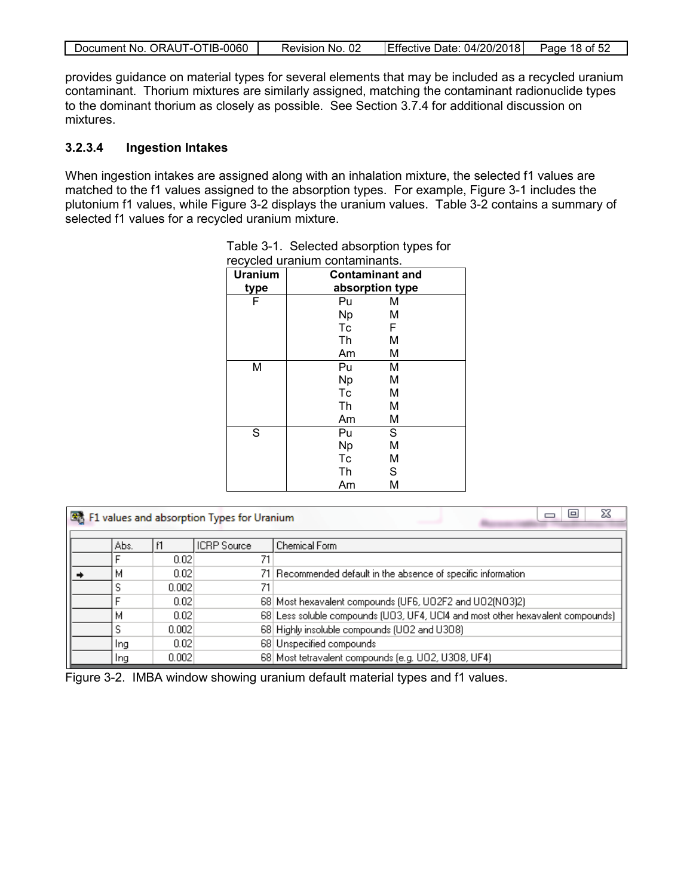|  | Document No. ORAUT-OTIB-0060 | Revision No. 02 | Effective Date: 04/20/2018 | Page 18 of 52 |
|--|------------------------------|-----------------|----------------------------|---------------|
|--|------------------------------|-----------------|----------------------------|---------------|

provides guidance on material types for several elements that may be included as a recycled uranium contaminant. Thorium mixtures are similarly assigned, matching the contaminant radionuclide types to the dominant thorium as closely as possible. See Section 3.7.4 for additional discussion on mixtures.

#### <span id="page-17-0"></span>**3.2.3.4 Ingestion Intakes**

When ingestion intakes are assigned along with an inhalation mixture, the selected f1 values are matched to the f1 values assigned to the absorption types. For example, Figure 3-1 includes the plutonium f1 values, while Figure 3-2 displays the uranium values. Table 3-2 contains a summary of selected f1 values for a recycled uranium mixture.

| recycled uranium contaminants. |                        |   |
|--------------------------------|------------------------|---|
| <b>Uranium</b>                 | <b>Contaminant and</b> |   |
| type                           | absorption type        |   |
| F                              | Pu                     | M |
|                                | <b>Np</b>              | М |
|                                | Tc                     | F |
|                                | Th                     | M |
|                                | Am                     | М |
| Μ                              | Pu                     | Μ |
|                                | <b>Np</b>              | M |
|                                | Tc                     | М |
|                                | Th                     | М |
|                                | Am                     | M |
| S                              | Pu                     | S |
|                                | <b>Np</b>              | M |
|                                | Tc                     | M |
|                                | Th                     | S |
|                                | Am                     | М |

<span id="page-17-1"></span>

| Table 3-1. Selected absorption types for |
|------------------------------------------|
| requeled uranium contaminante            |

|  |      |       | F1 values and absorption Types for Uranium | X<br>e                                                                         |
|--|------|-------|--------------------------------------------|--------------------------------------------------------------------------------|
|  | Abs. |       | <b>ICRP</b> Source                         | Chemical Form                                                                  |
|  |      | 0.02  | 71                                         |                                                                                |
|  | м    | 0.02  |                                            | 71 Recommended default in the absence of specific information                  |
|  | S    | 0.002 | 71                                         |                                                                                |
|  |      | 0.02  |                                            | 68 Most hexavalent compounds (UF6, UO2F2 and UO2(NO3)2)                        |
|  | M    | 0.02  |                                            | 68 Less soluble compounds (UO3, UF4, UCI4 and most other hexavalent compounds) |
|  |      | 0.002 |                                            | 68 Highly insoluble compounds (UO2 and U308)                                   |
|  | Ing  | 0.02  |                                            | 68 Unspecified compounds                                                       |
|  | Ing  | 0.002 |                                            | 68 Most tetravalent compounds (e.g. U02, U308, UF4)                            |

<span id="page-17-2"></span>Figure 3-2. IMBA window showing uranium default material types and f1 values.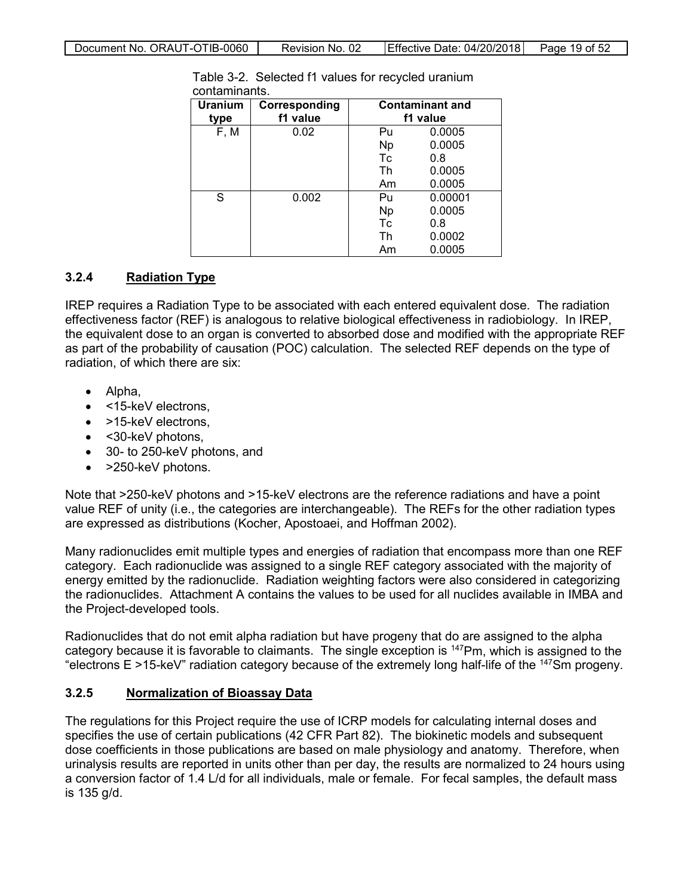| <b>Uranium</b><br>type | Corresponding<br>f1 value |           | <b>Contaminant and</b><br>f1 value |
|------------------------|---------------------------|-----------|------------------------------------|
| F, M                   | 0.02                      | Pu        | 0.0005                             |
|                        |                           | <b>Np</b> | 0.0005                             |
|                        |                           | Tc        | 0.8                                |
|                        |                           | Th        | 0.0005                             |
|                        |                           | Am        | 0.0005                             |
| S                      | 0.002                     | Pu        | 0.00001                            |
|                        |                           | <b>Np</b> | 0.0005                             |
|                        |                           | Tc        | 0.8                                |
|                        |                           | Th        | 0.0002                             |
|                        |                           | Am        | 0.0005                             |

<span id="page-18-2"></span>Table 3-2. Selected f1 values for recycled uranium contaminants.

## <span id="page-18-0"></span>**3.2.4 Radiation Type**

IREP requires a Radiation Type to be associated with each entered equivalent dose. The radiation effectiveness factor (REF) is analogous to relative biological effectiveness in radiobiology. In IREP, the equivalent dose to an organ is converted to absorbed dose and modified with the appropriate REF as part of the probability of causation (POC) calculation. The selected REF depends on the type of radiation, of which there are six:

- Alpha,
- <15-keV electrons.
- >15-keV electrons.
- < 30-keV photons,
- 30- to 250-keV photons, and
- >250-keV photons.

Note that >250-keV photons and >15-keV electrons are the reference radiations and have a point value REF of unity (i.e., the categories are interchangeable). The REFs for the other radiation types are expressed as distributions (Kocher, Apostoaei, and Hoffman 2002).

Many radionuclides emit multiple types and energies of radiation that encompass more than one REF category. Each radionuclide was assigned to a single REF category associated with the majority of energy emitted by the radionuclide. Radiation weighting factors were also considered in categorizing the radionuclides. Attachment A contains the values to be used for all nuclides available in IMBA and the Project-developed tools.

Radionuclides that do not emit alpha radiation but have progeny that do are assigned to the alpha category because it is favorable to claimants. The single exception is 147Pm, which is assigned to the "electrons  $E > 15$ -keV" radiation category because of the extremely long half-life of the  $147$ Sm progeny.

## <span id="page-18-1"></span>**3.2.5 Normalization of Bioassay Data**

The regulations for this Project require the use of ICRP models for calculating internal doses and specifies the use of certain publications (42 CFR Part 82). The biokinetic models and subsequent dose coefficients in those publications are based on male physiology and anatomy. Therefore, when urinalysis results are reported in units other than per day, the results are normalized to 24 hours using a conversion factor of 1.4 L/d for all individuals, male or female. For fecal samples, the default mass is 135 g/d.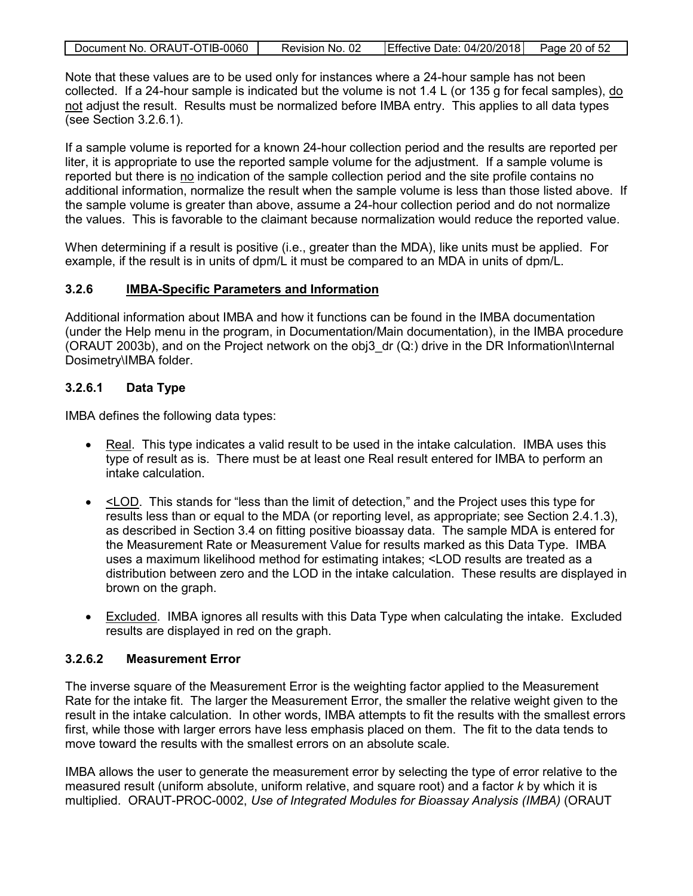|  | Document No. ORAUT-OTIB-0060 | Revision No. 02 | <b>Effective Date: 04/20/2018</b> | Page 20 of 52 |
|--|------------------------------|-----------------|-----------------------------------|---------------|
|--|------------------------------|-----------------|-----------------------------------|---------------|

Note that these values are to be used only for instances where a 24-hour sample has not been collected. If a 24-hour sample is indicated but the volume is not 1.4 L (or 135 g for fecal samples), do not adjust the result. Results must be normalized before IMBA entry. This applies to all data types (see Section 3.2.6.1).

If a sample volume is reported for a known 24-hour collection period and the results are reported per liter, it is appropriate to use the reported sample volume for the adjustment. If a sample volume is reported but there is no indication of the sample collection period and the site profile contains no additional information, normalize the result when the sample volume is less than those listed above. If the sample volume is greater than above, assume a 24-hour collection period and do not normalize the values. This is favorable to the claimant because normalization would reduce the reported value.

When determining if a result is positive (i.e., greater than the MDA), like units must be applied. For example, if the result is in units of dpm/L it must be compared to an MDA in units of dpm/L.

#### <span id="page-19-0"></span>**3.2.6 IMBA-Specific Parameters and Information**

Additional information about IMBA and how it functions can be found in the IMBA documentation (under the Help menu in the program, in Documentation/Main documentation), in the IMBA procedure (ORAUT 2003b), and on the Project network on the obj3  $dr$  (Q:) drive in the DR Information\Internal Dosimetry\IMBA folder.

#### <span id="page-19-1"></span>**3.2.6.1 Data Type**

IMBA defines the following data types:

- Real. This type indicates a valid result to be used in the intake calculation. IMBA uses this type of result as is. There must be at least one Real result entered for IMBA to perform an intake calculation.
- $\bullet$   $\leq$   $\leq$   $\leq$   $\leq$   $\leq$   $\leq$   $\leq$   $\leq$   $\leq$   $\leq$   $\leq$   $\leq$   $\leq$   $\leq$   $\leq$   $\leq$   $\leq$   $\leq$   $\leq$   $\leq$   $\leq$   $\leq$   $\leq$   $\leq$   $\leq$   $\leq$   $\leq$   $\leq$   $\leq$   $\leq$   $\leq$   $\leq$   $\leq$   $\leq$   $\leq$   $\leq$  results less than or equal to the MDA (or reporting level, as appropriate; see Section 2.4.1.3), as described in Section 3.4 on fitting positive bioassay data. The sample MDA is entered for the Measurement Rate or Measurement Value for results marked as this Data Type. IMBA uses a maximum likelihood method for estimating intakes; <LOD results are treated as a distribution between zero and the LOD in the intake calculation. These results are displayed in brown on the graph.
- Excluded. IMBA ignores all results with this Data Type when calculating the intake. Excluded results are displayed in red on the graph.

#### <span id="page-19-2"></span>**3.2.6.2 Measurement Error**

The inverse square of the Measurement Error is the weighting factor applied to the Measurement Rate for the intake fit. The larger the Measurement Error, the smaller the relative weight given to the result in the intake calculation. In other words, IMBA attempts to fit the results with the smallest errors first, while those with larger errors have less emphasis placed on them. The fit to the data tends to move toward the results with the smallest errors on an absolute scale.

IMBA allows the user to generate the measurement error by selecting the type of error relative to the measured result (uniform absolute, uniform relative, and square root) and a factor *k* by which it is multiplied. ORAUT-PROC-0002, *Use of Integrated Modules for Bioassay Analysis (IMBA)* (ORAUT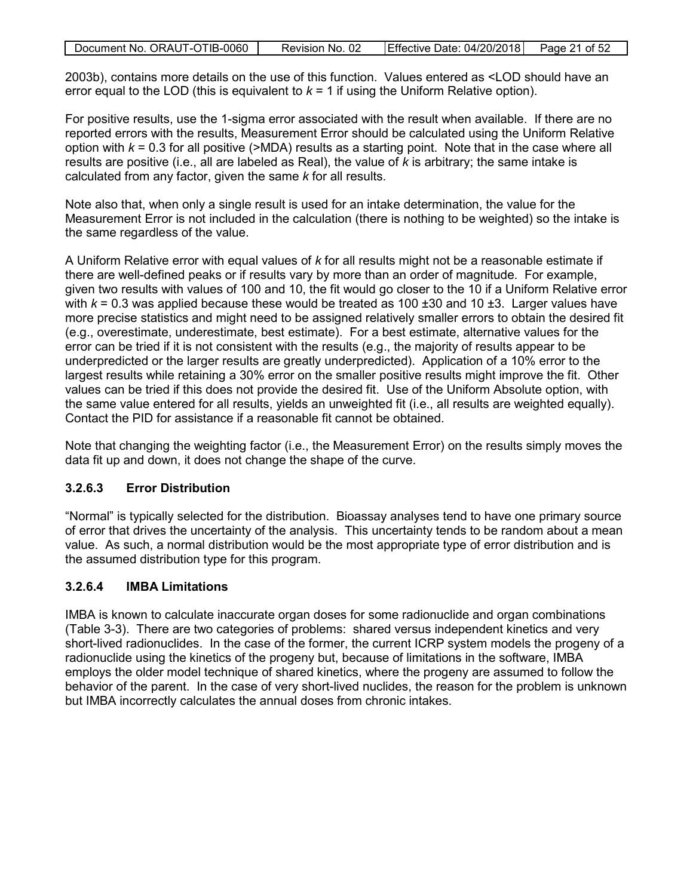| Document No. ORAUT-OTIB-0060 | Revision No. 02 | Effective Date: 04/20/2018 Page 21 of 52 |  |
|------------------------------|-----------------|------------------------------------------|--|
|                              |                 |                                          |  |

2003b), contains more details on the use of this function. Values entered as <LOD should have an error equal to the LOD (this is equivalent to  $k = 1$  if using the Uniform Relative option).

For positive results, use the 1-sigma error associated with the result when available. If there are no reported errors with the results, Measurement Error should be calculated using the Uniform Relative option with  $k = 0.3$  for all positive (>MDA) results as a starting point. Note that in the case where all results are positive (i.e., all are labeled as Real), the value of *k* is arbitrary; the same intake is calculated from any factor, given the same *k* for all results.

Note also that, when only a single result is used for an intake determination, the value for the Measurement Error is not included in the calculation (there is nothing to be weighted) so the intake is the same regardless of the value.

A Uniform Relative error with equal values of *k* for all results might not be a reasonable estimate if there are well-defined peaks or if results vary by more than an order of magnitude. For example, given two results with values of 100 and 10, the fit would go closer to the 10 if a Uniform Relative error with  $k = 0.3$  was applied because these would be treated as 100  $\pm$ 30 and 10  $\pm$ 3. Larger values have more precise statistics and might need to be assigned relatively smaller errors to obtain the desired fit (e.g., overestimate, underestimate, best estimate). For a best estimate, alternative values for the error can be tried if it is not consistent with the results (e.g., the majority of results appear to be underpredicted or the larger results are greatly underpredicted). Application of a 10% error to the largest results while retaining a 30% error on the smaller positive results might improve the fit. Other values can be tried if this does not provide the desired fit. Use of the Uniform Absolute option, with the same value entered for all results, yields an unweighted fit (i.e., all results are weighted equally). Contact the PID for assistance if a reasonable fit cannot be obtained.

Note that changing the weighting factor (i.e., the Measurement Error) on the results simply moves the data fit up and down, it does not change the shape of the curve.

## <span id="page-20-0"></span>**3.2.6.3 Error Distribution**

"Normal" is typically selected for the distribution. Bioassay analyses tend to have one primary source of error that drives the uncertainty of the analysis. This uncertainty tends to be random about a mean value. As such, a normal distribution would be the most appropriate type of error distribution and is the assumed distribution type for this program.

#### <span id="page-20-1"></span>**3.2.6.4 IMBA Limitations**

IMBA is known to calculate inaccurate organ doses for some radionuclide and organ combinations (Table 3-3). There are two categories of problems: shared versus independent kinetics and very short-lived radionuclides. In the case of the former, the current ICRP system models the progeny of a radionuclide using the kinetics of the progeny but, because of limitations in the software, IMBA employs the older model technique of shared kinetics, where the progeny are assumed to follow the behavior of the parent. In the case of very short-lived nuclides, the reason for the problem is unknown but IMBA incorrectly calculates the annual doses from chronic intakes.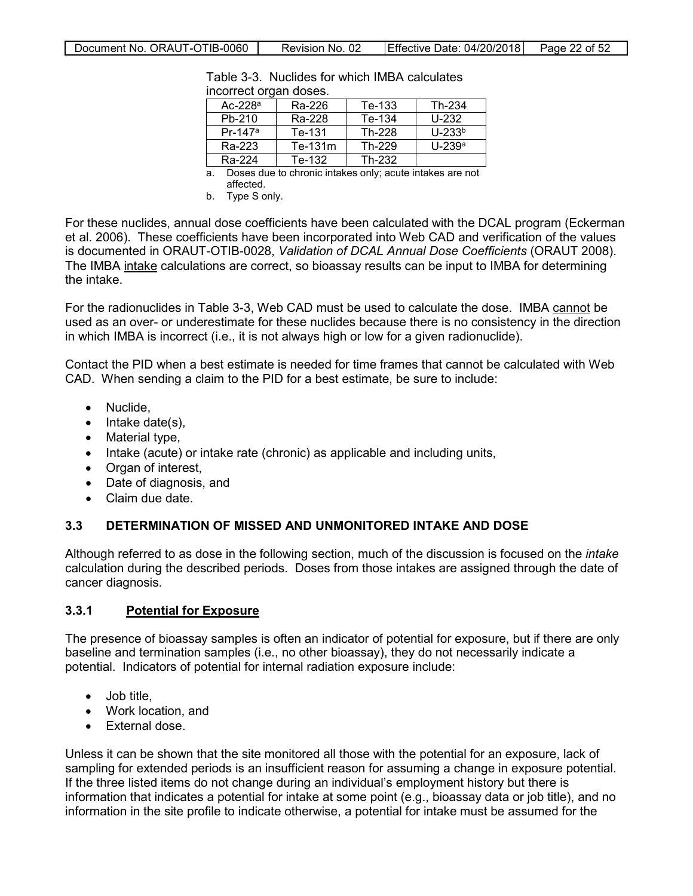<span id="page-21-2"></span>

| moon cot organ access. |           |                                                                                                                                                                                                                                |          |
|------------------------|-----------|--------------------------------------------------------------------------------------------------------------------------------------------------------------------------------------------------------------------------------|----------|
| Ac-22 $8a$             | Ra-226    | Te-133                                                                                                                                                                                                                         | Th-234   |
| Pb-210                 | Ra-228    | Te-134                                                                                                                                                                                                                         | $U-232$  |
| Pr-147 <sup>a</sup>    | Te-131    | Th-228                                                                                                                                                                                                                         | $U-233b$ |
| Ra-223                 | $Te-131m$ | Th-229                                                                                                                                                                                                                         | $U-239a$ |
| Ra-224                 | Te-132    | Th-232                                                                                                                                                                                                                         |          |
|                        |           | and the contract of the contract of the contract of the contract of the contract of the contract of the contract of the contract of the contract of the contract of the contract of the contract of the contract of the contra |          |

Table 3-3. Nuclides for which IMBA calculates incorrect organ doses.

a. Doses due to chronic intakes only; acute intakes are not affected.

b. Type S only.

For these nuclides, annual dose coefficients have been calculated with the DCAL program (Eckerman et al. 2006). These coefficients have been incorporated into Web CAD and verification of the values is documented in ORAUT-OTIB-0028, *Validation of DCAL Annual Dose Coefficients* (ORAUT 2008). The IMBA intake calculations are correct, so bioassay results can be input to IMBA for determining the intake.

For the radionuclides in Table 3-3, Web CAD must be used to calculate the dose. IMBA cannot be used as an over- or underestimate for these nuclides because there is no consistency in the direction in which IMBA is incorrect (i.e., it is not always high or low for a given radionuclide).

Contact the PID when a best estimate is needed for time frames that cannot be calculated with Web CAD. When sending a claim to the PID for a best estimate, be sure to include:

- Nuclide,
- Intake date(s),
- Material type,
- Intake (acute) or intake rate (chronic) as applicable and including units,
- Organ of interest,
- Date of diagnosis, and
- Claim due date.

#### <span id="page-21-0"></span>**3.3 DETERMINATION OF MISSED AND UNMONITORED INTAKE AND DOSE**

Although referred to as dose in the following section, much of the discussion is focused on the *intake* calculation during the described periods. Doses from those intakes are assigned through the date of cancer diagnosis.

#### <span id="page-21-1"></span>**3.3.1 Potential for Exposure**

The presence of bioassay samples is often an indicator of potential for exposure, but if there are only baseline and termination samples (i.e., no other bioassay), they do not necessarily indicate a potential. Indicators of potential for internal radiation exposure include:

- Job title,
- Work location, and
- External dose.

Unless it can be shown that the site monitored all those with the potential for an exposure, lack of sampling for extended periods is an insufficient reason for assuming a change in exposure potential. If the three listed items do not change during an individual's employment history but there is information that indicates a potential for intake at some point (e.g., bioassay data or job title), and no information in the site profile to indicate otherwise, a potential for intake must be assumed for the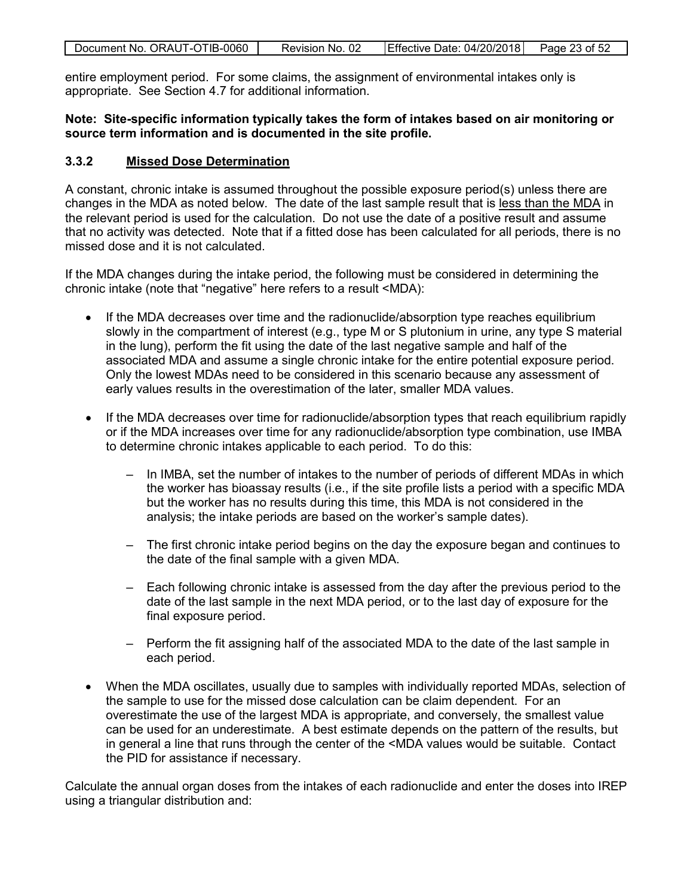|  | Document No. ORAUT-OTIB-0060 | Revision No. 02 | Effective Date: 04/20/2018 | Page 23 of 52 |
|--|------------------------------|-----------------|----------------------------|---------------|
|--|------------------------------|-----------------|----------------------------|---------------|

entire employment period. For some claims, the assignment of environmental intakes only is appropriate. See Section 4.7 for additional information.

#### **Note: Site-specific information typically takes the form of intakes based on air monitoring or source term information and is documented in the site profile.**

#### <span id="page-22-0"></span>**3.3.2 Missed Dose Determination**

A constant, chronic intake is assumed throughout the possible exposure period(s) unless there are changes in the MDA as noted below. The date of the last sample result that is less than the MDA in the relevant period is used for the calculation. Do not use the date of a positive result and assume that no activity was detected. Note that if a fitted dose has been calculated for all periods, there is no missed dose and it is not calculated.

If the MDA changes during the intake period, the following must be considered in determining the chronic intake (note that "negative" here refers to a result <MDA):

- If the MDA decreases over time and the radionuclide/absorption type reaches equilibrium slowly in the compartment of interest (e.g., type M or S plutonium in urine, any type S material in the lung), perform the fit using the date of the last negative sample and half of the associated MDA and assume a single chronic intake for the entire potential exposure period. Only the lowest MDAs need to be considered in this scenario because any assessment of early values results in the overestimation of the later, smaller MDA values.
- If the MDA decreases over time for radionuclide/absorption types that reach equilibrium rapidly or if the MDA increases over time for any radionuclide/absorption type combination, use IMBA to determine chronic intakes applicable to each period. To do this:
	- In IMBA, set the number of intakes to the number of periods of different MDAs in which the worker has bioassay results (i.e., if the site profile lists a period with a specific MDA but the worker has no results during this time, this MDA is not considered in the analysis; the intake periods are based on the worker's sample dates).
	- The first chronic intake period begins on the day the exposure began and continues to the date of the final sample with a given MDA.
	- Each following chronic intake is assessed from the day after the previous period to the date of the last sample in the next MDA period, or to the last day of exposure for the final exposure period.
	- Perform the fit assigning half of the associated MDA to the date of the last sample in each period.
- When the MDA oscillates, usually due to samples with individually reported MDAs, selection of the sample to use for the missed dose calculation can be claim dependent. For an overestimate the use of the largest MDA is appropriate, and conversely, the smallest value can be used for an underestimate. A best estimate depends on the pattern of the results, but in general a line that runs through the center of the <MDA values would be suitable. Contact the PID for assistance if necessary.

Calculate the annual organ doses from the intakes of each radionuclide and enter the doses into IREP using a triangular distribution and: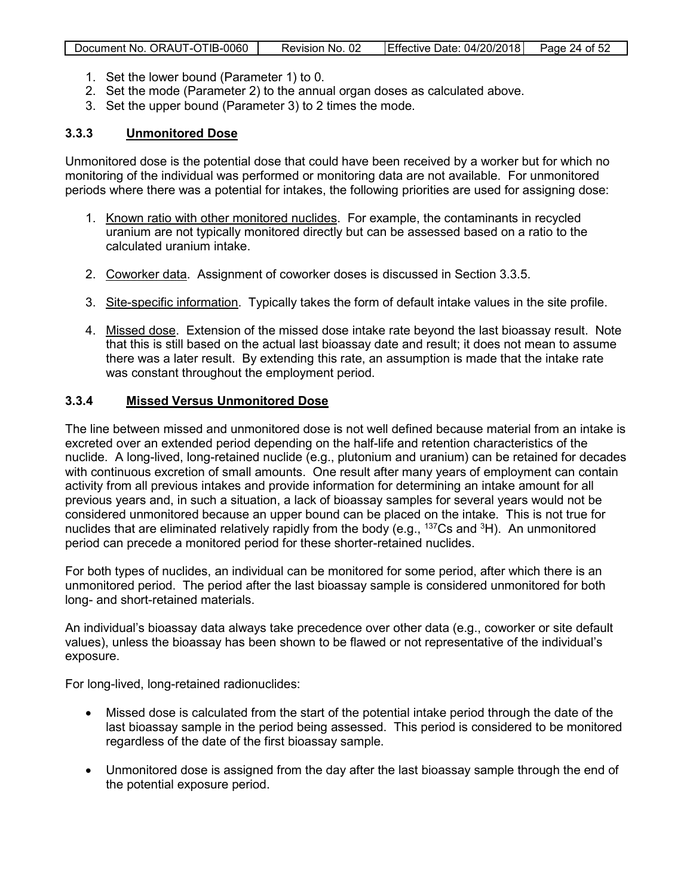| Document No. ORAUT-OTIB-0060 | Revision No. 02 | Effective Date: 04/20/2018 | Page 24 of 52 |
|------------------------------|-----------------|----------------------------|---------------|
|                              |                 |                            |               |

- 1. Set the lower bound (Parameter 1) to 0.
- 2. Set the mode (Parameter 2) to the annual organ doses as calculated above.
- 3. Set the upper bound (Parameter 3) to 2 times the mode.

#### <span id="page-23-0"></span>**3.3.3 Unmonitored Dose**

Unmonitored dose is the potential dose that could have been received by a worker but for which no monitoring of the individual was performed or monitoring data are not available. For unmonitored periods where there was a potential for intakes, the following priorities are used for assigning dose:

- 1. Known ratio with other monitored nuclides. For example, the contaminants in recycled uranium are not typically monitored directly but can be assessed based on a ratio to the calculated uranium intake.
- 2. Coworker data. Assignment of coworker doses is discussed in Section 3.3.5.
- 3. Site-specific information. Typically takes the form of default intake values in the site profile.
- 4. Missed dose. Extension of the missed dose intake rate beyond the last bioassay result. Note that this is still based on the actual last bioassay date and result; it does not mean to assume there was a later result. By extending this rate, an assumption is made that the intake rate was constant throughout the employment period.

#### <span id="page-23-1"></span>**3.3.4 Missed Versus Unmonitored Dose**

The line between missed and unmonitored dose is not well defined because material from an intake is excreted over an extended period depending on the half-life and retention characteristics of the nuclide. A long-lived, long-retained nuclide (e.g., plutonium and uranium) can be retained for decades with continuous excretion of small amounts. One result after many years of employment can contain activity from all previous intakes and provide information for determining an intake amount for all previous years and, in such a situation, a lack of bioassay samples for several years would not be considered unmonitored because an upper bound can be placed on the intake. This is not true for nuclides that are eliminated relatively rapidly from the body (e.g., <sup>137</sup>Cs and <sup>3</sup>H). An unmonitored period can precede a monitored period for these shorter-retained nuclides.

For both types of nuclides, an individual can be monitored for some period, after which there is an unmonitored period. The period after the last bioassay sample is considered unmonitored for both long- and short-retained materials.

An individual's bioassay data always take precedence over other data (e.g., coworker or site default values), unless the bioassay has been shown to be flawed or not representative of the individual's exposure.

For long-lived, long-retained radionuclides:

- Missed dose is calculated from the start of the potential intake period through the date of the last bioassay sample in the period being assessed. This period is considered to be monitored regardless of the date of the first bioassay sample.
- Unmonitored dose is assigned from the day after the last bioassay sample through the end of the potential exposure period.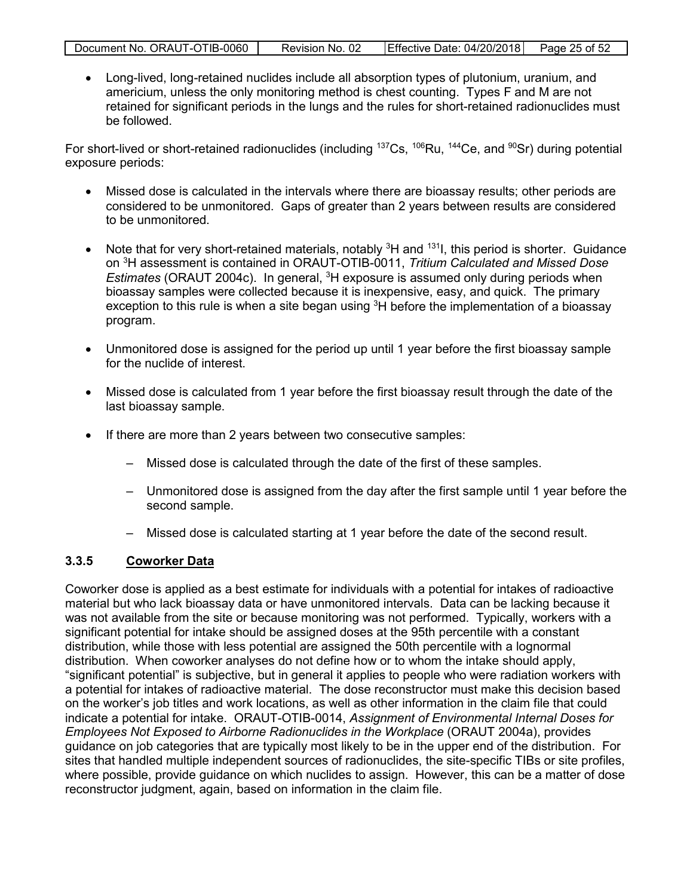|--|

• Long-lived, long-retained nuclides include all absorption types of plutonium, uranium, and americium, unless the only monitoring method is chest counting. Types F and M are not retained for significant periods in the lungs and the rules for short-retained radionuclides must be followed.

For short-lived or short-retained radionuclides (including  $137Cs$ ,  $106Ru$ ,  $144Ce$ , and  $90Sr$ ) during potential exposure periods:

- Missed dose is calculated in the intervals where there are bioassay results; other periods are considered to be unmonitored. Gaps of greater than 2 years between results are considered to be unmonitored.
- Note that for very short-retained materials, notably  ${}^{3}H$  and  ${}^{131}I$ , this period is shorter. Guidance on 3 H assessment is contained in ORAUT-OTIB-0011, *Tritium Calculated and Missed Dose*  Estimates (ORAUT 2004c). In general, <sup>3</sup>H exposure is assumed only during periods when bioassay samples were collected because it is inexpensive, easy, and quick. The primary exception to this rule is when a site began using <sup>3</sup>H before the implementation of a bioassay program.
- Unmonitored dose is assigned for the period up until 1 year before the first bioassay sample for the nuclide of interest.
- Missed dose is calculated from 1 year before the first bioassay result through the date of the last bioassay sample.
- If there are more than 2 years between two consecutive samples:
	- Missed dose is calculated through the date of the first of these samples.
	- Unmonitored dose is assigned from the day after the first sample until 1 year before the second sample.
	- Missed dose is calculated starting at 1 year before the date of the second result.

#### <span id="page-24-0"></span>**3.3.5 Coworker Data**

Coworker dose is applied as a best estimate for individuals with a potential for intakes of radioactive material but who lack bioassay data or have unmonitored intervals. Data can be lacking because it was not available from the site or because monitoring was not performed. Typically, workers with a significant potential for intake should be assigned doses at the 95th percentile with a constant distribution, while those with less potential are assigned the 50th percentile with a lognormal distribution. When coworker analyses do not define how or to whom the intake should apply, "significant potential" is subjective, but in general it applies to people who were radiation workers with a potential for intakes of radioactive material. The dose reconstructor must make this decision based on the worker's job titles and work locations, as well as other information in the claim file that could indicate a potential for intake. ORAUT-OTIB-0014, *Assignment of Environmental Internal Doses for Employees Not Exposed to Airborne Radionuclides in the Workplace* (ORAUT 2004a), provides guidance on job categories that are typically most likely to be in the upper end of the distribution. For sites that handled multiple independent sources of radionuclides, the site-specific TIBs or site profiles, where possible, provide guidance on which nuclides to assign. However, this can be a matter of dose reconstructor judgment, again, based on information in the claim file.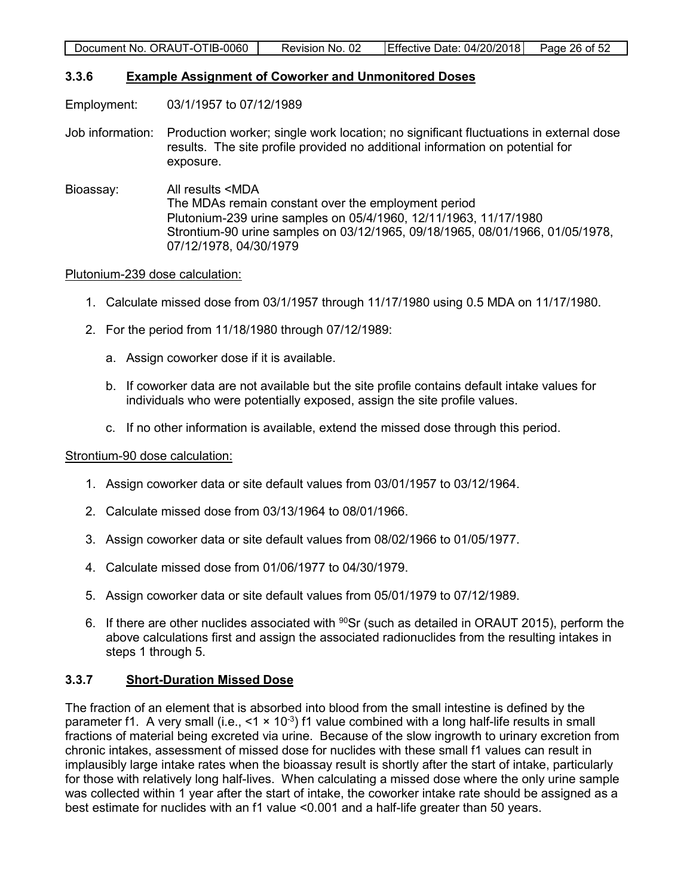#### <span id="page-25-0"></span>**3.3.6 Example Assignment of Coworker and Unmonitored Doses**

Employment: 03/1/1957 to 07/12/1989

- Job information: Production worker; single work location; no significant fluctuations in external dose results. The site profile provided no additional information on potential for exposure.
- Bioassay: All results <MDA The MDAs remain constant over the employment period Plutonium-239 urine samples on 05/4/1960, 12/11/1963, 11/17/1980 Strontium-90 urine samples on 03/12/1965, 09/18/1965, 08/01/1966, 01/05/1978, 07/12/1978, 04/30/1979

#### Plutonium-239 dose calculation:

- 1. Calculate missed dose from 03/1/1957 through 11/17/1980 using 0.5 MDA on 11/17/1980.
- 2. For the period from 11/18/1980 through 07/12/1989:
	- a. Assign coworker dose if it is available.
	- b. If coworker data are not available but the site profile contains default intake values for individuals who were potentially exposed, assign the site profile values.
	- c. If no other information is available, extend the missed dose through this period.

#### Strontium-90 dose calculation:

- 1. Assign coworker data or site default values from 03/01/1957 to 03/12/1964.
- 2. Calculate missed dose from 03/13/1964 to 08/01/1966.
- 3. Assign coworker data or site default values from 08/02/1966 to 01/05/1977.
- 4. Calculate missed dose from 01/06/1977 to 04/30/1979.
- 5. Assign coworker data or site default values from 05/01/1979 to 07/12/1989.
- 6. If there are other nuclides associated with  $90$ Sr (such as detailed in ORAUT 2015), perform the above calculations first and assign the associated radionuclides from the resulting intakes in steps 1 through 5.

## <span id="page-25-1"></span>**3.3.7 Short-Duration Missed Dose**

The fraction of an element that is absorbed into blood from the small intestine is defined by the parameter f1. A very small (i.e.,  $\leq 1 \times 10^{-3}$ ) f1 value combined with a long half-life results in small fractions of material being excreted via urine. Because of the slow ingrowth to urinary excretion from chronic intakes, assessment of missed dose for nuclides with these small f1 values can result in implausibly large intake rates when the bioassay result is shortly after the start of intake, particularly for those with relatively long half-lives. When calculating a missed dose where the only urine sample was collected within 1 year after the start of intake, the coworker intake rate should be assigned as a best estimate for nuclides with an f1 value <0.001 and a half-life greater than 50 years.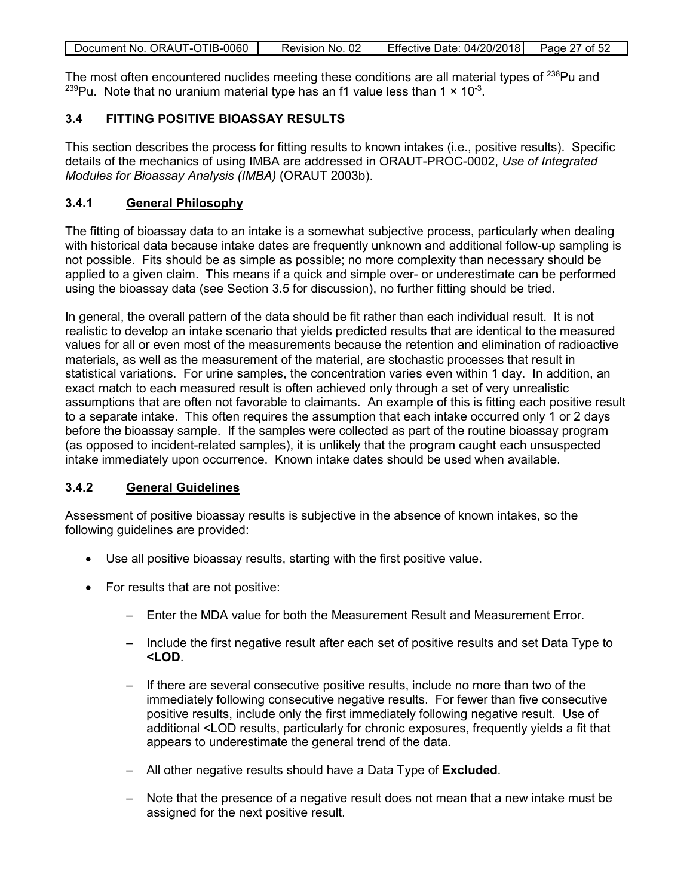| Document No. ORAUT-OTIB-0060 | Revision No. 02 | Effective Date: 04/20/2018 Page 27 of 52 |  |
|------------------------------|-----------------|------------------------------------------|--|
|                              |                 |                                          |  |

The most often encountered nuclides meeting these conditions are all material types of <sup>238</sup>Pu and <sup>239</sup>Pu. Note that no uranium material type has an f1 value less than  $1 \times 10^{-3}$ .

## <span id="page-26-0"></span>**3.4 FITTING POSITIVE BIOASSAY RESULTS**

This section describes the process for fitting results to known intakes (i.e., positive results). Specific details of the mechanics of using IMBA are addressed in ORAUT-PROC-0002, *Use of Integrated Modules for Bioassay Analysis (IMBA)* (ORAUT 2003b).

#### <span id="page-26-1"></span>**3.4.1 General Philosophy**

The fitting of bioassay data to an intake is a somewhat subjective process, particularly when dealing with historical data because intake dates are frequently unknown and additional follow-up sampling is not possible. Fits should be as simple as possible; no more complexity than necessary should be applied to a given claim. This means if a quick and simple over- or underestimate can be performed using the bioassay data (see Section 3.5 for discussion), no further fitting should be tried.

In general, the overall pattern of the data should be fit rather than each individual result. It is not realistic to develop an intake scenario that yields predicted results that are identical to the measured values for all or even most of the measurements because the retention and elimination of radioactive materials, as well as the measurement of the material, are stochastic processes that result in statistical variations. For urine samples, the concentration varies even within 1 day. In addition, an exact match to each measured result is often achieved only through a set of very unrealistic assumptions that are often not favorable to claimants. An example of this is fitting each positive result to a separate intake. This often requires the assumption that each intake occurred only 1 or 2 days before the bioassay sample. If the samples were collected as part of the routine bioassay program (as opposed to incident-related samples), it is unlikely that the program caught each unsuspected intake immediately upon occurrence. Known intake dates should be used when available.

#### <span id="page-26-2"></span>**3.4.2 General Guidelines**

Assessment of positive bioassay results is subjective in the absence of known intakes, so the following guidelines are provided:

- Use all positive bioassay results, starting with the first positive value.
- For results that are not positive:
	- Enter the MDA value for both the Measurement Result and Measurement Error.
	- Include the first negative result after each set of positive results and set Data Type to **<LOD**.
	- If there are several consecutive positive results, include no more than two of the immediately following consecutive negative results. For fewer than five consecutive positive results, include only the first immediately following negative result. Use of additional <LOD results, particularly for chronic exposures, frequently yields a fit that appears to underestimate the general trend of the data.
	- All other negative results should have a Data Type of **Excluded**.
	- Note that the presence of a negative result does not mean that a new intake must be assigned for the next positive result.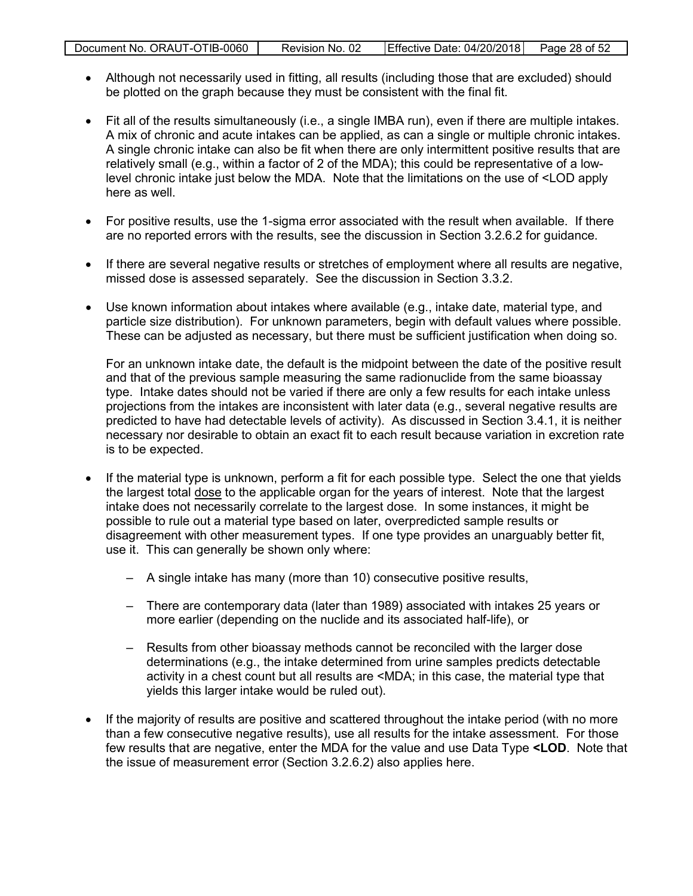|  | Document No. ORAUT-OTIB-0060 | Revision No. 02 | Effective Date: 04/20/2018 | Page 28 of 52 |
|--|------------------------------|-----------------|----------------------------|---------------|
|--|------------------------------|-----------------|----------------------------|---------------|

- Although not necessarily used in fitting, all results (including those that are excluded) should be plotted on the graph because they must be consistent with the final fit.
- Fit all of the results simultaneously (i.e., a single IMBA run), even if there are multiple intakes. A mix of chronic and acute intakes can be applied, as can a single or multiple chronic intakes. A single chronic intake can also be fit when there are only intermittent positive results that are relatively small (e.g., within a factor of 2 of the MDA); this could be representative of a lowlevel chronic intake just below the MDA. Note that the limitations on the use of <LOD apply here as well.
- For positive results, use the 1-sigma error associated with the result when available. If there are no reported errors with the results, see the discussion in Section 3.2.6.2 for guidance.
- If there are several negative results or stretches of employment where all results are negative, missed dose is assessed separately. See the discussion in Section 3.3.2.
- Use known information about intakes where available (e.g., intake date, material type, and particle size distribution). For unknown parameters, begin with default values where possible. These can be adjusted as necessary, but there must be sufficient justification when doing so.

For an unknown intake date, the default is the midpoint between the date of the positive result and that of the previous sample measuring the same radionuclide from the same bioassay type. Intake dates should not be varied if there are only a few results for each intake unless projections from the intakes are inconsistent with later data (e.g., several negative results are predicted to have had detectable levels of activity). As discussed in Section 3.4.1, it is neither necessary nor desirable to obtain an exact fit to each result because variation in excretion rate is to be expected.

- If the material type is unknown, perform a fit for each possible type. Select the one that yields the largest total dose to the applicable organ for the years of interest. Note that the largest intake does not necessarily correlate to the largest dose. In some instances, it might be possible to rule out a material type based on later, overpredicted sample results or disagreement with other measurement types. If one type provides an unarguably better fit, use it. This can generally be shown only where:
	- A single intake has many (more than 10) consecutive positive results,
	- There are contemporary data (later than 1989) associated with intakes 25 years or more earlier (depending on the nuclide and its associated half-life), or
	- Results from other bioassay methods cannot be reconciled with the larger dose determinations (e.g., the intake determined from urine samples predicts detectable activity in a chest count but all results are <MDA; in this case, the material type that yields this larger intake would be ruled out).
- If the majority of results are positive and scattered throughout the intake period (with no more than a few consecutive negative results), use all results for the intake assessment. For those few results that are negative, enter the MDA for the value and use Data Type **<LOD**. Note that the issue of measurement error (Section 3.2.6.2) also applies here.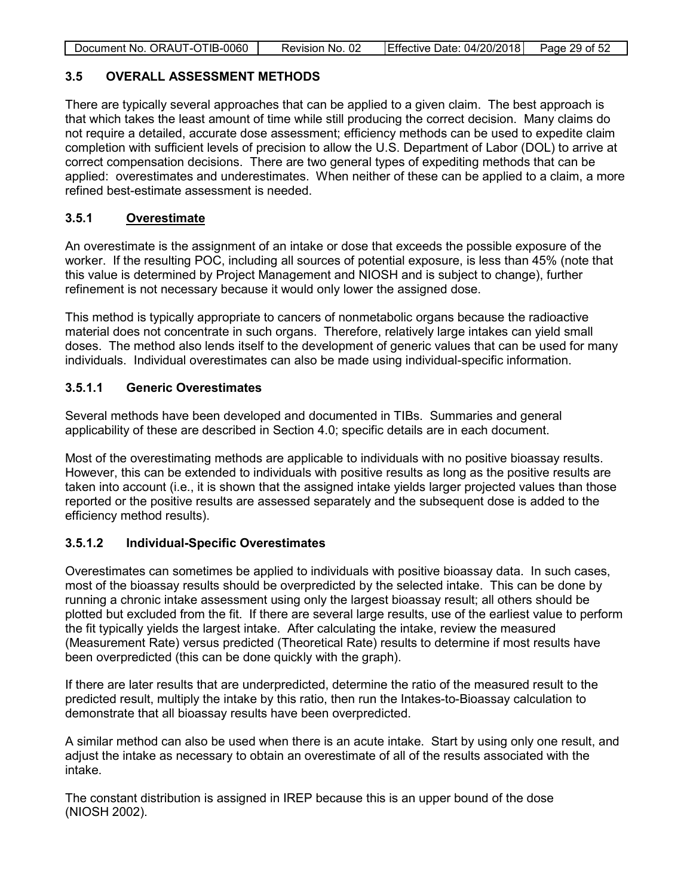| Document No. ORAUT-OTIB-0060 | Revision No. 02 | Effective Date: 04/20/2018 | Page 29 of 52 |
|------------------------------|-----------------|----------------------------|---------------|
|                              |                 |                            |               |

#### <span id="page-28-0"></span>**3.5 OVERALL ASSESSMENT METHODS**

There are typically several approaches that can be applied to a given claim. The best approach is that which takes the least amount of time while still producing the correct decision. Many claims do not require a detailed, accurate dose assessment; efficiency methods can be used to expedite claim completion with sufficient levels of precision to allow the U.S. Department of Labor (DOL) to arrive at correct compensation decisions. There are two general types of expediting methods that can be applied: overestimates and underestimates. When neither of these can be applied to a claim, a more refined best-estimate assessment is needed.

## <span id="page-28-1"></span>**3.5.1 Overestimate**

An overestimate is the assignment of an intake or dose that exceeds the possible exposure of the worker. If the resulting POC, including all sources of potential exposure, is less than 45% (note that this value is determined by Project Management and NIOSH and is subject to change), further refinement is not necessary because it would only lower the assigned dose.

This method is typically appropriate to cancers of nonmetabolic organs because the radioactive material does not concentrate in such organs. Therefore, relatively large intakes can yield small doses. The method also lends itself to the development of generic values that can be used for many individuals. Individual overestimates can also be made using individual-specific information.

## <span id="page-28-2"></span>**3.5.1.1 Generic Overestimates**

Several methods have been developed and documented in TIBs. Summaries and general applicability of these are described in Section 4.0; specific details are in each document.

Most of the overestimating methods are applicable to individuals with no positive bioassay results. However, this can be extended to individuals with positive results as long as the positive results are taken into account (i.e., it is shown that the assigned intake yields larger projected values than those reported or the positive results are assessed separately and the subsequent dose is added to the efficiency method results).

## <span id="page-28-3"></span>**3.5.1.2 Individual-Specific Overestimates**

Overestimates can sometimes be applied to individuals with positive bioassay data. In such cases, most of the bioassay results should be overpredicted by the selected intake. This can be done by running a chronic intake assessment using only the largest bioassay result; all others should be plotted but excluded from the fit. If there are several large results, use of the earliest value to perform the fit typically yields the largest intake. After calculating the intake, review the measured (Measurement Rate) versus predicted (Theoretical Rate) results to determine if most results have been overpredicted (this can be done quickly with the graph).

If there are later results that are underpredicted, determine the ratio of the measured result to the predicted result, multiply the intake by this ratio, then run the Intakes-to-Bioassay calculation to demonstrate that all bioassay results have been overpredicted.

A similar method can also be used when there is an acute intake. Start by using only one result, and adjust the intake as necessary to obtain an overestimate of all of the results associated with the intake.

The constant distribution is assigned in IREP because this is an upper bound of the dose (NIOSH 2002).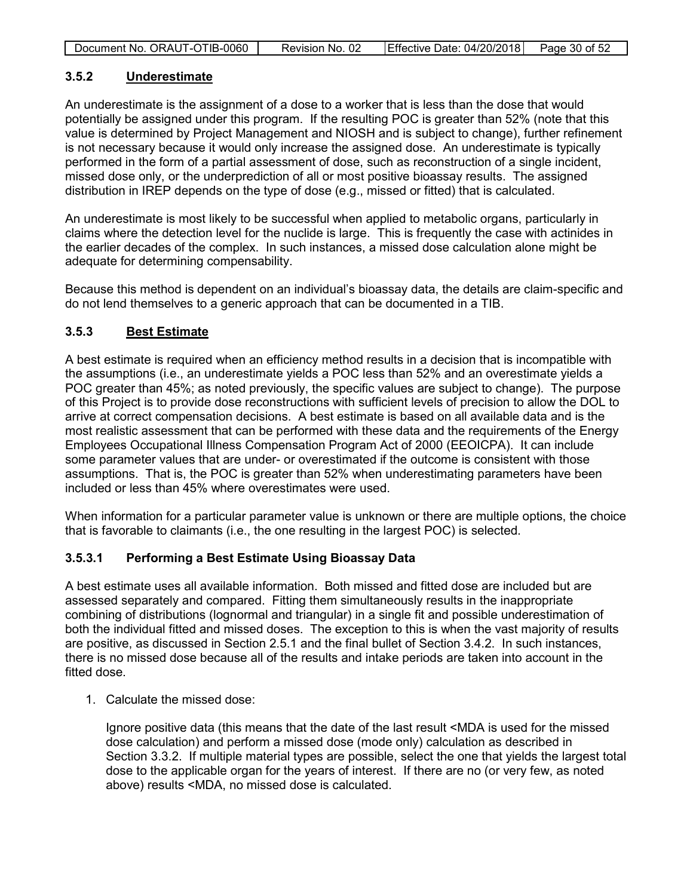| Effective Date: 04/20/2018<br>Document No. ORAUT-OTIB-0060 |
|------------------------------------------------------------|
|------------------------------------------------------------|

#### <span id="page-29-0"></span>**3.5.2 Underestimate**

An underestimate is the assignment of a dose to a worker that is less than the dose that would potentially be assigned under this program. If the resulting POC is greater than 52% (note that this value is determined by Project Management and NIOSH and is subject to change), further refinement is not necessary because it would only increase the assigned dose. An underestimate is typically performed in the form of a partial assessment of dose, such as reconstruction of a single incident, missed dose only, or the underprediction of all or most positive bioassay results. The assigned distribution in IREP depends on the type of dose (e.g., missed or fitted) that is calculated.

An underestimate is most likely to be successful when applied to metabolic organs, particularly in claims where the detection level for the nuclide is large. This is frequently the case with actinides in the earlier decades of the complex. In such instances, a missed dose calculation alone might be adequate for determining compensability.

Because this method is dependent on an individual's bioassay data, the details are claim-specific and do not lend themselves to a generic approach that can be documented in a TIB.

#### <span id="page-29-1"></span>**3.5.3 Best Estimate**

A best estimate is required when an efficiency method results in a decision that is incompatible with the assumptions (i.e., an underestimate yields a POC less than 52% and an overestimate yields a POC greater than 45%; as noted previously, the specific values are subject to change). The purpose of this Project is to provide dose reconstructions with sufficient levels of precision to allow the DOL to arrive at correct compensation decisions. A best estimate is based on all available data and is the most realistic assessment that can be performed with these data and the requirements of the Energy Employees Occupational Illness Compensation Program Act of 2000 (EEOICPA). It can include some parameter values that are under- or overestimated if the outcome is consistent with those assumptions. That is, the POC is greater than 52% when underestimating parameters have been included or less than 45% where overestimates were used.

When information for a particular parameter value is unknown or there are multiple options, the choice that is favorable to claimants (i.e., the one resulting in the largest POC) is selected.

## <span id="page-29-2"></span>**3.5.3.1 Performing a Best Estimate Using Bioassay Data**

A best estimate uses all available information. Both missed and fitted dose are included but are assessed separately and compared. Fitting them simultaneously results in the inappropriate combining of distributions (lognormal and triangular) in a single fit and possible underestimation of both the individual fitted and missed doses. The exception to this is when the vast majority of results are positive, as discussed in Section 2.5.1 and the final bullet of Section 3.4.2. In such instances, there is no missed dose because all of the results and intake periods are taken into account in the fitted dose.

1. Calculate the missed dose:

Ignore positive data (this means that the date of the last result <MDA is used for the missed dose calculation) and perform a missed dose (mode only) calculation as described in Section 3.3.2. If multiple material types are possible, select the one that yields the largest total dose to the applicable organ for the years of interest. If there are no (or very few, as noted above) results <MDA, no missed dose is calculated.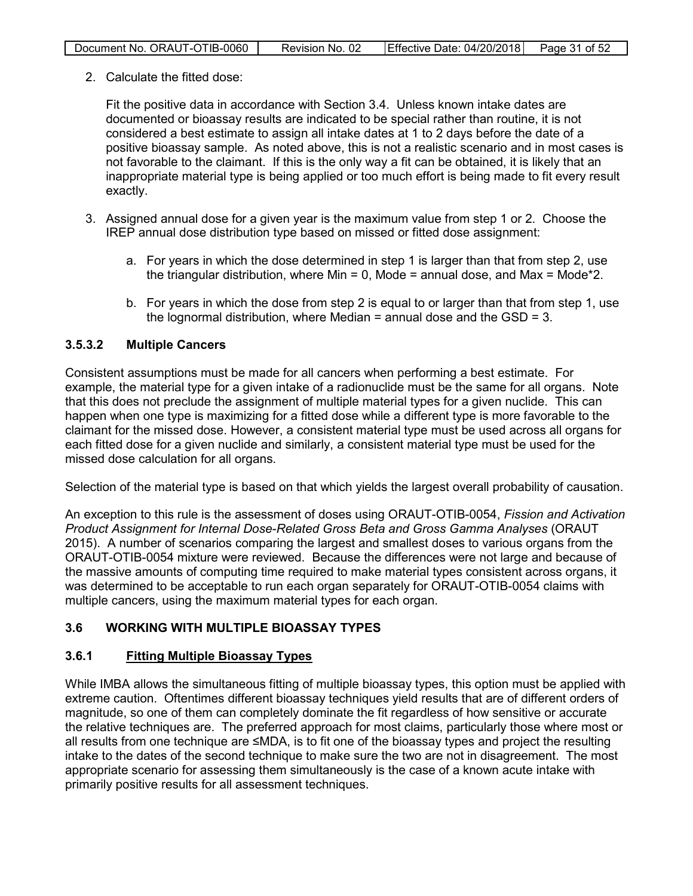| Document No. ORAUT-OTIB-0060 | Revision No. 02 | Effective Date: 04/20/2018 Page 31 of 52 |  |
|------------------------------|-----------------|------------------------------------------|--|

2. Calculate the fitted dose:

Fit the positive data in accordance with Section 3.4. Unless known intake dates are documented or bioassay results are indicated to be special rather than routine, it is not considered a best estimate to assign all intake dates at 1 to 2 days before the date of a positive bioassay sample. As noted above, this is not a realistic scenario and in most cases is not favorable to the claimant. If this is the only way a fit can be obtained, it is likely that an inappropriate material type is being applied or too much effort is being made to fit every result exactly.

- 3. Assigned annual dose for a given year is the maximum value from step 1 or 2. Choose the IREP annual dose distribution type based on missed or fitted dose assignment:
	- a. For years in which the dose determined in step 1 is larger than that from step 2, use the triangular distribution, where Min = 0. Mode = annual dose, and Max = Mode\*2.
	- b. For years in which the dose from step 2 is equal to or larger than that from step 1, use the lognormal distribution, where Median  $=$  annual dose and the GSD  $=$  3.

## <span id="page-30-0"></span>**3.5.3.2 Multiple Cancers**

Consistent assumptions must be made for all cancers when performing a best estimate. For example, the material type for a given intake of a radionuclide must be the same for all organs. Note that this does not preclude the assignment of multiple material types for a given nuclide. This can happen when one type is maximizing for a fitted dose while a different type is more favorable to the claimant for the missed dose. However, a consistent material type must be used across all organs for each fitted dose for a given nuclide and similarly, a consistent material type must be used for the missed dose calculation for all organs.

Selection of the material type is based on that which yields the largest overall probability of causation.

An exception to this rule is the assessment of doses using ORAUT-OTIB-0054, *Fission and Activation Product Assignment for Internal Dose-Related Gross Beta and Gross Gamma Analyses* (ORAUT 2015). A number of scenarios comparing the largest and smallest doses to various organs from the ORAUT-OTIB-0054 mixture were reviewed. Because the differences were not large and because of the massive amounts of computing time required to make material types consistent across organs, it was determined to be acceptable to run each organ separately for ORAUT-OTIB-0054 claims with multiple cancers, using the maximum material types for each organ.

## <span id="page-30-1"></span>**3.6 WORKING WITH MULTIPLE BIOASSAY TYPES**

## <span id="page-30-2"></span>**3.6.1 Fitting Multiple Bioassay Types**

While IMBA allows the simultaneous fitting of multiple bioassay types, this option must be applied with extreme caution. Oftentimes different bioassay techniques yield results that are of different orders of magnitude, so one of them can completely dominate the fit regardless of how sensitive or accurate the relative techniques are. The preferred approach for most claims, particularly those where most or all results from one technique are ≤MDA, is to fit one of the bioassay types and project the resulting intake to the dates of the second technique to make sure the two are not in disagreement. The most appropriate scenario for assessing them simultaneously is the case of a known acute intake with primarily positive results for all assessment techniques.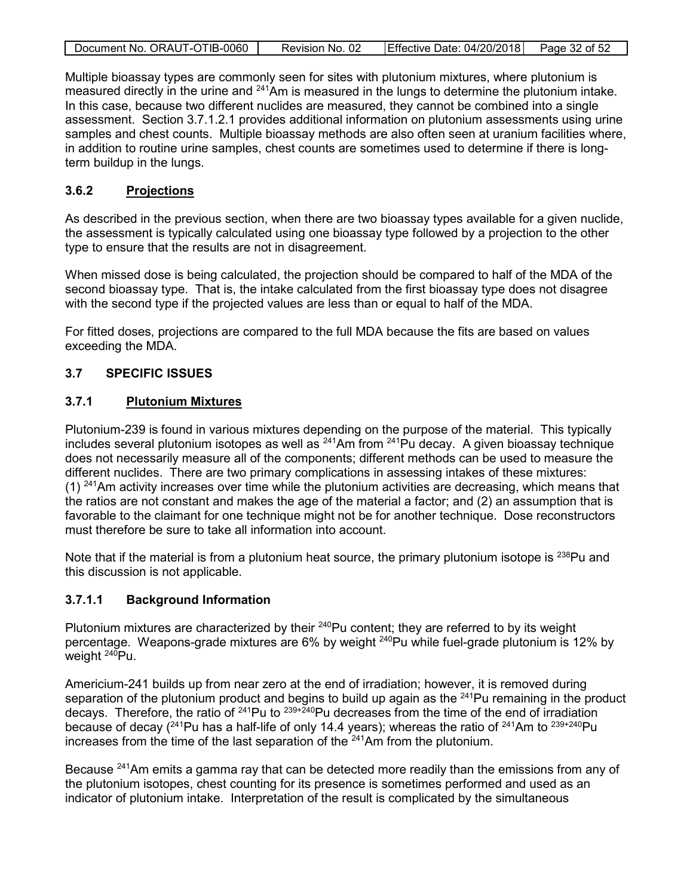| Document No. ORAUT-OTIB-0060 | Revision No. 02 | Effective Date: 04/20/2018 | Page 32 of 52 |
|------------------------------|-----------------|----------------------------|---------------|
|                              |                 |                            |               |

Multiple bioassay types are commonly seen for sites with plutonium mixtures, where plutonium is measured directly in the urine and <sup>241</sup>Am is measured in the lungs to determine the plutonium intake. In this case, because two different nuclides are measured, they cannot be combined into a single assessment. Section 3.7.1.2.1 provides additional information on plutonium assessments using urine samples and chest counts. Multiple bioassay methods are also often seen at uranium facilities where, in addition to routine urine samples, chest counts are sometimes used to determine if there is longterm buildup in the lungs.

#### <span id="page-31-0"></span>**3.6.2 Projections**

As described in the previous section, when there are two bioassay types available for a given nuclide, the assessment is typically calculated using one bioassay type followed by a projection to the other type to ensure that the results are not in disagreement.

When missed dose is being calculated, the projection should be compared to half of the MDA of the second bioassay type. That is, the intake calculated from the first bioassay type does not disagree with the second type if the projected values are less than or equal to half of the MDA.

For fitted doses, projections are compared to the full MDA because the fits are based on values exceeding the MDA.

## <span id="page-31-1"></span>**3.7 SPECIFIC ISSUES**

#### <span id="page-31-2"></span>**3.7.1 Plutonium Mixtures**

Plutonium-239 is found in various mixtures depending on the purpose of the material. This typically includes several plutonium isotopes as well as  $^{241}$ Am from  $^{241}$ Pu decay. A given bioassay technique does not necessarily measure all of the components; different methods can be used to measure the different nuclides. There are two primary complications in assessing intakes of these mixtures: (1)  $241$ Am activity increases over time while the plutonium activities are decreasing, which means that the ratios are not constant and makes the age of the material a factor; and (2) an assumption that is favorable to the claimant for one technique might not be for another technique. Dose reconstructors must therefore be sure to take all information into account.

Note that if the material is from a plutonium heat source, the primary plutonium isotope is  $238$ Pu and this discussion is not applicable.

#### <span id="page-31-3"></span>**3.7.1.1 Background Information**

Plutonium mixtures are characterized by their <sup>240</sup>Pu content; they are referred to by its weight percentage. Weapons-grade mixtures are 6% by weight <sup>240</sup>Pu while fuel-grade plutonium is 12% by weight  $240$ Pu.

Americium-241 builds up from near zero at the end of irradiation; however, it is removed during separation of the plutonium product and begins to build up again as the <sup>241</sup>Pu remaining in the product decays. Therefore, the ratio of  $^{241}$ Pu to  $^{239+240}$ Pu decreases from the time of the end of irradiation because of decay ( $^{241}$ Pu has a half-life of only 14.4 years); whereas the ratio of  $^{241}$ Am to  $^{239+240}$ Pu increases from the time of the last separation of the  $241$ Am from the plutonium.

Because <sup>241</sup>Am emits a gamma ray that can be detected more readily than the emissions from any of the plutonium isotopes, chest counting for its presence is sometimes performed and used as an indicator of plutonium intake. Interpretation of the result is complicated by the simultaneous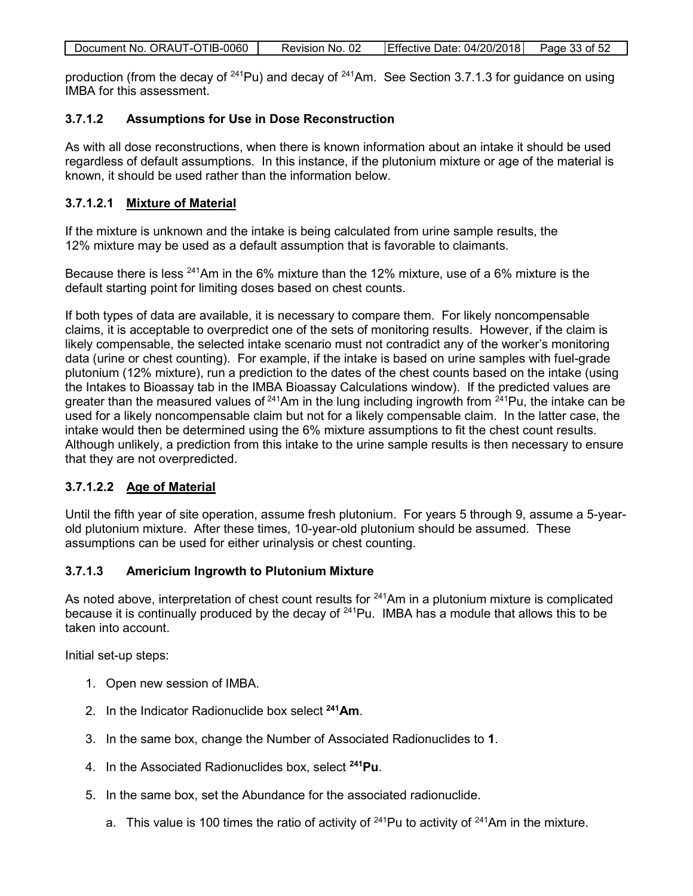| Document No. ORAUT-OTIB-0060 | Revision No. 02 | Effective Date: $04/20/2018$ Page 33 of 52 |  |
|------------------------------|-----------------|--------------------------------------------|--|
|                              |                 |                                            |  |

production (from the decay of  $241$ Pu) and decay of  $241$ Am. See Section 3.7.1.3 for guidance on using IMBA for this assessment.

#### <span id="page-32-0"></span>**3.7.1.2 Assumptions for Use in Dose Reconstruction**

As with all dose reconstructions, when there is known information about an intake it should be used regardless of default assumptions. In this instance, if the plutonium mixture or age of the material is known, it should be used rather than the information below.

#### <span id="page-32-1"></span>**3.7.1.2.1 Mixture of Material**

If the mixture is unknown and the intake is being calculated from urine sample results, the 12% mixture may be used as a default assumption that is favorable to claimants.

Because there is less <sup>241</sup>Am in the 6% mixture than the 12% mixture, use of a 6% mixture is the default starting point for limiting doses based on chest counts.

If both types of data are available, it is necessary to compare them. For likely noncompensable claims, it is acceptable to overpredict one of the sets of monitoring results. However, if the claim is likely compensable, the selected intake scenario must not contradict any of the worker's monitoring data (urine or chest counting). For example, if the intake is based on urine samples with fuel-grade plutonium (12% mixture), run a prediction to the dates of the chest counts based on the intake (using the Intakes to Bioassay tab in the IMBA Bioassay Calculations window). If the predicted values are greater than the measured values of  $241$ Am in the lung including ingrowth from  $241$ Pu, the intake can be used for a likely noncompensable claim but not for a likely compensable claim. In the latter case, the intake would then be determined using the 6% mixture assumptions to fit the chest count results. Although unlikely, a prediction from this intake to the urine sample results is then necessary to ensure that they are not overpredicted.

## <span id="page-32-2"></span>**3.7.1.2.2 Age of Material**

Until the fifth year of site operation, assume fresh plutonium. For years 5 through 9, assume a 5-yearold plutonium mixture. After these times, 10-year-old plutonium should be assumed. These assumptions can be used for either urinalysis or chest counting.

#### <span id="page-32-3"></span>**3.7.1.3 Americium Ingrowth to Plutonium Mixture**

As noted above, interpretation of chest count results for  $241$ Am in a plutonium mixture is complicated because it is continually produced by the decay of  $241$ Pu. IMBA has a module that allows this to be taken into account.

Initial set-up steps:

- 1. Open new session of IMBA.
- 2. In the Indicator Radionuclide box select **241Am**.
- 3. In the same box, change the Number of Associated Radionuclides to **1**.
- 4. In the Associated Radionuclides box, select **241Pu**.
- 5. In the same box, set the Abundance for the associated radionuclide.
	- a. This value is 100 times the ratio of activity of  $241$ Pu to activity of  $241$ Am in the mixture.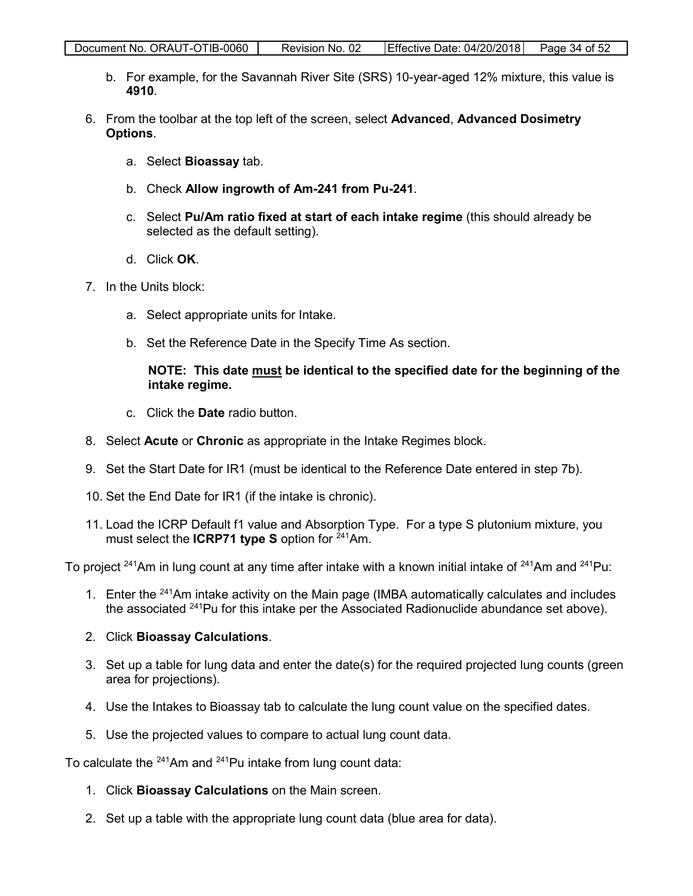- b. For example, for the Savannah River Site (SRS) 10-year-aged 12% mixture, this value is **4910**.
- 6. From the toolbar at the top left of the screen, select **Advanced**, **Advanced Dosimetry Options**.
	- a. Select **Bioassay** tab.
	- b. Check **Allow ingrowth of Am-241 from Pu-241**.
	- c. Select **Pu/Am ratio fixed at start of each intake regime** (this should already be selected as the default setting).
	- d. Click **OK**.
- 7. In the Units block:
	- a. Select appropriate units for Intake.
	- b. Set the Reference Date in the Specify Time As section.

#### **NOTE: This date must be identical to the specified date for the beginning of the intake regime.**

- c. Click the **Date** radio button.
- 8. Select **Acute** or **Chronic** as appropriate in the Intake Regimes block.
- 9. Set the Start Date for IR1 (must be identical to the Reference Date entered in step 7b).
- 10. Set the End Date for IR1 (if the intake is chronic).
- 11. Load the ICRP Default f1 value and Absorption Type. For a type S plutonium mixture, you must select the **ICRP71 type S** option for <sup>241</sup>Am.

To project <sup>241</sup>Am in lung count at any time after intake with a known initial intake of <sup>241</sup>Am and <sup>241</sup>Pu:

1. Enter the <sup>241</sup>Am intake activity on the Main page (IMBA automatically calculates and includes the associated <sup>241</sup>Pu for this intake per the Associated Radionuclide abundance set above).

#### 2. Click **Bioassay Calculations**.

- 3. Set up a table for lung data and enter the date(s) for the required projected lung counts (green area for projections).
- 4. Use the Intakes to Bioassay tab to calculate the lung count value on the specified dates.
- 5. Use the projected values to compare to actual lung count data.

To calculate the  $241$ Am and  $241$ Pu intake from lung count data:

- 1. Click **Bioassay Calculations** on the Main screen.
- 2. Set up a table with the appropriate lung count data (blue area for data).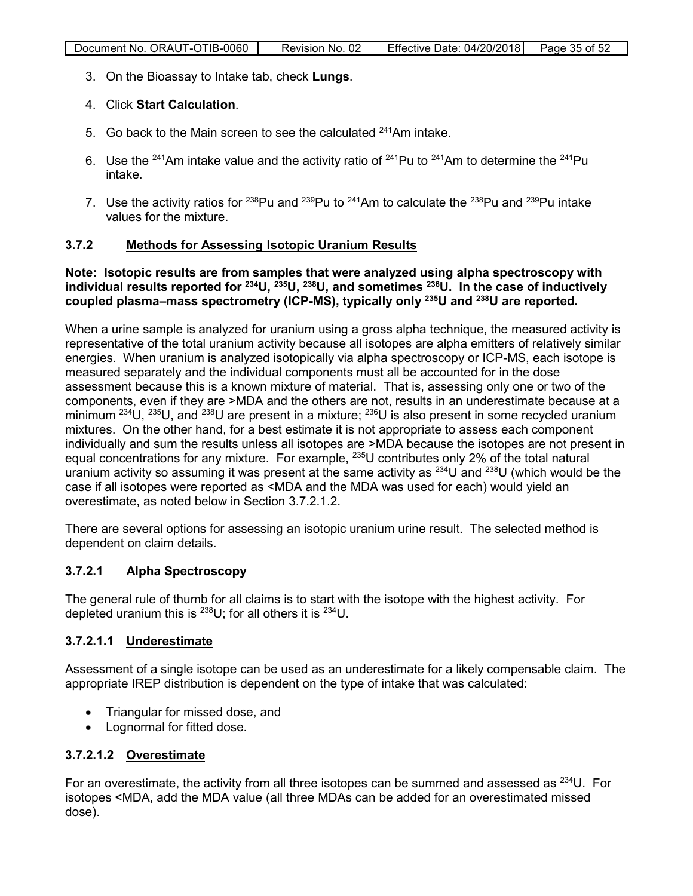3. On the Bioassay to Intake tab, check **Lungs**.

## 4. Click **Start Calculation**.

- 5. Go back to the Main screen to see the calculated <sup>241</sup>Am intake.
- 6. Use the <sup>241</sup>Am intake value and the activity ratio of <sup>241</sup>Pu to <sup>241</sup>Am to determine the <sup>241</sup>Pu intake.
- 7. Use the activity ratios for  $238$ Pu and  $239$ Pu to  $241$ Am to calculate the  $238$ Pu and  $239$ Pu intake values for the mixture.

#### <span id="page-34-0"></span>**3.7.2 Methods for Assessing Isotopic Uranium Results**

#### **Note: Isotopic results are from samples that were analyzed using alpha spectroscopy with individual results reported for 234U, 235U, 238U, and sometimes 236U. ln the case of inductively coupled plasma–mass spectrometry (ICP-MS), typically only 235U and 238U are reported.**

When a urine sample is analyzed for uranium using a gross alpha technique, the measured activity is representative of the total uranium activity because all isotopes are alpha emitters of relatively similar energies. When uranium is analyzed isotopically via alpha spectroscopy or ICP-MS, each isotope is measured separately and the individual components must all be accounted for in the dose assessment because this is a known mixture of material. That is, assessing only one or two of the components, even if they are >MDA and the others are not, results in an underestimate because at a minimum  $^{234}$ U,  $^{235}$ U, and  $^{238}$ U are present in a mixture;  $^{236}$ U is also present in some recycled uranium mixtures. On the other hand, for a best estimate it is not appropriate to assess each component individually and sum the results unless all isotopes are >MDA because the isotopes are not present in equal concentrations for any mixture. For example, <sup>235</sup>U contributes only 2% of the total natural uranium activity so assuming it was present at the same activity as  $^{234}$ U and  $^{238}$ U (which would be the case if all isotopes were reported as <MDA and the MDA was used for each) would yield an overestimate, as noted below in Section 3.7.2.1.2.

There are several options for assessing an isotopic uranium urine result. The selected method is dependent on claim details.

## <span id="page-34-1"></span>**3.7.2.1 Alpha Spectroscopy**

The general rule of thumb for all claims is to start with the isotope with the highest activity. For depleted uranium this is  $^{238}U$ ; for all others it is  $^{234}U$ .

## <span id="page-34-2"></span>**3.7.2.1.1 Underestimate**

Assessment of a single isotope can be used as an underestimate for a likely compensable claim. The appropriate IREP distribution is dependent on the type of intake that was calculated:

- Triangular for missed dose, and
- Lognormal for fitted dose.

#### <span id="page-34-3"></span>**3.7.2.1.2 Overestimate**

For an overestimate, the activity from all three isotopes can be summed and assessed as  $^{234}U$ . For isotopes <MDA, add the MDA value (all three MDAs can be added for an overestimated missed dose).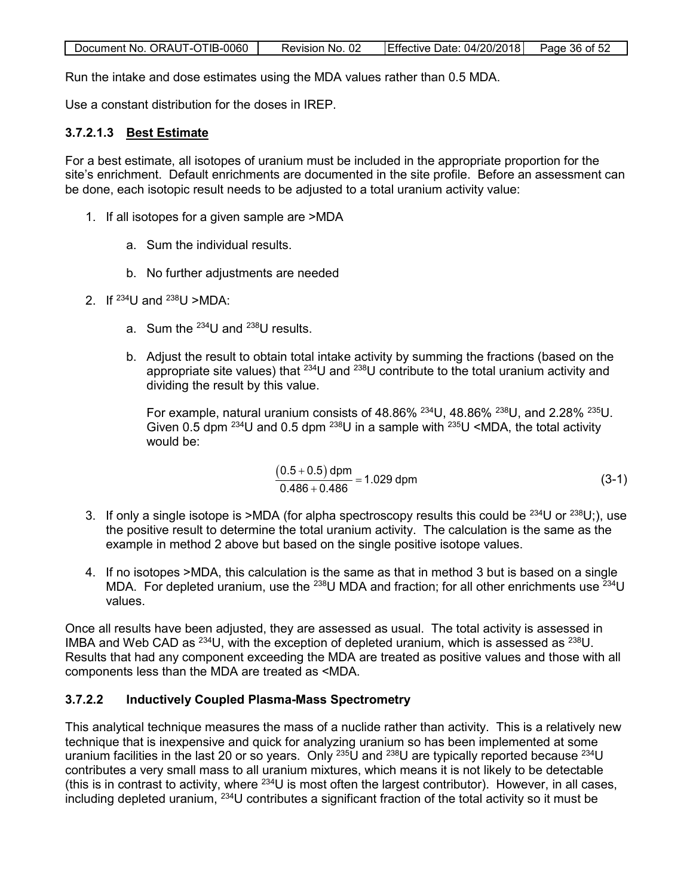| Effective Date: 04/20/2018<br>Document No. ORAUT-OTIB-0060<br>Page 36 of 52<br>Revision No. 02 |
|------------------------------------------------------------------------------------------------|
|------------------------------------------------------------------------------------------------|

Run the intake and dose estimates using the MDA values rather than 0.5 MDA.

Use a constant distribution for the doses in IREP.

## <span id="page-35-0"></span>**3.7.2.1.3 Best Estimate**

For a best estimate, all isotopes of uranium must be included in the appropriate proportion for the site's enrichment. Default enrichments are documented in the site profile. Before an assessment can be done, each isotopic result needs to be adjusted to a total uranium activity value:

- 1. If all isotopes for a given sample are >MDA
	- a. Sum the individual results.
	- b. No further adjustments are needed
- 2. If  $^{234}$ U and  $^{238}$ U >MDA:
	- a. Sum the  $^{234}$ U and  $^{238}$ U results.
	- b. Adjust the result to obtain total intake activity by summing the fractions (based on the appropriate site values) that  $234$ U and  $238$ U contribute to the total uranium activity and dividing the result by this value.

For example, natural uranium consists of 48.86%  $^{234}$ U, 48.86%  $^{238}$ U, and 2.28%  $^{235}$ U. Given 0.5 dpm  $^{234}$ U and 0.5 dpm  $^{238}$ U in a sample with  $^{235}$ U <MDA, the total activity would be:

$$
\frac{(0.5 + 0.5) \text{ dpm}}{0.486 + 0.486} = 1.029 \text{ dpm}
$$
 (3-1)

- 3. If only a single isotope is >MDA (for alpha spectroscopy results this could be  $^{234}$ U or  $^{238}$ U;), use the positive result to determine the total uranium activity. The calculation is the same as the example in method 2 above but based on the single positive isotope values.
- 4. If no isotopes >MDA, this calculation is the same as that in method 3 but is based on a single MDA. For depleted uranium, use the <sup>238</sup>U MDA and fraction; for all other enrichments use  $^{234}$ U values.

Once all results have been adjusted, they are assessed as usual. The total activity is assessed in IMBA and Web CAD as  $^{234}$ U, with the exception of depleted uranium, which is assessed as  $^{238}$ U. Results that had any component exceeding the MDA are treated as positive values and those with all components less than the MDA are treated as <MDA.

## <span id="page-35-1"></span>**3.7.2.2 Inductively Coupled Plasma-Mass Spectrometry**

This analytical technique measures the mass of a nuclide rather than activity. This is a relatively new technique that is inexpensive and quick for analyzing uranium so has been implemented at some uranium facilities in the last 20 or so years. Only <sup>235</sup>U and <sup>238</sup>U are typically reported because <sup>234</sup>U contributes a very small mass to all uranium mixtures, which means it is not likely to be detectable (this is in contrast to activity, where  $^{234}U$  is most often the largest contributor). However, in all cases, including depleted uranium, 234U contributes a significant fraction of the total activity so it must be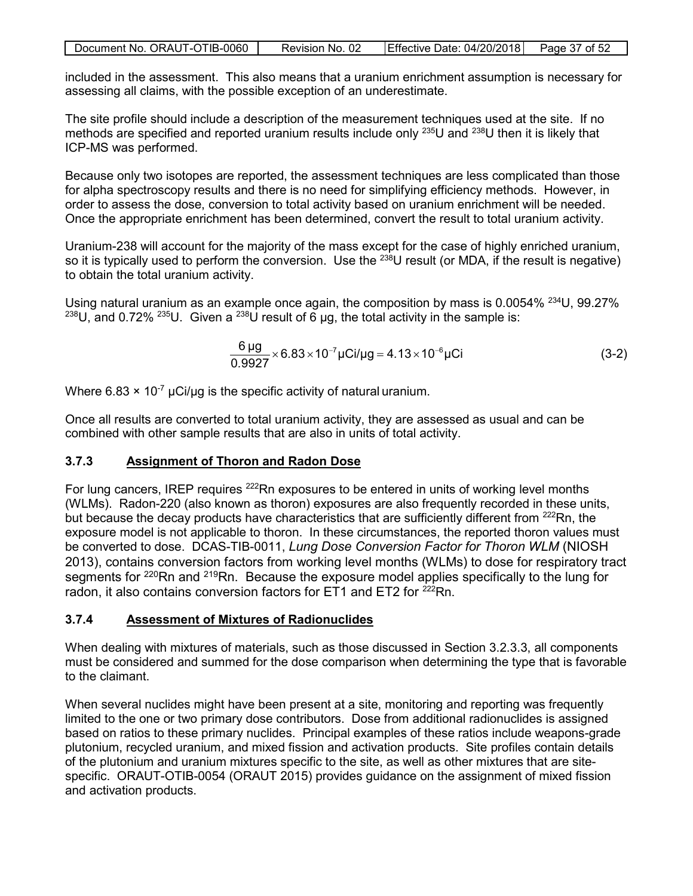| Document No. ORAUT-OTIB-0060 | Revision No. 02 | Effective Date: 04/20/2018 Page 37 of 52 |  |
|------------------------------|-----------------|------------------------------------------|--|

included in the assessment. This also means that a uranium enrichment assumption is necessary for assessing all claims, with the possible exception of an underestimate.

The site profile should include a description of the measurement techniques used at the site. If no methods are specified and reported uranium results include only <sup>235</sup>U and <sup>238</sup>U then it is likely that ICP-MS was performed.

Because only two isotopes are reported, the assessment techniques are less complicated than those for alpha spectroscopy results and there is no need for simplifying efficiency methods. However, in order to assess the dose, conversion to total activity based on uranium enrichment will be needed. Once the appropriate enrichment has been determined, convert the result to total uranium activity.

Uranium-238 will account for the majority of the mass except for the case of highly enriched uranium, so it is typically used to perform the conversion. Use the  $^{238}$ U result (or MDA, if the result is negative) to obtain the total uranium activity.

Using natural uranium as an example once again, the composition by mass is 0.0054% <sup>234</sup>U, 99.27% <sup>238</sup>U, and 0.72% <sup>235</sup>U. Given a <sup>238</sup>U result of 6  $\mu$ g, the total activity in the sample is:

$$
\frac{6 \,\mu\text{g}}{0.9927} \times 6.83 \times 10^{-7} \,\mu\text{Ci}/\mu\text{g} = 4.13 \times 10^{-6} \,\mu\text{Ci}
$$
 (3-2)

Where  $6.83 \times 10^{-7}$  µCi/µg is the specific activity of natural uranium.

Once all results are converted to total uranium activity, they are assessed as usual and can be combined with other sample results that are also in units of total activity.

## <span id="page-36-0"></span>**3.7.3 Assignment of Thoron and Radon Dose**

For lung cancers, IREP requires <sup>222</sup>Rn exposures to be entered in units of working level months (WLMs). Radon-220 (also known as thoron) exposures are also frequently recorded in these units, but because the decay products have characteristics that are sufficiently different from <sup>222</sup>Rn, the exposure model is not applicable to thoron. In these circumstances, the reported thoron values must be converted to dose. DCAS-TIB-0011, *Lung Dose Conversion Factor for Thoron WLM* (NIOSH 2013), contains conversion factors from working level months (WLMs) to dose for respiratory tract segments for <sup>220</sup>Rn and <sup>219</sup>Rn. Because the exposure model applies specifically to the lung for radon, it also contains conversion factors for ET1 and ET2 for <sup>222</sup>Rn.

#### <span id="page-36-1"></span>**3.7.4 Assessment of Mixtures of Radionuclides**

When dealing with mixtures of materials, such as those discussed in Section 3.2.3.3, all components must be considered and summed for the dose comparison when determining the type that is favorable to the claimant.

When several nuclides might have been present at a site, monitoring and reporting was frequently limited to the one or two primary dose contributors. Dose from additional radionuclides is assigned based on ratios to these primary nuclides. Principal examples of these ratios include weapons-grade plutonium, recycled uranium, and mixed fission and activation products. Site profiles contain details of the plutonium and uranium mixtures specific to the site, as well as other mixtures that are sitespecific. ORAUT-OTIB-0054 (ORAUT 2015) provides guidance on the assignment of mixed fission and activation products.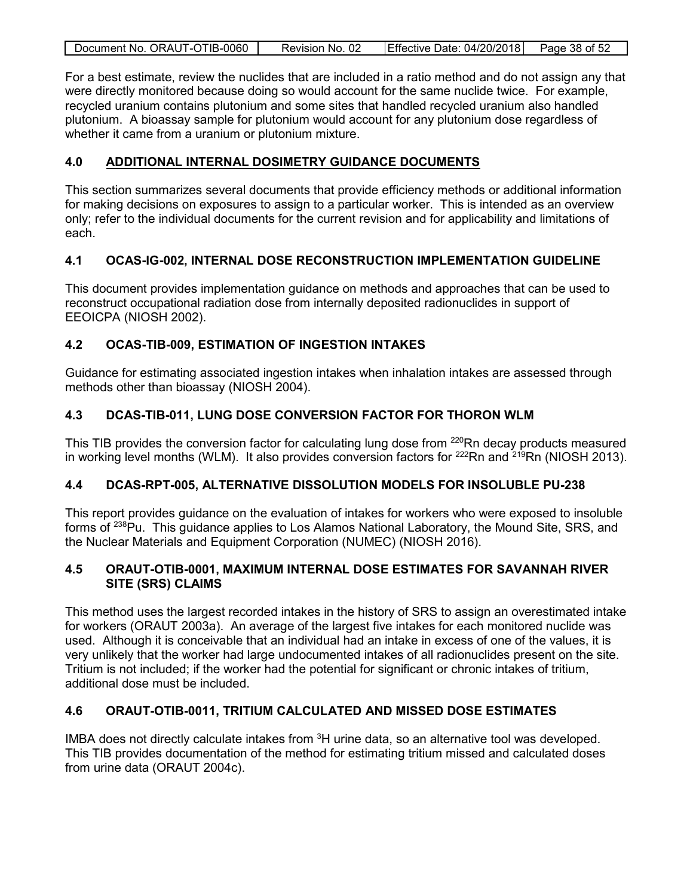| Document No. ORAUT-OTIB-0060 | Revision No. 02 | Effective Date: 04/20/2018 Page 38 of 52 |  |
|------------------------------|-----------------|------------------------------------------|--|
|                              |                 |                                          |  |

For a best estimate, review the nuclides that are included in a ratio method and do not assign any that were directly monitored because doing so would account for the same nuclide twice. For example, recycled uranium contains plutonium and some sites that handled recycled uranium also handled plutonium. A bioassay sample for plutonium would account for any plutonium dose regardless of whether it came from a uranium or plutonium mixture.

## <span id="page-37-0"></span>**4.0 ADDITIONAL INTERNAL DOSIMETRY GUIDANCE DOCUMENTS**

This section summarizes several documents that provide efficiency methods or additional information for making decisions on exposures to assign to a particular worker. This is intended as an overview only; refer to the individual documents for the current revision and for applicability and limitations of each.

## <span id="page-37-1"></span>**4.1 OCAS-IG-002, INTERNAL DOSE RECONSTRUCTION IMPLEMENTATION GUIDELINE**

This document provides implementation guidance on methods and approaches that can be used to reconstruct occupational radiation dose from internally deposited radionuclides in support of EEOICPA (NIOSH 2002).

## <span id="page-37-2"></span>**4.2 OCAS-TIB-009, ESTIMATION OF INGESTION INTAKES**

Guidance for estimating associated ingestion intakes when inhalation intakes are assessed through methods other than bioassay (NIOSH 2004).

## <span id="page-37-3"></span>**4.3 DCAS-TIB-011, LUNG DOSE CONVERSION FACTOR FOR THORON WLM**

This TIB provides the conversion factor for calculating lung dose from <sup>220</sup>Rn decay products measured in working level months (WLM). It also provides conversion factors for  $222Rn$  and  $219Rn$  (NIOSH 2013).

## <span id="page-37-4"></span>**4.4 DCAS-RPT-005, ALTERNATIVE DISSOLUTION MODELS FOR INSOLUBLE PU-238**

This report provides guidance on the evaluation of intakes for workers who were exposed to insoluble forms of <sup>238</sup>Pu. This guidance applies to Los Alamos National Laboratory, the Mound Site, SRS, and the Nuclear Materials and Equipment Corporation (NUMEC) (NIOSH 2016).

## <span id="page-37-5"></span>**4.5 ORAUT-OTIB-0001, MAXIMUM INTERNAL DOSE ESTIMATES FOR SAVANNAH RIVER SITE (SRS) CLAIMS**

This method uses the largest recorded intakes in the history of SRS to assign an overestimated intake for workers (ORAUT 2003a). An average of the largest five intakes for each monitored nuclide was used. Although it is conceivable that an individual had an intake in excess of one of the values, it is very unlikely that the worker had large undocumented intakes of all radionuclides present on the site. Tritium is not included; if the worker had the potential for significant or chronic intakes of tritium, additional dose must be included.

## <span id="page-37-6"></span>**4.6 ORAUT-OTIB-0011, TRITIUM CALCULATED AND MISSED DOSE ESTIMATES**

IMBA does not directly calculate intakes from  $3H$  urine data, so an alternative tool was developed. This TIB provides documentation of the method for estimating tritium missed and calculated doses from urine data (ORAUT 2004c).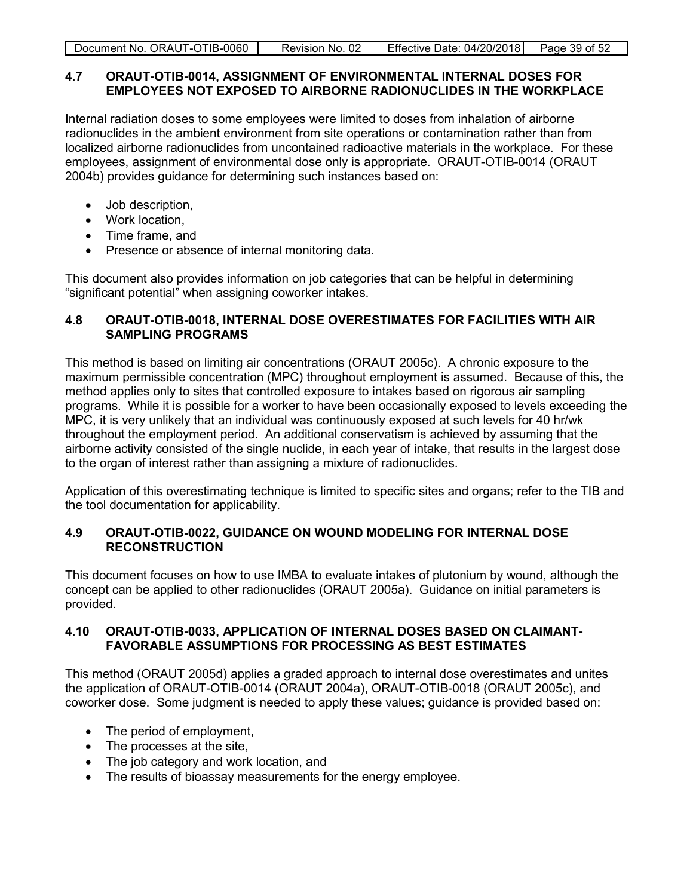| Effective Date: 04/20/2018<br>Document No. ORAUT-OTIB-0060 |
|------------------------------------------------------------|
|------------------------------------------------------------|

#### <span id="page-38-0"></span>**4.7 ORAUT-OTIB-0014, ASSIGNMENT OF ENVIRONMENTAL INTERNAL DOSES FOR EMPLOYEES NOT EXPOSED TO AIRBORNE RADIONUCLIDES IN THE WORKPLACE**

Internal radiation doses to some employees were limited to doses from inhalation of airborne radionuclides in the ambient environment from site operations or contamination rather than from localized airborne radionuclides from uncontained radioactive materials in the workplace. For these employees, assignment of environmental dose only is appropriate. ORAUT-OTIB-0014 (ORAUT 2004b) provides guidance for determining such instances based on:

- Job description,
- Work location,
- Time frame, and
- Presence or absence of internal monitoring data.

This document also provides information on job categories that can be helpful in determining "significant potential" when assigning coworker intakes.

## <span id="page-38-1"></span>**4.8 ORAUT-OTIB-0018, INTERNAL DOSE OVERESTIMATES FOR FACILITIES WITH AIR SAMPLING PROGRAMS**

This method is based on limiting air concentrations (ORAUT 2005c). A chronic exposure to the maximum permissible concentration (MPC) throughout employment is assumed. Because of this, the method applies only to sites that controlled exposure to intakes based on rigorous air sampling programs. While it is possible for a worker to have been occasionally exposed to levels exceeding the MPC, it is very unlikely that an individual was continuously exposed at such levels for 40 hr/wk throughout the employment period. An additional conservatism is achieved by assuming that the airborne activity consisted of the single nuclide, in each year of intake, that results in the largest dose to the organ of interest rather than assigning a mixture of radionuclides.

Application of this overestimating technique is limited to specific sites and organs; refer to the TIB and the tool documentation for applicability.

## <span id="page-38-2"></span>**4.9 ORAUT-OTIB-0022, GUIDANCE ON WOUND MODELING FOR INTERNAL DOSE RECONSTRUCTION**

This document focuses on how to use IMBA to evaluate intakes of plutonium by wound, although the concept can be applied to other radionuclides (ORAUT 2005a). Guidance on initial parameters is provided.

## <span id="page-38-3"></span>**4.10 ORAUT-OTIB-0033, APPLICATION OF INTERNAL DOSES BASED ON CLAIMANT-FAVORABLE ASSUMPTIONS FOR PROCESSING AS BEST ESTIMATES**

This method (ORAUT 2005d) applies a graded approach to internal dose overestimates and unites the application of ORAUT-OTIB-0014 (ORAUT 2004a), ORAUT-OTIB-0018 (ORAUT 2005c), and coworker dose. Some judgment is needed to apply these values; guidance is provided based on:

- The period of employment,
- The processes at the site,
- The job category and work location, and
- The results of bioassay measurements for the energy employee.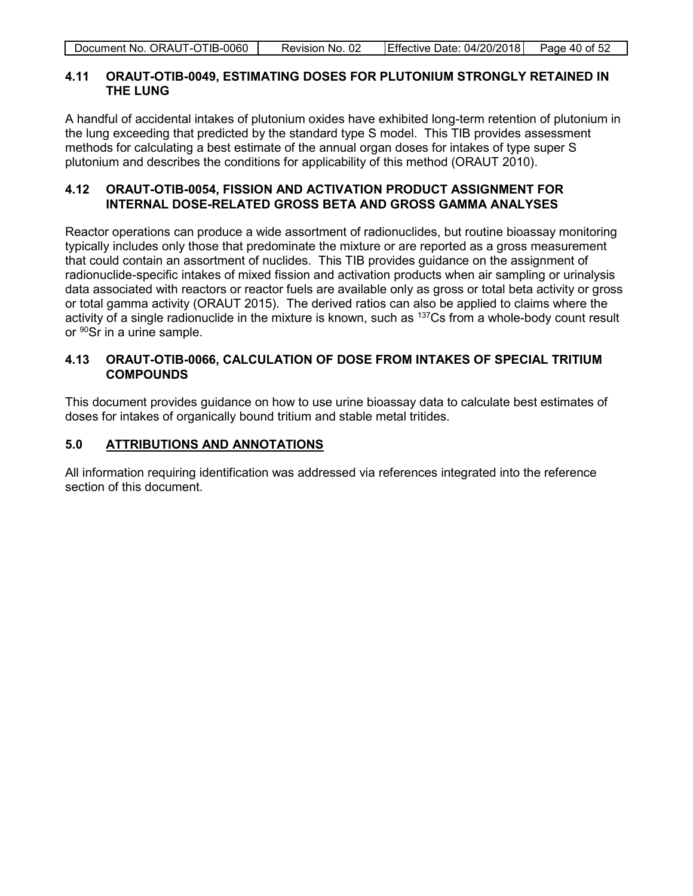#### <span id="page-39-0"></span>**4.11 ORAUT-OTIB-0049, ESTIMATING DOSES FOR PLUTONIUM STRONGLY RETAINED IN THE LUNG**

A handful of accidental intakes of plutonium oxides have exhibited long-term retention of plutonium in the lung exceeding that predicted by the standard type S model. This TIB provides assessment methods for calculating a best estimate of the annual organ doses for intakes of type super S plutonium and describes the conditions for applicability of this method (ORAUT 2010).

## <span id="page-39-1"></span>**4.12 ORAUT-OTIB-0054, FISSION AND ACTIVATION PRODUCT ASSIGNMENT FOR INTERNAL DOSE-RELATED GROSS BETA AND GROSS GAMMA ANALYSES**

Reactor operations can produce a wide assortment of radionuclides, but routine bioassay monitoring typically includes only those that predominate the mixture or are reported as a gross measurement that could contain an assortment of nuclides. This TIB provides guidance on the assignment of radionuclide-specific intakes of mixed fission and activation products when air sampling or urinalysis data associated with reactors or reactor fuels are available only as gross or total beta activity or gross or total gamma activity (ORAUT 2015). The derived ratios can also be applied to claims where the activity of a single radionuclide in the mixture is known, such as <sup>137</sup>Cs from a whole-body count result or <sup>90</sup>Sr in a urine sample.

## <span id="page-39-2"></span>**4.13 ORAUT-OTIB-0066, CALCULATION OF DOSE FROM INTAKES OF SPECIAL TRITIUM COMPOUNDS**

This document provides guidance on how to use urine bioassay data to calculate best estimates of doses for intakes of organically bound tritium and stable metal tritides.

## <span id="page-39-3"></span>**5.0 ATTRIBUTIONS AND ANNOTATIONS**

All information requiring identification was addressed via references integrated into the reference section of this document.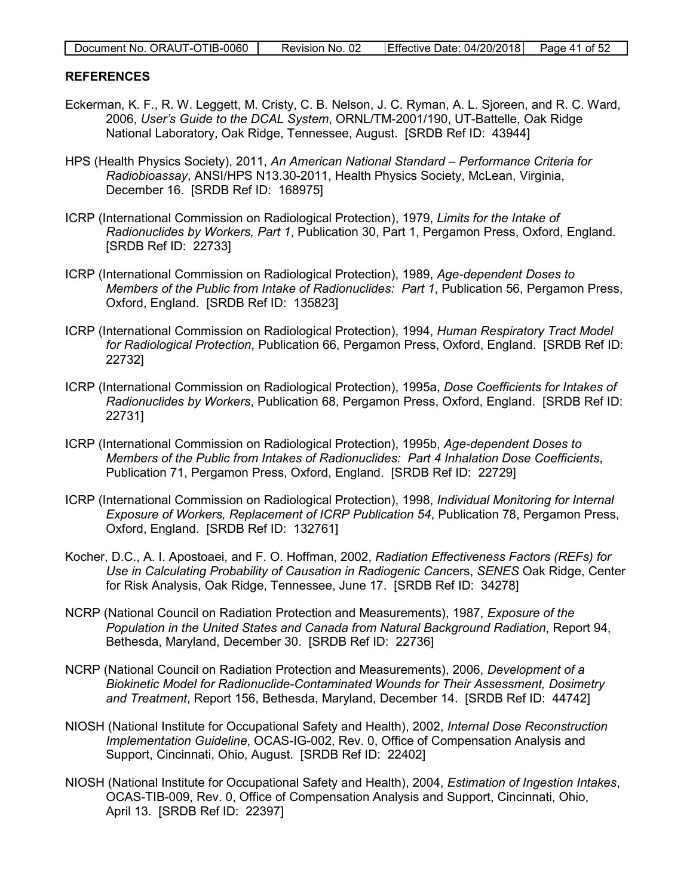| Document No. ORAUT-OTIB-0060 | Revision No. 02 | Effective Date: 04/20/2018 Page 41 of 52 |  |
|------------------------------|-----------------|------------------------------------------|--|

#### <span id="page-40-0"></span>**REFERENCES**

- Eckerman, K. F., R. W. Leggett, M. Cristy, C. B. Nelson, J. C. Ryman, A. L. Sjoreen, and R. C. Ward, 2006, *User's Guide to the DCAL System*, ORNL/TM-2001/190, UT-Battelle, Oak Ridge National Laboratory, Oak Ridge, Tennessee, August. [SRDB Ref ID: 43944]
- HPS (Health Physics Society), 2011, *An American National Standard Performance Criteria for Radiobioassay*, ANSI/HPS N13.30-2011, Health Physics Society, McLean, Virginia, December 16. [SRDB Ref ID: 168975]
- ICRP (International Commission on Radiological Protection), 1979, *Limits for the Intake of Radionuclides by Workers, Part 1*, Publication 30, Part 1, Pergamon Press, Oxford, England. [SRDB Ref ID: 22733]
- ICRP (International Commission on Radiological Protection), 1989, *Age-dependent Doses to Members of the Public from Intake of Radionuclides: Part 1*, Publication 56, Pergamon Press, Oxford, England. [SRDB Ref ID: 135823]
- ICRP (International Commission on Radiological Protection), 1994, *Human Respiratory Tract Model for Radiological Protection*, Publication 66, Pergamon Press, Oxford, England. [SRDB Ref ID: 22732]
- ICRP (International Commission on Radiological Protection), 1995a, *Dose Coefficients for Intakes of Radionuclides by Workers*, Publication 68, Pergamon Press, Oxford, England. [SRDB Ref ID: 22731]
- ICRP (International Commission on Radiological Protection), 1995b, *Age-dependent Doses to Members of the Public from Intakes of Radionuclides: Part 4 Inhalation Dose Coefficients*, Publication 71, Pergamon Press, Oxford, England. [SRDB Ref ID: 22729]
- ICRP (International Commission on Radiological Protection), 1998, *Individual Monitoring for Internal Exposure of Workers, Replacement of ICRP Publication 54*, Publication 78, Pergamon Press, Oxford, England. [SRDB Ref ID: 132761]
- Kocher, D.C., A. I. Apostoaei, and F. O. Hoffman, 2002, *Radiation Effectiveness Factors (REFs) for Use in Calculating Probability of Causation in Radiogenic Canc*ers, *SENES* Oak Ridge, Center for Risk Analysis, Oak Ridge, Tennessee, June 17. [SRDB Ref ID: 34278]
- NCRP (National Council on Radiation Protection and Measurements), 1987, *Exposure of the Population in the United States and Canada from Natural Background Radiation*, Report 94, Bethesda, Maryland, December 30. [SRDB Ref ID: 22736]
- NCRP (National Council on Radiation Protection and Measurements), 2006, *Development of a Biokinetic Model for Radionuclide-Contaminated Wounds for Their Assessment, Dosimetry and Treatment*, Report 156, Bethesda, Maryland, December 14. [SRDB Ref ID: 44742]
- NIOSH (National Institute for Occupational Safety and Health), 2002, *Internal Dose Reconstruction Implementation Guideline*, OCAS-IG-002, Rev. 0, Office of Compensation Analysis and Support, Cincinnati, Ohio, August. [SRDB Ref ID: 22402]
- NIOSH (National Institute for Occupational Safety and Health), 2004, *Estimation of Ingestion Intakes*, OCAS-TIB-009, Rev. 0, Office of Compensation Analysis and Support, Cincinnati, Ohio, April 13. [SRDB Ref ID: 22397]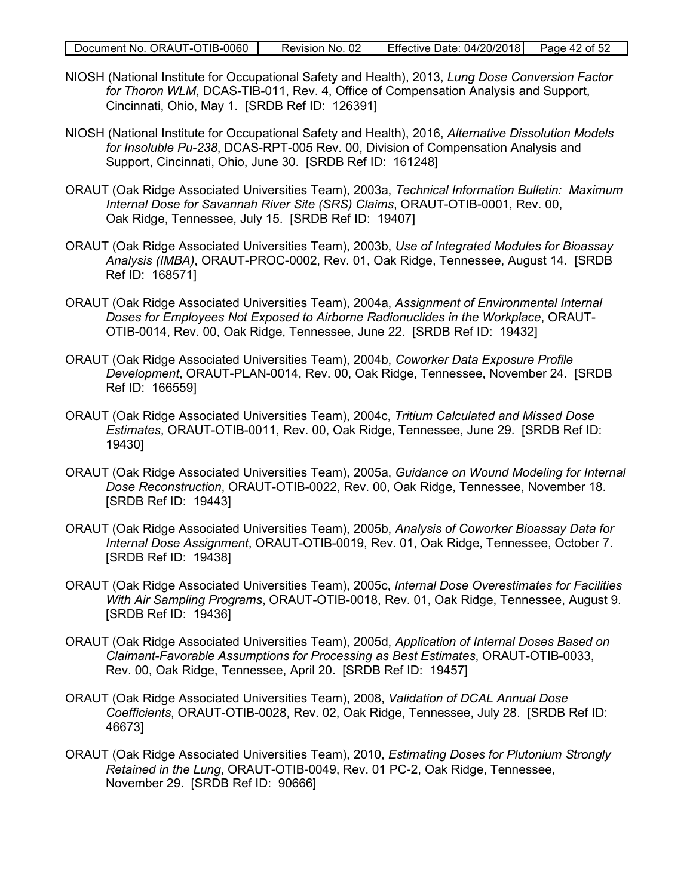|  | Document No. ORAUT-OTIB-0060 | Revision No. 02 | Effective Date: 04/20/2018 | Page 42 of 52 |
|--|------------------------------|-----------------|----------------------------|---------------|
|--|------------------------------|-----------------|----------------------------|---------------|

- NIOSH (National Institute for Occupational Safety and Health), 2013, *Lung Dose Conversion Factor for Thoron WLM*, DCAS-TIB-011, Rev. 4, Office of Compensation Analysis and Support, Cincinnati, Ohio, May 1. [SRDB Ref ID: 126391]
- NIOSH (National Institute for Occupational Safety and Health), 2016, *Alternative Dissolution Models for Insoluble Pu-238*, DCAS-RPT-005 Rev. 00, Division of Compensation Analysis and Support, Cincinnati, Ohio, June 30. [SRDB Ref ID: 161248]
- ORAUT (Oak Ridge Associated Universities Team), 2003a, *Technical Information Bulletin: Maximum Internal Dose for Savannah River Site (SRS) Claims*, ORAUT-OTIB-0001, Rev. 00, Oak Ridge, Tennessee, July 15. [SRDB Ref ID: 19407]
- ORAUT (Oak Ridge Associated Universities Team), 2003b, *Use of Integrated Modules for Bioassay Analysis (IMBA)*, ORAUT-PROC-0002, Rev. 01, Oak Ridge, Tennessee, August 14. [SRDB Ref ID: 168571]
- ORAUT (Oak Ridge Associated Universities Team), 2004a, *Assignment of Environmental Internal Doses for Employees Not Exposed to Airborne Radionuclides in the Workplace*, ORAUT-OTIB-0014, Rev. 00, Oak Ridge, Tennessee, June 22. [SRDB Ref ID: 19432]
- ORAUT (Oak Ridge Associated Universities Team), 2004b, *Coworker Data Exposure Profile Development*, ORAUT-PLAN-0014, Rev. 00, Oak Ridge, Tennessee, November 24. [SRDB Ref ID: 166559]
- ORAUT (Oak Ridge Associated Universities Team), 2004c, *Tritium Calculated and Missed Dose Estimates*, ORAUT-OTIB-0011, Rev. 00, Oak Ridge, Tennessee, June 29. [SRDB Ref ID: 19430]
- ORAUT (Oak Ridge Associated Universities Team), 2005a, *Guidance on Wound Modeling for Internal Dose Reconstruction*, ORAUT-OTIB-0022, Rev. 00, Oak Ridge, Tennessee, November 18. [SRDB Ref ID: 19443]
- ORAUT (Oak Ridge Associated Universities Team), 2005b, *Analysis of Coworker Bioassay Data for Internal Dose Assignment*, ORAUT-OTIB-0019, Rev. 01, Oak Ridge, Tennessee, October 7. [SRDB Ref ID: 19438]
- ORAUT (Oak Ridge Associated Universities Team), 2005c, *Internal Dose Overestimates for Facilities With Air Sampling Programs*, ORAUT-OTIB-0018, Rev. 01, Oak Ridge, Tennessee, August 9. [SRDB Ref ID: 19436]
- ORAUT (Oak Ridge Associated Universities Team), 2005d, *Application of Internal Doses Based on Claimant-Favorable Assumptions for Processing as Best Estimates*, ORAUT-OTIB-0033, Rev. 00, Oak Ridge, Tennessee, April 20. [SRDB Ref ID: 19457]
- ORAUT (Oak Ridge Associated Universities Team), 2008, *Validation of DCAL Annual Dose Coefficients*, ORAUT-OTIB-0028, Rev. 02, Oak Ridge, Tennessee, July 28. [SRDB Ref ID: 46673]
- ORAUT (Oak Ridge Associated Universities Team), 2010, *Estimating Doses for Plutonium Strongly Retained in the Lung*, ORAUT-OTIB-0049, Rev. 01 PC-2, Oak Ridge, Tennessee, November 29. [SRDB Ref ID: 90666]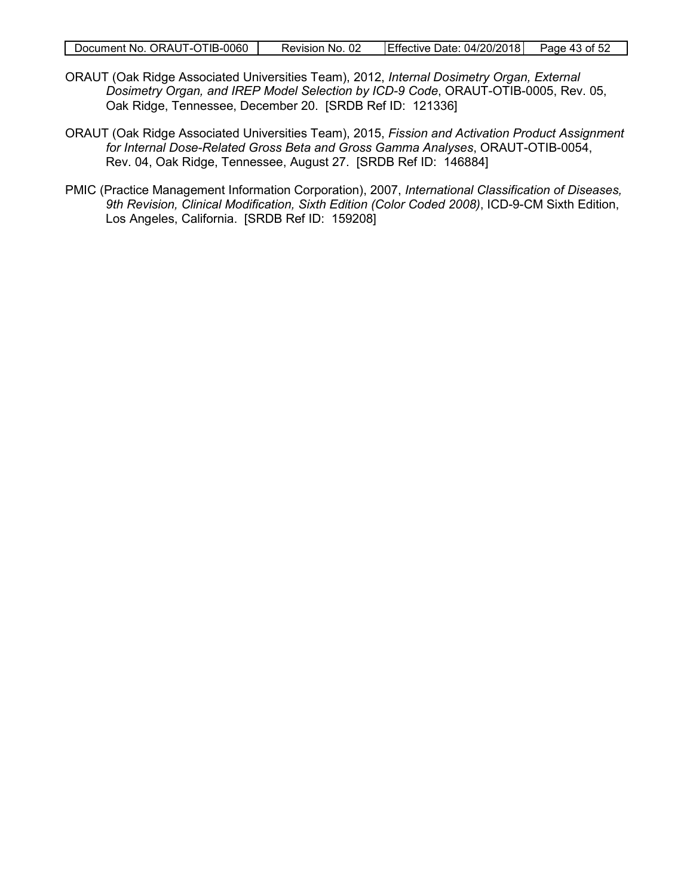- ORAUT (Oak Ridge Associated Universities Team), 2012, *Internal Dosimetry Organ, External Dosimetry Organ, and IREP Model Selection by ICD-9 Code*, ORAUT-OTIB-0005, Rev. 05, Oak Ridge, Tennessee, December 20. [SRDB Ref ID: 121336]
- ORAUT (Oak Ridge Associated Universities Team), 2015, *Fission and Activation Product Assignment for Internal Dose-Related Gross Beta and Gross Gamma Analyses*, ORAUT-OTIB-0054, Rev. 04, Oak Ridge, Tennessee, August 27. [SRDB Ref ID: 146884]
- PMIC (Practice Management Information Corporation), 2007, *International Classification of Diseases, 9th Revision, Clinical Modification, Sixth Edition (Color Coded 2008)*, ICD-9-CM Sixth Edition, Los Angeles, California. [SRDB Ref ID: 159208]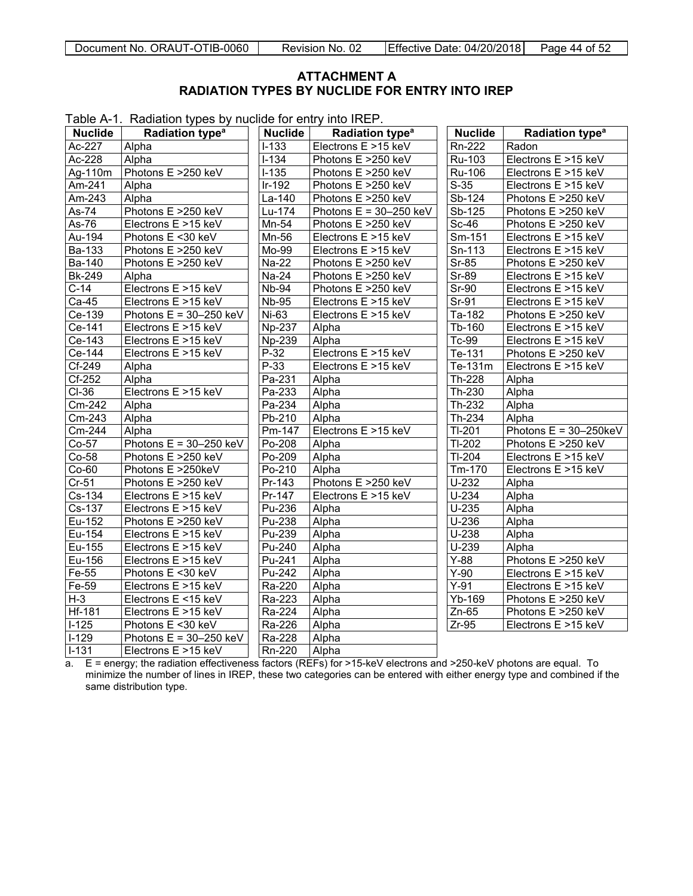#### <span id="page-43-1"></span>**ATTACHMENT A RADIATION TYPES BY NUCLIDE FOR ENTRY INTO IREP**

<span id="page-43-0"></span>Table A-1. Radiation types by nuclide for entry into IREP.

| <b>Nuclide</b> | Radiation type <sup>a</sup> | <b>Nuclide</b> | Radiation type <sup>a</sup> | <b>Nuclide</b> | Radiation type <sup>a</sup> |
|----------------|-----------------------------|----------------|-----------------------------|----------------|-----------------------------|
| Ac-227         | Alpha                       | $I-133$        | Electrons E >15 keV         | Rn-222         | Radon                       |
| Ac-228         | Alpha                       | $1 - 134$      | Photons E >250 keV          | Ru-103         | Electrons E >15 keV         |
| Ag-110m        | Photons E >250 keV          | $I-135$        | Photons E >250 keV          | Ru-106         | Electrons E >15 keV         |
| Am-241         | Alpha                       | $Ir-192$       | Photons E >250 keV          | $S-35$         | Electrons E >15 keV         |
| Am-243         | Alpha                       | La-140         | Photons E >250 keV          | Sb-124         | Photons E >250 keV          |
| As-74          | Photons E >250 keV          | Lu-174         | Photons $E = 30-250$ keV    | Sb-125         | Photons E >250 keV          |
| As-76          | Electrons E >15 keV         | Mn-54          | Photons E >250 keV          | $Sc-46$        | Photons E >250 keV          |
| Au-194         | Photons E <30 keV           | Mn-56          | Electrons E >15 keV         | Sm-151         | Electrons E >15 keV         |
| Ba-133         | Photons E >250 keV          | Mo-99          | Electrons E >15 keV         | Sn-113         | Electrons E >15 keV         |
| Ba-140         | Photons E >250 keV          | Na-22          | Photons E >250 keV          | Sr-85          | Photons E >250 keV          |
| <b>Bk-249</b>  | Alpha                       | $Na-24$        | Photons E >250 keV          | $Sr-89$        | Electrons E >15 keV         |
| $C-14$         | Electrons E >15 keV         | <b>Nb-94</b>   | Photons E >250 keV          | Sr-90          | Electrons E >15 keV         |
| Ca-45          | Electrons E >15 keV         | <b>Nb-95</b>   | Electrons E >15 keV         | $Sr-91$        | Electrons E >15 keV         |
| Ce-139         | Photons $E = 30-250$ keV    | Ni-63          | Electrons E >15 keV         | Ta-182         | Photons E >250 keV          |
| Ce-141         | Electrons E >15 keV         | <b>Np-237</b>  | Alpha                       | Tb-160         | Electrons E >15 keV         |
| Ce-143         | Electrons E >15 keV         | Np-239         | Alpha                       | Tc-99          | Electrons E >15 keV         |
| $Ce-144$       | Electrons E >15 keV         | $P-32$         | Electrons E >15 keV         | Te-131         | Photons E >250 keV          |
| Cf-249         | Alpha                       | P-33           | Electrons E >15 keV         | Te-131m        | Electrons E >15 keV         |
| $Cf-252$       | Alpha                       | Pa-231         | Alpha                       | Th-228         | Alpha                       |
| $CI-36$        | Electrons E >15 keV         | Pa-233         | Alpha                       | Th-230         | Alpha                       |
| Cm-242         | Alpha                       | Pa-234         | Alpha                       | Th-232         | Alpha                       |
| Cm-243         | Alpha                       | Pb-210         | Alpha                       | Th-234         | Alpha                       |
| Cm-244         | Alpha                       | Pm-147         | Electrons E >15 keV         | TI-201         | Photons $E = 30-250keV$     |
| $Co-57$        | Photons $E = 30-250$ keV    | Po-208         | Alpha                       | $Tl-202$       | Photons E >250 keV          |
| Co-58          | Photons E >250 keV          | Po-209         | Alpha                       | TI-204         | Electrons E >15 keV         |
| $Co-60$        | Photons E >250keV           | Po-210         | Alpha                       | Tm-170         | Electrons E >15 keV         |
| $Cr-51$        | Photons E >250 keV          | Pr-143         | Photons E >250 keV          | $U-232$        | Alpha                       |
| Cs-134         | Electrons E >15 keV         | Pr-147         | Electrons E >15 keV         | $U-234$        | Alpha                       |
| Cs-137         | Electrons E >15 keV         | Pu-236         | Alpha                       | $U-235$        | Alpha                       |
| Eu-152         | Photons E >250 keV          | Pu-238         | Alpha                       | $U-236$        | Alpha                       |
| Eu-154         | Electrons E >15 keV         | Pu-239         | Alpha                       | $U-238$        | Alpha                       |
| Eu-155         | Electrons E >15 keV         | Pu-240         | Alpha                       | $U-239$        | Alpha                       |
| Eu-156         | Electrons E >15 keV         | Pu-241         | Alpha                       | $Y-88$         | Photons E >250 keV          |
| Fe-55          | Photons E <30 keV           | Pu-242         | Alpha                       | $Y-90$         | Electrons E >15 keV         |
| Fe-59          | Electrons E >15 keV         | Ra-220         | Alpha                       | $Y-91$         | Electrons E >15 keV         |
| $H-3$          | Electrons E <15 keV         | Ra-223         | Alpha                       | Yb-169         | Photons E >250 keV          |
| <b>Hf-181</b>  | Electrons E >15 keV         | Ra-224         | Alpha                       | $Zn-65$        | Photons E >250 keV          |
| $I-125$        | Photons E <30 keV           | Ra-226         | Alpha                       | $Zr-95$        | Electrons E >15 keV         |
| $I-129$        | Photons $E = 30-250$ keV    | Ra-228         | Alpha                       |                |                             |
| $1 - 131$      | Electrons E >15 keV         | Rn-220         | Alpha                       |                |                             |

a. E = energy; the radiation effectiveness factors (REFs) for >15-keV electrons and >250-keV photons are equal. To minimize the number of lines in IREP, these two categories can be entered with either energy type and combined if the same distribution type.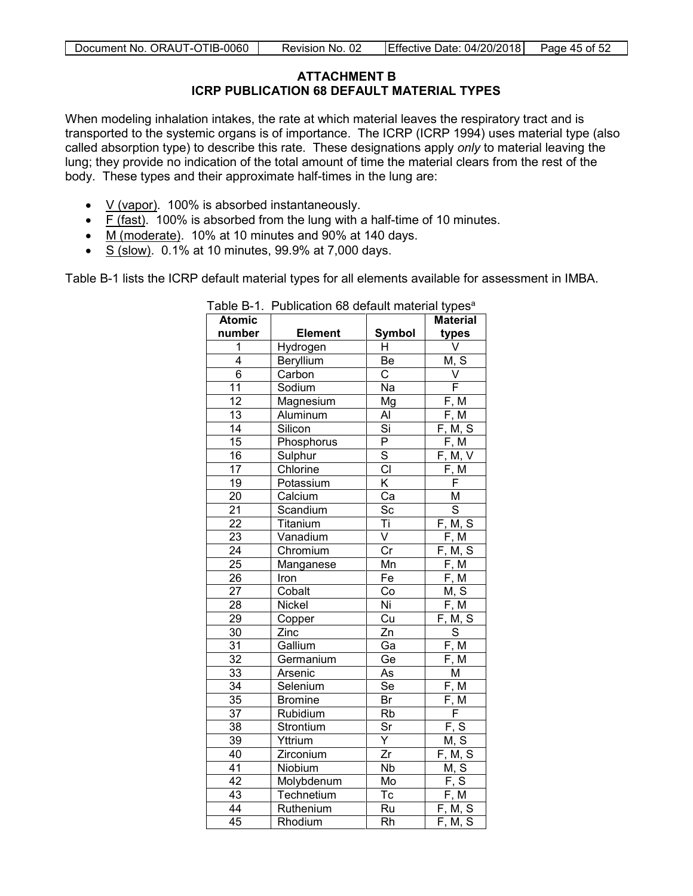## **ATTACHMENT B ICRP PUBLICATION 68 DEFAULT MATERIAL TYPES**

<span id="page-44-0"></span>When modeling inhalation intakes, the rate at which material leaves the respiratory tract and is transported to the systemic organs is of importance. The ICRP (ICRP 1994) uses material type (also called absorption type) to describe this rate. These designations apply *only* to material leaving the lung; they provide no indication of the total amount of time the material clears from the rest of the body. These types and their approximate half-times in the lung are:

- $V$  (vapor). 100% is absorbed instantaneously.
- F (fast). 100% is absorbed from the lung with a half-time of 10 minutes.
- M (moderate). 10% at 10 minutes and 90% at 140 days.
- S (slow). 0.1% at 10 minutes, 99.9% at 7,000 days.

Table B-1 lists the ICRP default material types for all elements available for assessment in IMBA.

| ו מטוט <b>ט</b> די | r ablication ob actual matchal types |                         |                               |
|--------------------|--------------------------------------|-------------------------|-------------------------------|
| <b>Atomic</b>      |                                      |                         | <b>Material</b>               |
| number             | <b>Element</b>                       | Symbol                  | types                         |
| 1                  | Hydrogen                             | H                       | V                             |
| 4                  | Beryllium                            | Be                      | M, S                          |
| 6                  | Carbon                               | $\mathsf{C}$            | $\vee$                        |
| 11                 | Sodium                               | Na                      | F                             |
| 12                 | Magnesium                            | Mg                      | F, M                          |
| 13                 | Aluminum                             | Al                      | F, M                          |
| 14                 | Silicon                              | $\overline{Si}$         | F, M, S                       |
| 15                 | Phosphorus                           | P                       | F, M                          |
| 16                 | Sulphur                              | $\overline{s}$          | F, M, V                       |
| 17                 | Chlorine                             | $\overline{CI}$         | F, M                          |
| 19                 | Potassium                            | $\overline{\mathsf{K}}$ | F                             |
| 20                 | Calcium                              | Ca                      | M                             |
| 21                 | Scandium                             | Sc                      | $\overline{s}$                |
| $\overline{22}$    | Titanium                             | Τi                      | F, M, S                       |
| 23                 | Vanadium                             | $\overline{\mathsf{V}}$ | F, M                          |
| 24                 | Chromium                             | $\overline{\text{Cr}}$  | F, M, S                       |
| $\overline{25}$    | Manganese                            | Mn                      | F, M                          |
| 26                 | Iron                                 | Fe                      | F, M                          |
| $\overline{27}$    | Cobalt                               | Co                      | M, S                          |
| $\overline{28}$    | Nickel                               | Ni                      | F, M                          |
| 29                 | Copper                               | Cu                      | F, M, S                       |
| $\overline{30}$    | Zinc                                 | Zn                      | $\overline{s}$                |
| 31                 | Gallium                              | Ga                      | F, M                          |
| 32                 | Germanium                            | Ge                      | F, M                          |
| 33                 | Arsenic                              | As                      | M                             |
| 34                 | Selenium                             | Se                      | F, M                          |
| $\overline{35}$    | <b>Bromine</b>                       | Br                      | F, M                          |
| 37                 | Rubidium                             | Rb                      | F                             |
| 38                 | Strontium                            | Sr                      | <u>F, S</u>                   |
| $\overline{39}$    | Yttrium                              | Ÿ                       | M, S                          |
| 40                 | Zirconium                            | $\overline{Zr}$         | F, M, S                       |
| $\overline{41}$    | Niobium                              | Nb                      | M, S                          |
| $\overline{42}$    | Molybdenum                           | Mo                      | $\underline{F}, \overline{S}$ |
| $\overline{43}$    | Technetium                           | Tc                      | $F, \overline{M}$             |
| 44                 | Ruthenium                            | $\overline{R}u$         | F, M, S                       |
| 45                 | Rhodium                              | $\overline{Rh}$         | F, M, S                       |

<span id="page-44-1"></span>Table B-1. Publication 68 default material types<sup>a</sup>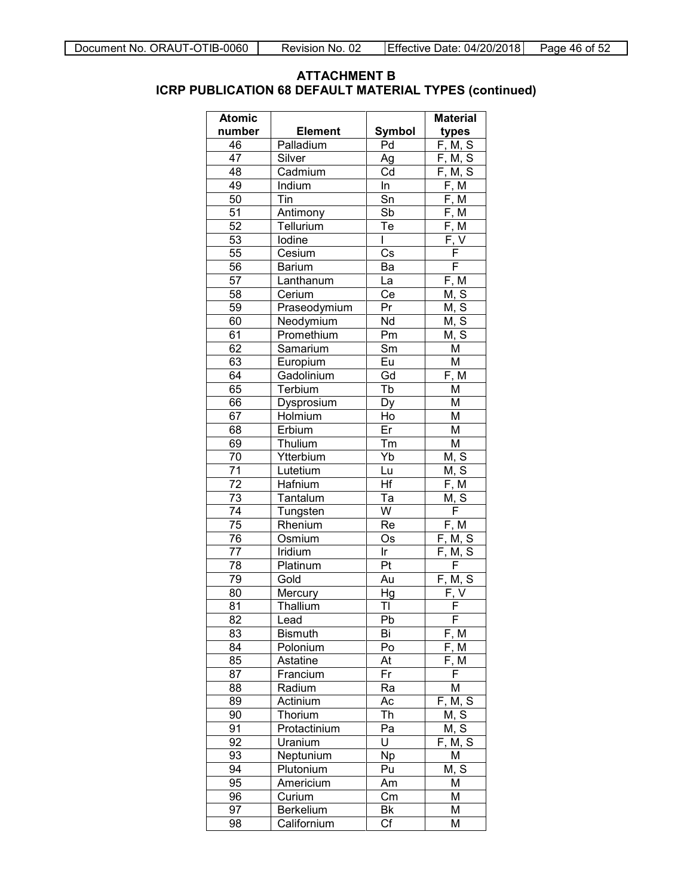## **ATTACHMENT B ICRP PUBLICATION 68 DEFAULT MATERIAL TYPES (continued)**

| <b>Atomic</b> |                |            | <b>Material</b>                     |
|---------------|----------------|------------|-------------------------------------|
| number        | <b>Element</b> | Symbol     | types                               |
| 46            | Palladium      | Pd         | F, M, S                             |
| 47            | Silver         | Ag         | F, M, S                             |
| 48            | Cadmium        | Cd         | F, M, S                             |
| 49            | Indium         | In         | F, M                                |
| 50            | Tin            | Sn         | F, M                                |
| 51            | Antimony       | Sb         | F, M                                |
| 52            | Tellurium      | Te         | $\overline{F}$ , M                  |
| 53            | lodine         | L          | $\overline{\mathsf{F}}, \mathsf{V}$ |
| 55            | Cesium         | Cs         | F                                   |
| 56            | <b>Barium</b>  | Ba         | F                                   |
| 57            | Lanthanum      | La         | F, M                                |
| 58            | Cerium         | Ce         | M, S                                |
| 59            | Praseodymium   | Pr         | M, S                                |
| 60            | Neodymium      | Nd         | M, S                                |
| 61            | Promethium     | Pm         | M, S                                |
| 62            | Samarium       | Sm         | M                                   |
| 63            | Europium       | Eu         | M                                   |
| 64            | Gadolinium     | Gd         | F, M                                |
| 65            | Terbium        | Tb         | M                                   |
| 66            | Dysprosium     | Dy         | M                                   |
| 67            | Holmium        | Ho         | M                                   |
| 68            | Erbium         | Er         | M                                   |
| 69            | Thulium        | Tm         | M                                   |
| 70            | Ytterbium      | Yb         | M, S                                |
| 71            | Lutetium       | Lu         | M, S                                |
| 72            | Hafnium        | Hf         | F, M                                |
| 73            | Tantalum       | Ta         | M, S                                |
| 74            | Tungsten       | W          | F                                   |
| 75            | Rhenium        | Re         | F, M                                |
| 76            | Osmium         | Os         | F, M, S                             |
| 77            | Iridium        | Ir         | F, M, S                             |
| 78            | Platinum       | Pt         | F                                   |
| 79            | Gold           | Au         | F, M, S                             |
| 80            | Mercury        | Hg         | F, V                                |
| 81            | Thallium       | TI         | F                                   |
| 82            | Lead           | Pb         | F                                   |
| 83            | <b>Bismuth</b> | Bi         | F, M                                |
| 84            | Polonium       | Po         | F, M                                |
| 85            | Astatine       | At         | F, M                                |
| 87            | Francium       | Fr         | F                                   |
| 88            | Radium         | Ra         | Μ                                   |
| 89            | Actinium       | Aс         | F, M, S                             |
| 90            | Thorium        | Th         | M, S                                |
| 91            | Protactinium   | Pa         | M, S                                |
| 92            | Uranium        | U          | F, M, S                             |
| 93            | Neptunium      | Np         | M                                   |
| 94            | Plutonium      | Pu         | M, S                                |
| 95            | Americium      | Am         | М                                   |
| 96            | Curium         | Cm         | Μ                                   |
| 97            | Berkelium      | Bk         | Μ                                   |
| 98            | Californium    | $C\bar{f}$ | Μ                                   |
|               |                |            |                                     |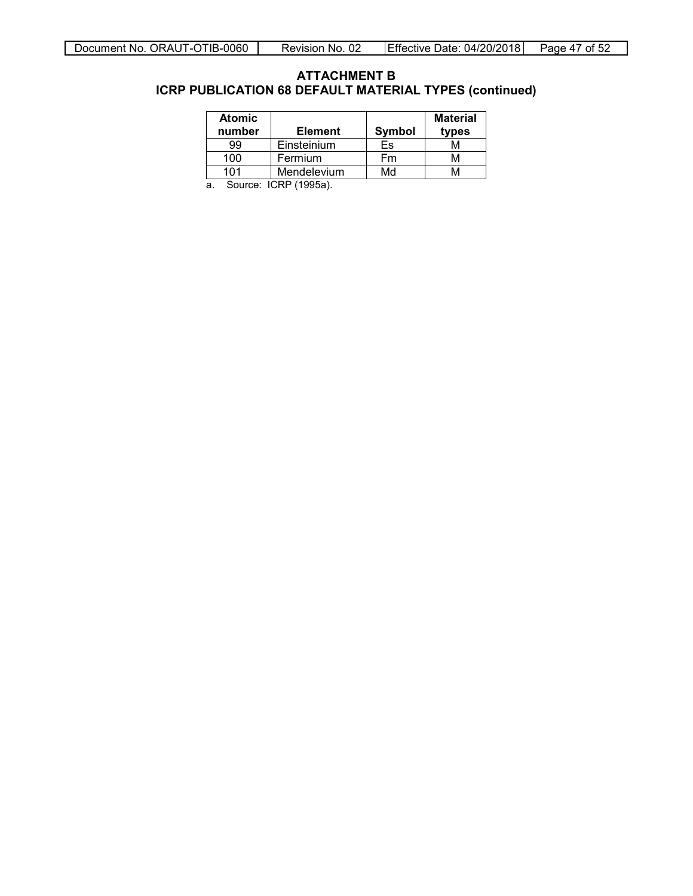#### **ATTACHMENT B ICRP PUBLICATION 68 DEFAULT MATERIAL TYPES (continued)**

| <b>Atomic</b><br>number | <b>Element</b> | Symbol | <b>Material</b><br>types |
|-------------------------|----------------|--------|--------------------------|
| 99                      | Einsteinium    | Es     | M                        |
| 100                     | Fermium        | Fm     | м                        |
| 101                     | Mendelevium    | Md     |                          |

a. Source: ICRP (1995a).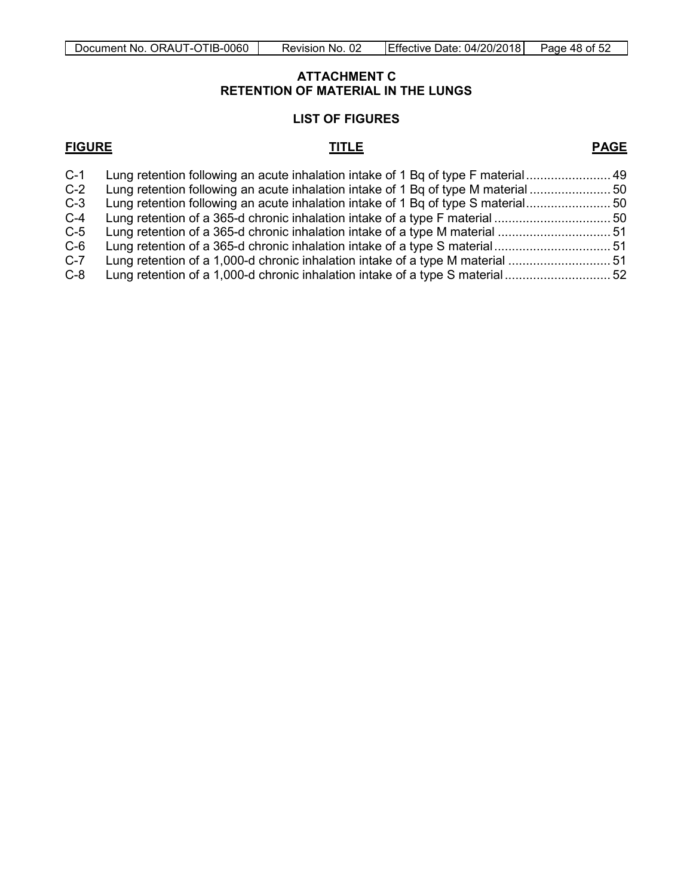#### **ATTACHMENT C RETENTION OF MATERIAL IN THE LUNGS**

#### **LIST OF FIGURES**

#### <span id="page-47-0"></span>**FIGURE TITLE PAGE**

| Lung retention of a 1,000-d chronic inhalation intake of a type S material |                                                                                                                                                                                                                                                                                                                                                                                                                         |
|----------------------------------------------------------------------------|-------------------------------------------------------------------------------------------------------------------------------------------------------------------------------------------------------------------------------------------------------------------------------------------------------------------------------------------------------------------------------------------------------------------------|
|                                                                            | Lung retention following an acute inhalation intake of 1 Bq of type F material 49<br>Lung retention following an acute inhalation intake of 1 Bq of type M material<br>Lung retention following an acute inhalation intake of 1 Bq of type S material 50<br>Lung retention of a 365-d chronic inhalation intake of a type S material51<br>Lung retention of a 1,000-d chronic inhalation intake of a type M material 51 |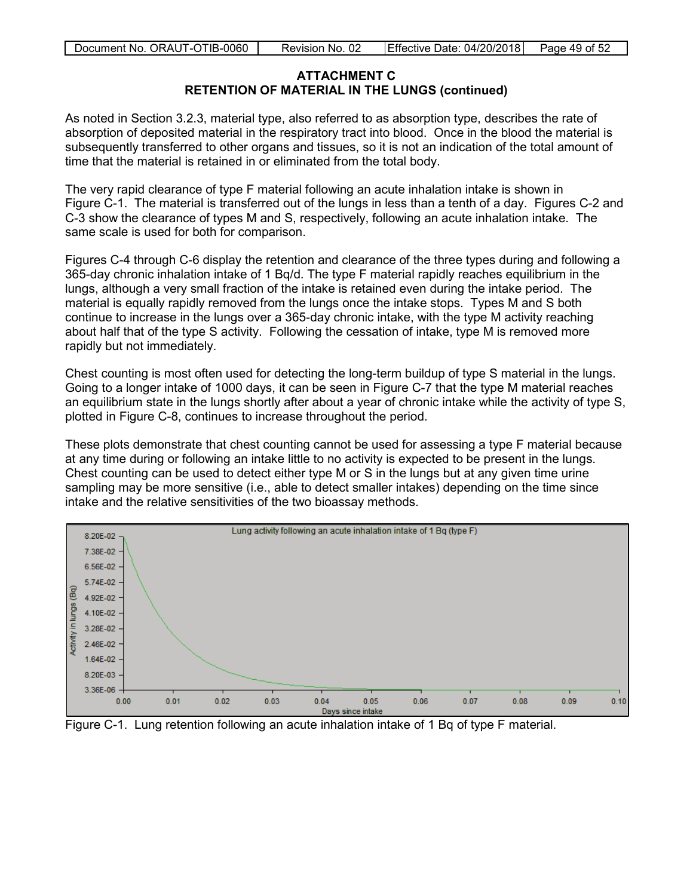#### **ATTACHMENT C RETENTION OF MATERIAL IN THE LUNGS (continued)**

As noted in Section 3.2.3, material type, also referred to as absorption type, describes the rate of absorption of deposited material in the respiratory tract into blood. Once in the blood the material is subsequently transferred to other organs and tissues, so it is not an indication of the total amount of time that the material is retained in or eliminated from the total body.

The very rapid clearance of type F material following an acute inhalation intake is shown in Figure C-1. The material is transferred out of the lungs in less than a tenth of a day. Figures C-2 and C-3 show the clearance of types M and S, respectively, following an acute inhalation intake. The same scale is used for both for comparison.

Figures C-4 through C-6 display the retention and clearance of the three types during and following a 365-day chronic inhalation intake of 1 Bq/d. The type F material rapidly reaches equilibrium in the lungs, although a very small fraction of the intake is retained even during the intake period. The material is equally rapidly removed from the lungs once the intake stops. Types M and S both continue to increase in the lungs over a 365-day chronic intake, with the type M activity reaching about half that of the type S activity. Following the cessation of intake, type M is removed more rapidly but not immediately.

Chest counting is most often used for detecting the long-term buildup of type S material in the lungs. Going to a longer intake of 1000 days, it can be seen in Figure C-7 that the type M material reaches an equilibrium state in the lungs shortly after about a year of chronic intake while the activity of type S, plotted in Figure C-8, continues to increase throughout the period.

These plots demonstrate that chest counting cannot be used for assessing a type F material because at any time during or following an intake little to no activity is expected to be present in the lungs. Chest counting can be used to detect either type M or S in the lungs but at any given time urine sampling may be more sensitive (i.e., able to detect smaller intakes) depending on the time since intake and the relative sensitivities of the two bioassay methods.



<span id="page-48-0"></span>Figure C-1. Lung retention following an acute inhalation intake of 1 Bq of type F material.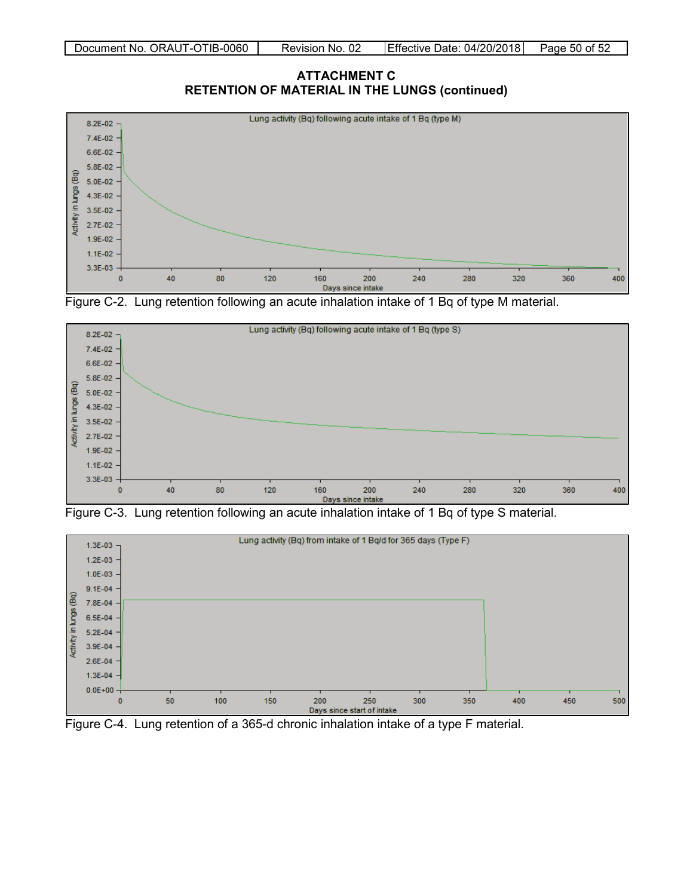<span id="page-49-0"></span>**ATTACHMENT C RETENTION OF MATERIAL IN THE LUNGS (continued)**







<span id="page-49-1"></span>



<span id="page-49-2"></span>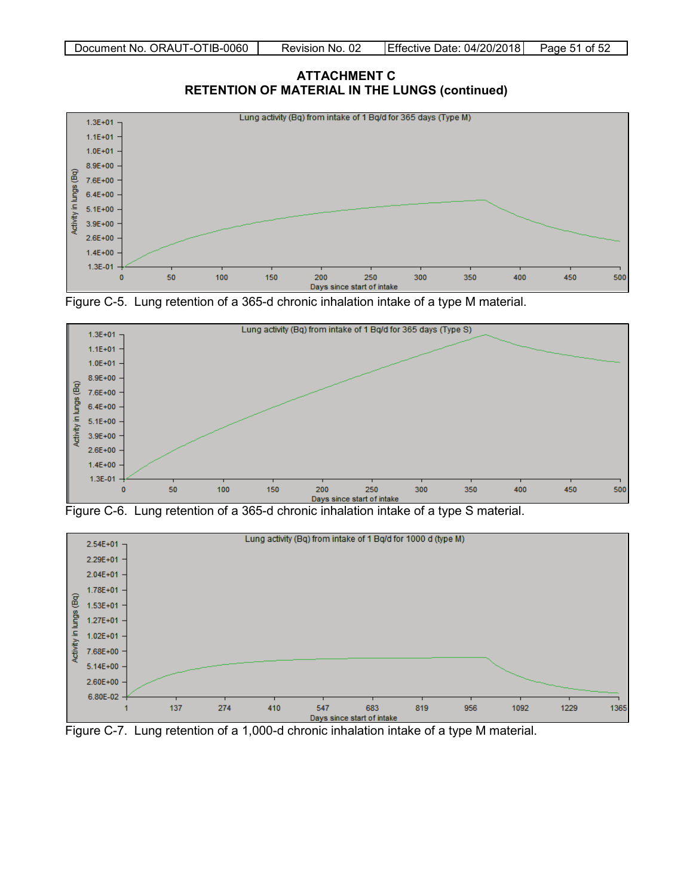<span id="page-50-0"></span>







<span id="page-50-1"></span>



<span id="page-50-2"></span>Figure C-7. Lung retention of a 1,000-d chronic inhalation intake of a type M material.